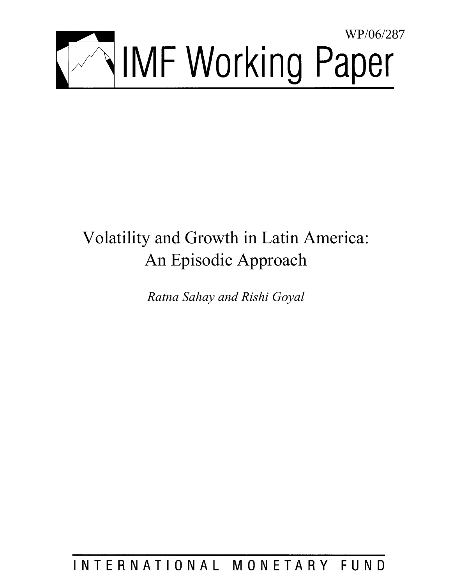

# Volatility and Growth in Latin America: An Episodic Approach

*Ratna Sahay and Rishi Goyal* 

INTERNATIONAL MONETARY FUND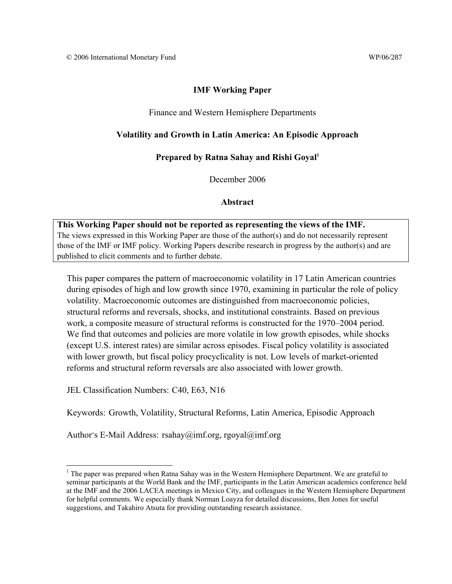#### **IMF Working Paper**

#### Finance and Western Hemisphere Departments

#### **Volatility and Growth in Latin America: An Episodic Approach**

#### **Prepared by Ratna Sahay and Rishi Goyal1**

December 2006

#### **Abstract**

**This Working Paper should not be reported as representing the views of the IMF.** The views expressed in this Working Paper are those of the author(s) and do not necessarily represent those of the IMF or IMF policy. Working Papers describe research in progress by the author(s) and are published to elicit comments and to further debate.

This paper compares the pattern of macroeconomic volatility in 17 Latin American countries during episodes of high and low growth since 1970, examining in particular the role of policy volatility. Macroeconomic outcomes are distinguished from macroeconomic policies, structural reforms and reversals, shocks, and institutional constraints. Based on previous work, a composite measure of structural reforms is constructed for the 1970–2004 period. We find that outcomes and policies are more volatile in low growth episodes, while shocks (except U.S. interest rates) are similar across episodes. Fiscal policy volatility is associated with lower growth, but fiscal policy procyclicality is not. Low levels of market-oriented reforms and structural reform reversals are also associated with lower growth.

JEL Classification Numbers: C40, E63, N16

 $\overline{a}$ 

Keywords: Growth, Volatility, Structural Reforms, Latin America, Episodic Approach

Author's E-Mail Address: rsahay@imf.org, rgoyal@imf.org

<sup>&</sup>lt;sup>1</sup> The paper was prepared when Ratna Sahay was in the Western Hemisphere Department. We are grateful to seminar participants at the World Bank and the IMF, participants in the Latin American academics conference held at the IMF and the 2006 LACEA meetings in Mexico City, and colleagues in the Western Hemisphere Department for helpful comments. We especially thank Norman Loayza for detailed discussions, Ben Jones for useful suggestions, and Takahiro Atsuta for providing outstanding research assistance.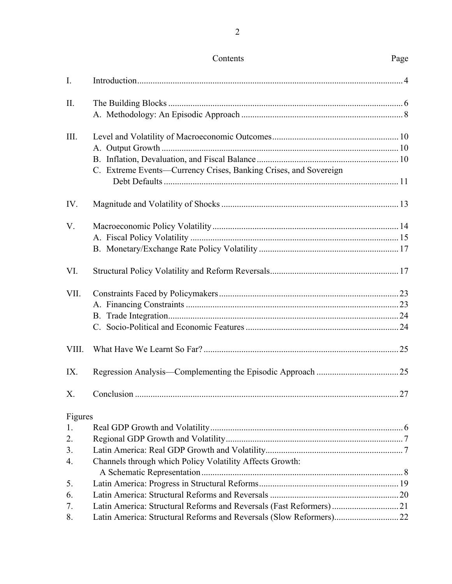| I.      |                                                                     |    |
|---------|---------------------------------------------------------------------|----|
| Π.      |                                                                     |    |
|         |                                                                     |    |
| Ш.      |                                                                     |    |
|         |                                                                     |    |
|         |                                                                     |    |
|         | C. Extreme Events—Currency Crises, Banking Crises, and Sovereign    |    |
| IV.     |                                                                     |    |
| V.      |                                                                     |    |
|         |                                                                     |    |
|         |                                                                     |    |
| VI.     |                                                                     |    |
| VII.    |                                                                     |    |
|         |                                                                     |    |
|         |                                                                     |    |
|         |                                                                     |    |
| VIII.   |                                                                     |    |
| IX.     |                                                                     |    |
| Х.      | Conclusion.                                                         | 27 |
| Figures |                                                                     |    |
| 1.      |                                                                     |    |
| 2.      |                                                                     |    |
| 3.      |                                                                     |    |
| 4.      | Channels through which Policy Volatility Affects Growth:            |    |
| 5.      |                                                                     |    |
| 6.      |                                                                     |    |
| 7.      |                                                                     |    |
| 8.      | Latin America: Structural Reforms and Reversals (Slow Reformers) 22 |    |

Contents Page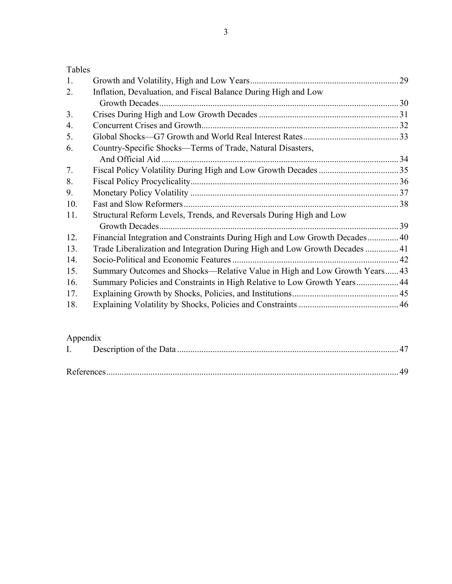# Tables

| 1.  |                                                                             |  |
|-----|-----------------------------------------------------------------------------|--|
| 2.  | Inflation, Devaluation, and Fiscal Balance During High and Low              |  |
|     | Growth Decades                                                              |  |
| 3.  |                                                                             |  |
| 4.  |                                                                             |  |
| 5.  |                                                                             |  |
| 6.  | Country-Specific Shocks—Terms of Trade, Natural Disasters,                  |  |
|     |                                                                             |  |
| 7.  |                                                                             |  |
| 8.  |                                                                             |  |
| 9.  |                                                                             |  |
| 10. |                                                                             |  |
| 11. | Structural Reform Levels, Trends, and Reversals During High and Low         |  |
|     |                                                                             |  |
| 12. | Financial Integration and Constraints During High and Low Growth Decades 40 |  |
| 13. | Trade Liberalization and Integration During High and Low Growth Decades  41 |  |
| 14. |                                                                             |  |
| 15. | Summary Outcomes and Shocks—Relative Value in High and Low Growth Years 43  |  |
| 16. | Summary Policies and Constraints in High Relative to Low Growth Years 44    |  |
| 17. |                                                                             |  |
| 18. |                                                                             |  |
|     |                                                                             |  |

# Appendix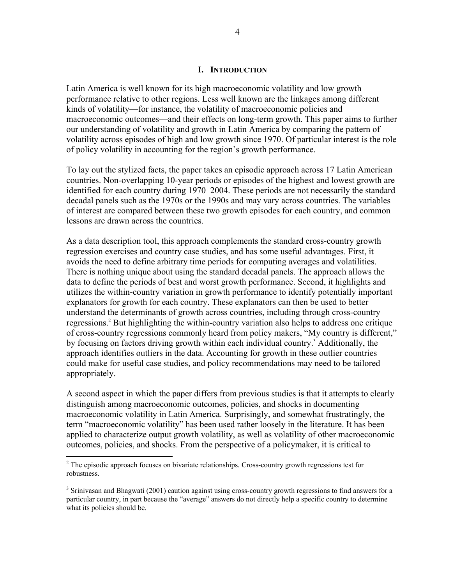#### **I. INTRODUCTION**

Latin America is well known for its high macroeconomic volatility and low growth performance relative to other regions. Less well known are the linkages among different kinds of volatility—for instance, the volatility of macroeconomic policies and macroeconomic outcomes—and their effects on long-term growth. This paper aims to further our understanding of volatility and growth in Latin America by comparing the pattern of volatility across episodes of high and low growth since 1970. Of particular interest is the role of policy volatility in accounting for the region's growth performance.

To lay out the stylized facts, the paper takes an episodic approach across 17 Latin American countries. Non-overlapping 10-year periods or episodes of the highest and lowest growth are identified for each country during 1970–2004. These periods are not necessarily the standard decadal panels such as the 1970s or the 1990s and may vary across countries. The variables of interest are compared between these two growth episodes for each country, and common lessons are drawn across the countries.

As a data description tool, this approach complements the standard cross-country growth regression exercises and country case studies, and has some useful advantages. First, it avoids the need to define arbitrary time periods for computing averages and volatilities. There is nothing unique about using the standard decadal panels. The approach allows the data to define the periods of best and worst growth performance. Second, it highlights and utilizes the within-country variation in growth performance to identify potentially important explanators for growth for each country. These explanators can then be used to better understand the determinants of growth across countries, including through cross-country regressions.<sup>2</sup> But highlighting the within-country variation also helps to address one critique of cross-country regressions commonly heard from policy makers, "My country is different," by focusing on factors driving growth within each individual country.<sup>3</sup> Additionally, the approach identifies outliers in the data. Accounting for growth in these outlier countries could make for useful case studies, and policy recommendations may need to be tailored appropriately.

A second aspect in which the paper differs from previous studies is that it attempts to clearly distinguish among macroeconomic outcomes, policies, and shocks in documenting macroeconomic volatility in Latin America. Surprisingly, and somewhat frustratingly, the term "macroeconomic volatility" has been used rather loosely in the literature. It has been applied to characterize output growth volatility, as well as volatility of other macroeconomic outcomes, policies, and shocks. From the perspective of a policymaker, it is critical to

 $\overline{a}$ 

 $2<sup>2</sup>$  The episodic approach focuses on bivariate relationships. Cross-country growth regressions test for robustness.

<sup>&</sup>lt;sup>3</sup> Srinivasan and Bhagwati (2001) caution against using cross-country growth regressions to find answers for a particular country, in part because the "average" answers do not directly help a specific country to determine what its policies should be.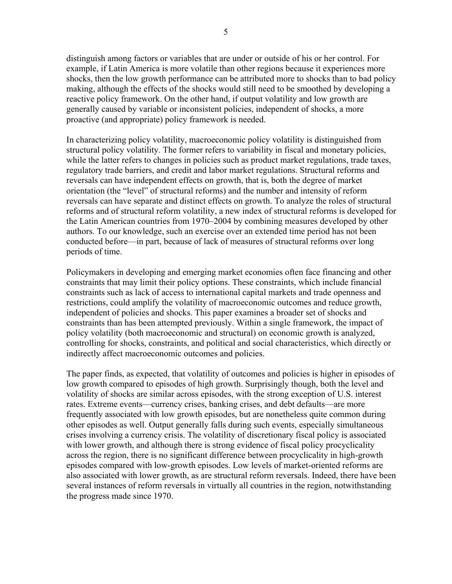distinguish among factors or variables that are under or outside of his or her control. For example, if Latin America is more volatile than other regions because it experiences more shocks, then the low growth performance can be attributed more to shocks than to bad policy making, although the effects of the shocks would still need to be smoothed by developing a reactive policy framework. On the other hand, if output volatility and low growth are generally caused by variable or inconsistent policies, independent of shocks, a more proactive (and appropriate) policy framework is needed.

In characterizing policy volatility, macroeconomic policy volatility is distinguished from structural policy volatility. The former refers to variability in fiscal and monetary policies, while the latter refers to changes in policies such as product market regulations, trade taxes, regulatory trade barriers, and credit and labor market regulations. Structural reforms and reversals can have independent effects on growth, that is, both the degree of market orientation (the "level" of structural reforms) and the number and intensity of reform reversals can have separate and distinct effects on growth. To analyze the roles of structural reforms and of structural reform volatility, a new index of structural reforms is developed for the Latin American countries from 1970–2004 by combining measures developed by other authors. To our knowledge, such an exercise over an extended time period has not been conducted before—in part, because of lack of measures of structural reforms over long periods of time.

Policymakers in developing and emerging market economies often face financing and other constraints that may limit their policy options. These constraints, which include financial constraints such as lack of access to international capital markets and trade openness and restrictions, could amplify the volatility of macroeconomic outcomes and reduce growth, independent of policies and shocks. This paper examines a broader set of shocks and constraints than has been attempted previously. Within a single framework, the impact of policy volatility (both macroeconomic and structural) on economic growth is analyzed, controlling for shocks, constraints, and political and social characteristics, which directly or indirectly affect macroeconomic outcomes and policies.

The paper finds, as expected, that volatility of outcomes and policies is higher in episodes of low growth compared to episodes of high growth. Surprisingly though, both the level and volatility of shocks are similar across episodes, with the strong exception of U.S. interest rates. Extreme events—currency crises, banking crises, and debt defaults—are more frequently associated with low growth episodes, but are nonetheless quite common during other episodes as well. Output generally falls during such events, especially simultaneous crises involving a currency crisis. The volatility of discretionary fiscal policy is associated with lower growth, and although there is strong evidence of fiscal policy procyclicality across the region, there is no significant difference between procyclicality in high-growth episodes compared with low-growth episodes. Low levels of market-oriented reforms are also associated with lower growth, as are structural reform reversals. Indeed, there have been several instances of reform reversals in virtually all countries in the region, notwithstanding the progress made since 1970.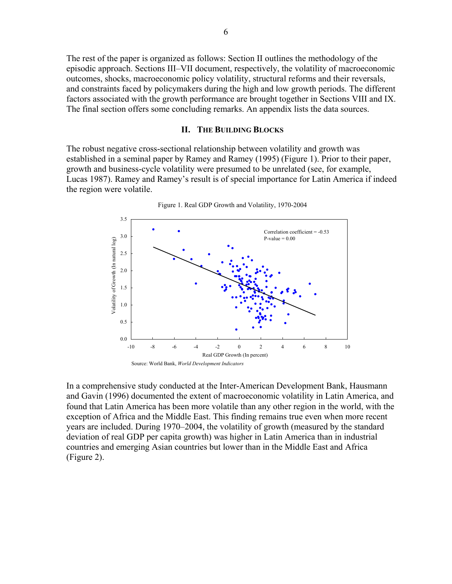The rest of the paper is organized as follows: Section II outlines the methodology of the episodic approach. Sections III–VII document, respectively, the volatility of macroeconomic outcomes, shocks, macroeconomic policy volatility, structural reforms and their reversals, and constraints faced by policymakers during the high and low growth periods. The different factors associated with the growth performance are brought together in Sections VIII and IX. The final section offers some concluding remarks. An appendix lists the data sources.

#### **II. THE BUILDING BLOCKS**

The robust negative cross-sectional relationship between volatility and growth was established in a seminal paper by Ramey and Ramey (1995) (Figure 1). Prior to their paper, growth and business-cycle volatility were presumed to be unrelated (see, for example, Lucas 1987). Ramey and Ramey's result is of special importance for Latin America if indeed the region were volatile.



Figure 1. Real GDP Growth and Volatility, 1970-2004

In a comprehensive study conducted at the Inter-American Development Bank, Hausmann and Gavin (1996) documented the extent of macroeconomic volatility in Latin America, and found that Latin America has been more volatile than any other region in the world, with the exception of Africa and the Middle East. This finding remains true even when more recent years are included. During 1970–2004, the volatility of growth (measured by the standard deviation of real GDP per capita growth) was higher in Latin America than in industrial countries and emerging Asian countries but lower than in the Middle East and Africa (Figure 2).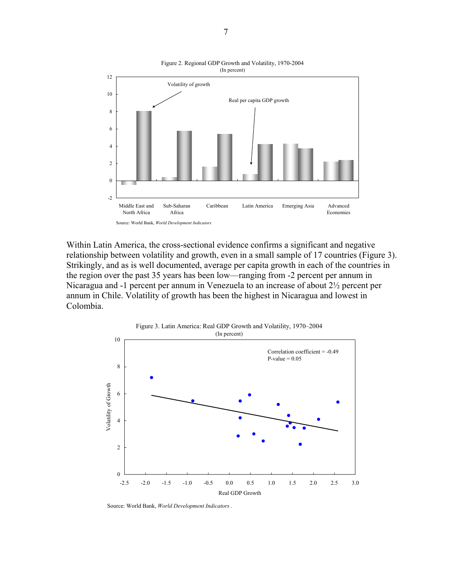

Within Latin America, the cross-sectional evidence confirms a significant and negative relationship between volatility and growth, even in a small sample of 17 countries (Figure 3). Strikingly, and as is well documented, average per capita growth in each of the countries in the region over the past 35 years has been low—ranging from -2 percent per annum in Nicaragua and -1 percent per annum in Venezuela to an increase of about 2½ percent per annum in Chile. Volatility of growth has been the highest in Nicaragua and lowest in Colombia.



Source: World Bank, *World Development Indicators*.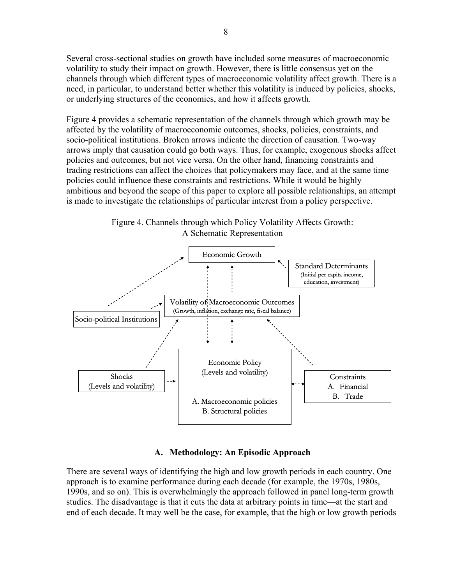Several cross-sectional studies on growth have included some measures of macroeconomic volatility to study their impact on growth. However, there is little consensus yet on the channels through which different types of macroeconomic volatility affect growth. There is a need, in particular, to understand better whether this volatility is induced by policies, shocks, or underlying structures of the economies, and how it affects growth.

Figure 4 provides a schematic representation of the channels through which growth may be affected by the volatility of macroeconomic outcomes, shocks, policies, constraints, and socio-political institutions. Broken arrows indicate the direction of causation. Two-way arrows imply that causation could go both ways. Thus, for example, exogenous shocks affect policies and outcomes, but not vice versa. On the other hand, financing constraints and trading restrictions can affect the choices that policymakers may face, and at the same time policies could influence these constraints and restrictions. While it would be highly ambitious and beyond the scope of this paper to explore all possible relationships, an attempt is made to investigate the relationships of particular interest from a policy perspective.



Figure 4. Channels through which Policy Volatility Affects Growth: A Schematic Representation

# **A. Methodology: An Episodic Approach**

There are several ways of identifying the high and low growth periods in each country. One approach is to examine performance during each decade (for example, the 1970s, 1980s, 1990s, and so on). This is overwhelmingly the approach followed in panel long-term growth studies. The disadvantage is that it cuts the data at arbitrary points in time—at the start and end of each decade. It may well be the case, for example, that the high or low growth periods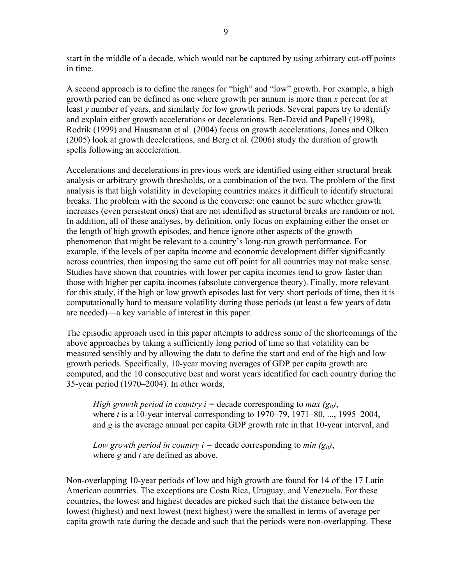start in the middle of a decade, which would not be captured by using arbitrary cut-off points in time.

A second approach is to define the ranges for "high" and "low" growth. For example, a high growth period can be defined as one where growth per annum is more than *x* percent for at least *y* number of years, and similarly for low growth periods. Several papers try to identify and explain either growth accelerations or decelerations. Ben-David and Papell (1998), Rodrik (1999) and Hausmann et al. (2004) focus on growth accelerations, Jones and Olken (2005) look at growth decelerations, and Berg et al. (2006) study the duration of growth spells following an acceleration.

Accelerations and decelerations in previous work are identified using either structural break analysis or arbitrary growth thresholds, or a combination of the two. The problem of the first analysis is that high volatility in developing countries makes it difficult to identify structural breaks. The problem with the second is the converse: one cannot be sure whether growth increases (even persistent ones) that are not identified as structural breaks are random or not. In addition, all of these analyses, by definition, only focus on explaining either the onset or the length of high growth episodes, and hence ignore other aspects of the growth phenomenon that might be relevant to a country's long-run growth performance. For example, if the levels of per capita income and economic development differ significantly across countries, then imposing the same cut off point for all countries may not make sense. Studies have shown that countries with lower per capita incomes tend to grow faster than those with higher per capita incomes (absolute convergence theory). Finally, more relevant for this study, if the high or low growth episodes last for very short periods of time, then it is computationally hard to measure volatility during those periods (at least a few years of data are needed)—a key variable of interest in this paper.

The episodic approach used in this paper attempts to address some of the shortcomings of the above approaches by taking a sufficiently long period of time so that volatility can be measured sensibly and by allowing the data to define the start and end of the high and low growth periods. Specifically, 10-year moving averages of GDP per capita growth are computed, and the 10 consecutive best and worst years identified for each country during the 35-year period (1970–2004). In other words,

*High growth period in country i = decade corresponding to max*  $(g_{ii})$ *,* where *t* is a 10-year interval corresponding to 1970–79, 1971–80, ..., 1995–2004, and *g* is the average annual per capita GDP growth rate in that 10-year interval, and

*Low growth period in country i = decade corresponding to min*  $(g_{ii})$ *,* where *g* and *t* are defined as above.

Non-overlapping 10-year periods of low and high growth are found for 14 of the 17 Latin American countries. The exceptions are Costa Rica, Uruguay, and Venezuela. For these countries, the lowest and highest decades are picked such that the distance between the lowest (highest) and next lowest (next highest) were the smallest in terms of average per capita growth rate during the decade and such that the periods were non-overlapping. These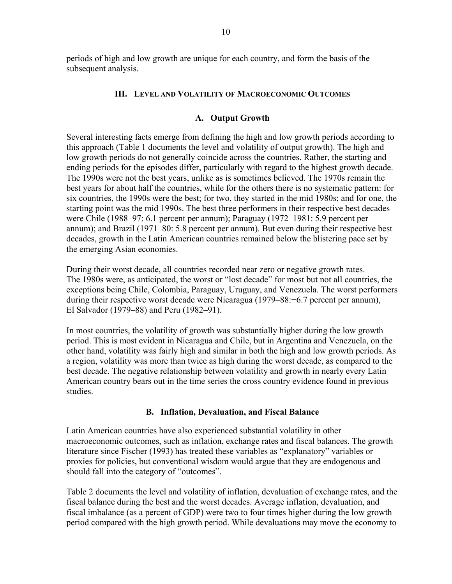periods of high and low growth are unique for each country, and form the basis of the subsequent analysis.

## **III. LEVEL AND VOLATILITY OF MACROECONOMIC OUTCOMES**

#### **A. Output Growth**

Several interesting facts emerge from defining the high and low growth periods according to this approach (Table 1 documents the level and volatility of output growth). The high and low growth periods do not generally coincide across the countries. Rather, the starting and ending periods for the episodes differ, particularly with regard to the highest growth decade. The 1990s were not the best years, unlike as is sometimes believed. The 1970s remain the best years for about half the countries, while for the others there is no systematic pattern: for six countries, the 1990s were the best; for two, they started in the mid 1980s; and for one, the starting point was the mid 1990s. The best three performers in their respective best decades were Chile (1988–97: 6.1 percent per annum); Paraguay (1972–1981: 5.9 percent per annum); and Brazil (1971–80: 5.8 percent per annum). But even during their respective best decades, growth in the Latin American countries remained below the blistering pace set by the emerging Asian economies.

During their worst decade, all countries recorded near zero or negative growth rates. The 1980s were, as anticipated, the worst or "lost decade" for most but not all countries, the exceptions being Chile, Colombia, Paraguay, Uruguay, and Venezuela. The worst performers during their respective worst decade were Nicaragua (1979–88:−6.7 percent per annum), El Salvador (1979–88) and Peru (1982–91).

In most countries, the volatility of growth was substantially higher during the low growth period. This is most evident in Nicaragua and Chile, but in Argentina and Venezuela, on the other hand, volatility was fairly high and similar in both the high and low growth periods. As a region, volatility was more than twice as high during the worst decade, as compared to the best decade. The negative relationship between volatility and growth in nearly every Latin American country bears out in the time series the cross country evidence found in previous studies.

#### **B. Inflation, Devaluation, and Fiscal Balance**

Latin American countries have also experienced substantial volatility in other macroeconomic outcomes, such as inflation, exchange rates and fiscal balances. The growth literature since Fischer (1993) has treated these variables as "explanatory" variables or proxies for policies, but conventional wisdom would argue that they are endogenous and should fall into the category of "outcomes".

Table 2 documents the level and volatility of inflation, devaluation of exchange rates, and the fiscal balance during the best and the worst decades. Average inflation, devaluation, and fiscal imbalance (as a percent of GDP) were two to four times higher during the low growth period compared with the high growth period. While devaluations may move the economy to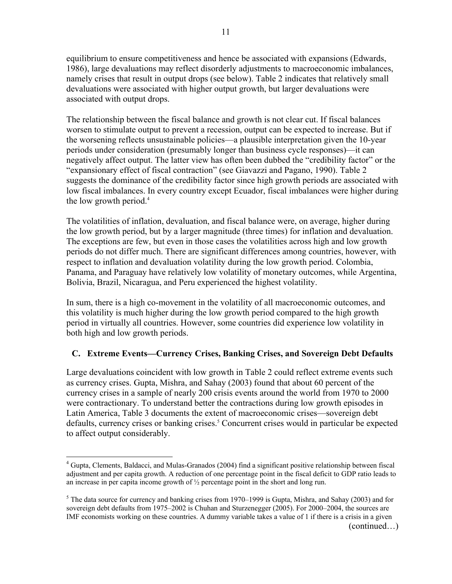equilibrium to ensure competitiveness and hence be associated with expansions (Edwards, 1986), large devaluations may reflect disorderly adjustments to macroeconomic imbalances, namely crises that result in output drops (see below). Table 2 indicates that relatively small devaluations were associated with higher output growth, but larger devaluations were associated with output drops.

The relationship between the fiscal balance and growth is not clear cut. If fiscal balances worsen to stimulate output to prevent a recession, output can be expected to increase. But if the worsening reflects unsustainable policies—a plausible interpretation given the 10-year periods under consideration (presumably longer than business cycle responses)—it can negatively affect output. The latter view has often been dubbed the "credibility factor" or the "expansionary effect of fiscal contraction" (see Giavazzi and Pagano, 1990). Table 2 suggests the dominance of the credibility factor since high growth periods are associated with low fiscal imbalances. In every country except Ecuador, fiscal imbalances were higher during the low growth period. $4$ 

The volatilities of inflation, devaluation, and fiscal balance were, on average, higher during the low growth period, but by a larger magnitude (three times) for inflation and devaluation. The exceptions are few, but even in those cases the volatilities across high and low growth periods do not differ much. There are significant differences among countries, however, with respect to inflation and devaluation volatility during the low growth period. Colombia, Panama, and Paraguay have relatively low volatility of monetary outcomes, while Argentina, Bolivia, Brazil, Nicaragua, and Peru experienced the highest volatility.

In sum, there is a high co-movement in the volatility of all macroeconomic outcomes, and this volatility is much higher during the low growth period compared to the high growth period in virtually all countries. However, some countries did experience low volatility in both high and low growth periods.

# **C. Extreme Events—Currency Crises, Banking Crises, and Sovereign Debt Defaults**

Large devaluations coincident with low growth in Table 2 could reflect extreme events such as currency crises. Gupta, Mishra, and Sahay (2003) found that about 60 percent of the currency crises in a sample of nearly 200 crisis events around the world from 1970 to 2000 were contractionary. To understand better the contractions during low growth episodes in Latin America, Table 3 documents the extent of macroeconomic crises—sovereign debt defaults, currency crises or banking crises.<sup>5</sup> Concurrent crises would in particular be expected to affect output considerably.

 $\overline{a}$ 

<sup>&</sup>lt;sup>4</sup> Gupta, Clements, Baldacci, and Mulas-Granados (2004) find a significant positive relationship between fiscal adjustment and per capita growth. A reduction of one percentage point in the fiscal deficit to GDP ratio leads to an increase in per capita income growth of  $\frac{1}{2}$  percentage point in the short and long run.

 $<sup>5</sup>$  The data source for currency and banking crises from 1970–1999 is Gupta, Mishra, and Sahay (2003) and for</sup> sovereign debt defaults from 1975–2002 is Chuhan and Sturzenegger (2005). For 2000–2004, the sources are IMF economists working on these countries. A dummy variable takes a value of 1 if there is a crisis in a given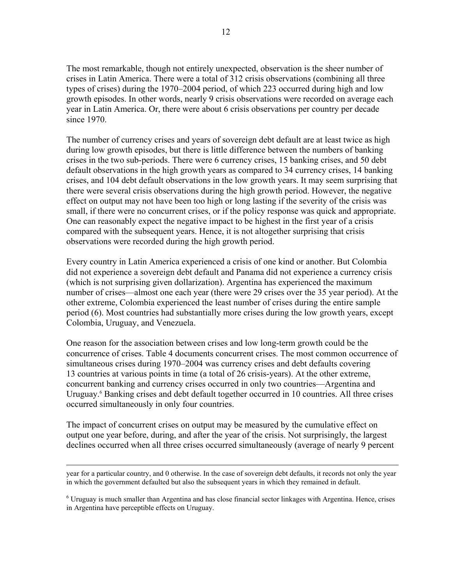The most remarkable, though not entirely unexpected, observation is the sheer number of crises in Latin America. There were a total of 312 crisis observations (combining all three types of crises) during the 1970–2004 period, of which 223 occurred during high and low growth episodes. In other words, nearly 9 crisis observations were recorded on average each year in Latin America. Or, there were about 6 crisis observations per country per decade since 1970.

The number of currency crises and years of sovereign debt default are at least twice as high during low growth episodes, but there is little difference between the numbers of banking crises in the two sub-periods. There were 6 currency crises, 15 banking crises, and 50 debt default observations in the high growth years as compared to 34 currency crises, 14 banking crises, and 104 debt default observations in the low growth years. It may seem surprising that there were several crisis observations during the high growth period. However, the negative effect on output may not have been too high or long lasting if the severity of the crisis was small, if there were no concurrent crises, or if the policy response was quick and appropriate. One can reasonably expect the negative impact to be highest in the first year of a crisis compared with the subsequent years. Hence, it is not altogether surprising that crisis observations were recorded during the high growth period.

Every country in Latin America experienced a crisis of one kind or another. But Colombia did not experience a sovereign debt default and Panama did not experience a currency crisis (which is not surprising given dollarization). Argentina has experienced the maximum number of crises—almost one each year (there were 29 crises over the 35 year period). At the other extreme, Colombia experienced the least number of crises during the entire sample period (6). Most countries had substantially more crises during the low growth years, except Colombia, Uruguay, and Venezuela.

One reason for the association between crises and low long-term growth could be the concurrence of crises. Table 4 documents concurrent crises. The most common occurrence of simultaneous crises during 1970–2004 was currency crises and debt defaults covering 13 countries at various points in time (a total of 26 crisis-years). At the other extreme, concurrent banking and currency crises occurred in only two countries—Argentina and Uruguay.<sup>6</sup> Banking crises and debt default together occurred in 10 countries. All three crises occurred simultaneously in only four countries.

The impact of concurrent crises on output may be measured by the cumulative effect on output one year before, during, and after the year of the crisis. Not surprisingly, the largest declines occurred when all three crises occurred simultaneously (average of nearly 9 percent

year for a particular country, and 0 otherwise. In the case of sovereign debt defaults, it records not only the year in which the government defaulted but also the subsequent years in which they remained in default.

<sup>&</sup>lt;sup>6</sup> Uruguay is much smaller than Argentina and has close financial sector linkages with Argentina. Hence, crises in Argentina have perceptible effects on Uruguay.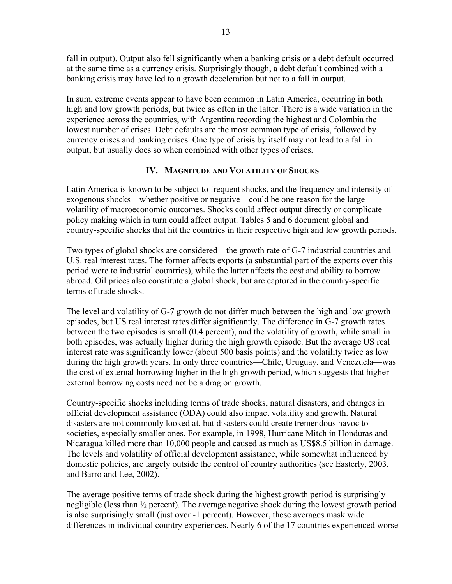fall in output). Output also fell significantly when a banking crisis or a debt default occurred at the same time as a currency crisis. Surprisingly though, a debt default combined with a banking crisis may have led to a growth deceleration but not to a fall in output.

In sum, extreme events appear to have been common in Latin America, occurring in both high and low growth periods, but twice as often in the latter. There is a wide variation in the experience across the countries, with Argentina recording the highest and Colombia the lowest number of crises. Debt defaults are the most common type of crisis, followed by currency crises and banking crises. One type of crisis by itself may not lead to a fall in output, but usually does so when combined with other types of crises.

# **IV. MAGNITUDE AND VOLATILITY OF SHOCKS**

Latin America is known to be subject to frequent shocks, and the frequency and intensity of exogenous shocks—whether positive or negative—could be one reason for the large volatility of macroeconomic outcomes. Shocks could affect output directly or complicate policy making which in turn could affect output. Tables 5 and 6 document global and country-specific shocks that hit the countries in their respective high and low growth periods.

Two types of global shocks are considered—the growth rate of G-7 industrial countries and U.S. real interest rates. The former affects exports (a substantial part of the exports over this period were to industrial countries), while the latter affects the cost and ability to borrow abroad. Oil prices also constitute a global shock, but are captured in the country-specific terms of trade shocks.

The level and volatility of G-7 growth do not differ much between the high and low growth episodes, but US real interest rates differ significantly. The difference in G-7 growth rates between the two episodes is small (0.4 percent), and the volatility of growth, while small in both episodes, was actually higher during the high growth episode. But the average US real interest rate was significantly lower (about 500 basis points) and the volatility twice as low during the high growth years. In only three countries—Chile, Uruguay, and Venezuela—was the cost of external borrowing higher in the high growth period, which suggests that higher external borrowing costs need not be a drag on growth.

Country-specific shocks including terms of trade shocks, natural disasters, and changes in official development assistance (ODA) could also impact volatility and growth. Natural disasters are not commonly looked at, but disasters could create tremendous havoc to societies, especially smaller ones. For example, in 1998, Hurricane Mitch in Honduras and Nicaragua killed more than 10,000 people and caused as much as US\$8.5 billion in damage. The levels and volatility of official development assistance, while somewhat influenced by domestic policies, are largely outside the control of country authorities (see Easterly, 2003, and Barro and Lee, 2002).

The average positive terms of trade shock during the highest growth period is surprisingly negligible (less than ½ percent). The average negative shock during the lowest growth period is also surprisingly small (just over -1 percent). However, these averages mask wide differences in individual country experiences. Nearly 6 of the 17 countries experienced worse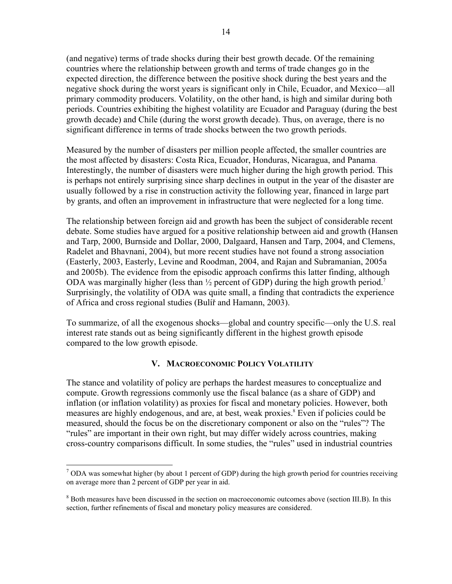(and negative) terms of trade shocks during their best growth decade. Of the remaining countries where the relationship between growth and terms of trade changes go in the expected direction, the difference between the positive shock during the best years and the negative shock during the worst years is significant only in Chile, Ecuador, and Mexico—all primary commodity producers. Volatility, on the other hand, is high and similar during both periods. Countries exhibiting the highest volatility are Ecuador and Paraguay (during the best growth decade) and Chile (during the worst growth decade). Thus, on average, there is no significant difference in terms of trade shocks between the two growth periods.

Measured by the number of disasters per million people affected, the smaller countries are the most affected by disasters: Costa Rica, Ecuador, Honduras, Nicaragua, and Panama. Interestingly, the number of disasters were much higher during the high growth period. This is perhaps not entirely surprising since sharp declines in output in the year of the disaster are usually followed by a rise in construction activity the following year, financed in large part by grants, and often an improvement in infrastructure that were neglected for a long time.

The relationship between foreign aid and growth has been the subject of considerable recent debate. Some studies have argued for a positive relationship between aid and growth (Hansen and Tarp, 2000, Burnside and Dollar, 2000, Dalgaard, Hansen and Tarp, 2004, and Clemens, Radelet and Bhavnani, 2004), but more recent studies have not found a strong association (Easterly, 2003, Easterly, Levine and Roodman, 2004, and Rajan and Subramanian, 2005a and 2005b). The evidence from the episodic approach confirms this latter finding, although ODA was marginally higher (less than  $\frac{1}{2}$  percent of GDP) during the high growth period.<sup>7</sup> Surprisingly, the volatility of ODA was quite small, a finding that contradicts the experience of Africa and cross regional studies (Bulíř and Hamann, 2003).

To summarize, of all the exogenous shocks—global and country specific—only the U.S. real interest rate stands out as being significantly different in the highest growth episode compared to the low growth episode.

#### **V. MACROECONOMIC POLICY VOLATILITY**

The stance and volatility of policy are perhaps the hardest measures to conceptualize and compute. Growth regressions commonly use the fiscal balance (as a share of GDP) and inflation (or inflation volatility) as proxies for fiscal and monetary policies. However, both measures are highly endogenous, and are, at best, weak proxies.<sup>8</sup> Even if policies could be measured, should the focus be on the discretionary component or also on the "rules"? The "rules" are important in their own right, but may differ widely across countries, making cross-country comparisons difficult. In some studies, the "rules" used in industrial countries

 $\overline{a}$  $7$  ODA was somewhat higher (by about 1 percent of GDP) during the high growth period for countries receiving on average more than 2 percent of GDP per year in aid.

<sup>&</sup>lt;sup>8</sup> Both measures have been discussed in the section on macroeconomic outcomes above (section III.B). In this section, further refinements of fiscal and monetary policy measures are considered.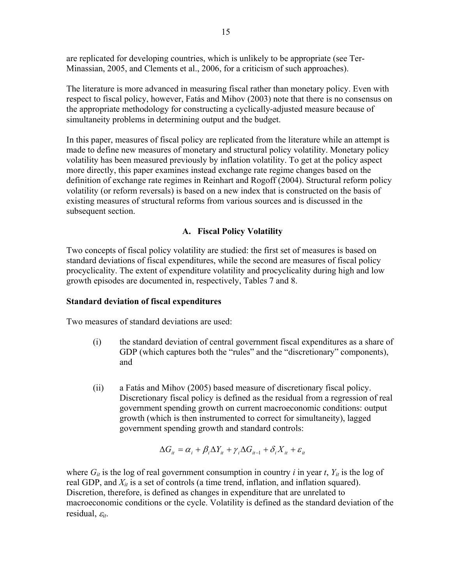are replicated for developing countries, which is unlikely to be appropriate (see Ter-Minassian, 2005, and Clements et al., 2006, for a criticism of such approaches).

The literature is more advanced in measuring fiscal rather than monetary policy. Even with respect to fiscal policy, however, Fatás and Mihov (2003) note that there is no consensus on the appropriate methodology for constructing a cyclically-adjusted measure because of simultaneity problems in determining output and the budget.

In this paper, measures of fiscal policy are replicated from the literature while an attempt is made to define new measures of monetary and structural policy volatility. Monetary policy volatility has been measured previously by inflation volatility. To get at the policy aspect more directly, this paper examines instead exchange rate regime changes based on the definition of exchange rate regimes in Reinhart and Rogoff (2004). Structural reform policy volatility (or reform reversals) is based on a new index that is constructed on the basis of existing measures of structural reforms from various sources and is discussed in the subsequent section.

## **A. Fiscal Policy Volatility**

Two concepts of fiscal policy volatility are studied: the first set of measures is based on standard deviations of fiscal expenditures, while the second are measures of fiscal policy procyclicality. The extent of expenditure volatility and procyclicality during high and low growth episodes are documented in, respectively, Tables 7 and 8.

#### **Standard deviation of fiscal expenditures**

Two measures of standard deviations are used:

- (i) the standard deviation of central government fiscal expenditures as a share of GDP (which captures both the "rules" and the "discretionary" components), and
- (ii) a Fatás and Mihov (2005) based measure of discretionary fiscal policy. Discretionary fiscal policy is defined as the residual from a regression of real government spending growth on current macroeconomic conditions: output growth (which is then instrumented to correct for simultaneity), lagged government spending growth and standard controls:

$$
\Delta G_{it} = \alpha_i + \beta_i \Delta Y_{it} + \gamma_i \Delta G_{it-1} + \delta_i X_{it} + \varepsilon_{it}
$$

where  $G_{it}$  is the log of real government consumption in country *i* in year *t*,  $Y_{it}$  is the log of real GDP, and  $X_{it}$  is a set of controls (a time trend, inflation, and inflation squared). Discretion, therefore, is defined as changes in expenditure that are unrelated to macroeconomic conditions or the cycle. Volatility is defined as the standard deviation of the residual, ε*it*.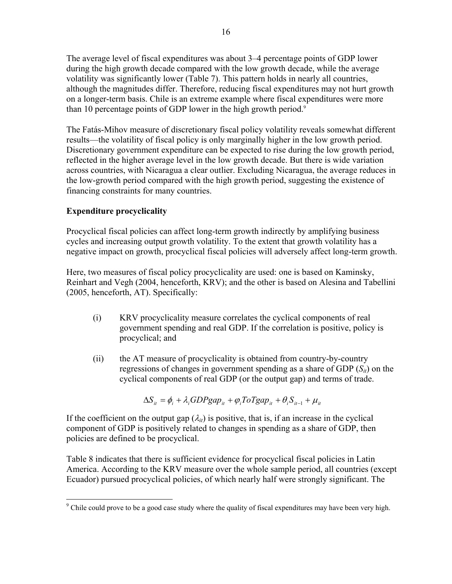The average level of fiscal expenditures was about 3–4 percentage points of GDP lower during the high growth decade compared with the low growth decade, while the average volatility was significantly lower (Table 7). This pattern holds in nearly all countries, although the magnitudes differ. Therefore, reducing fiscal expenditures may not hurt growth on a longer-term basis. Chile is an extreme example where fiscal expenditures were more than 10 percentage points of GDP lower in the high growth period.<sup>9</sup>

The Fatás-Mihov measure of discretionary fiscal policy volatility reveals somewhat different results—the volatility of fiscal policy is only marginally higher in the low growth period. Discretionary government expenditure can be expected to rise during the low growth period, reflected in the higher average level in the low growth decade. But there is wide variation across countries, with Nicaragua a clear outlier. Excluding Nicaragua, the average reduces in the low-growth period compared with the high growth period, suggesting the existence of financing constraints for many countries.

# **Expenditure procyclicality**

Procyclical fiscal policies can affect long-term growth indirectly by amplifying business cycles and increasing output growth volatility. To the extent that growth volatility has a negative impact on growth, procyclical fiscal policies will adversely affect long-term growth.

Here, two measures of fiscal policy procyclicality are used: one is based on Kaminsky, Reinhart and Vegh (2004, henceforth, KRV); and the other is based on Alesina and Tabellini (2005, henceforth, AT). Specifically:

- (i) KRV procyclicality measure correlates the cyclical components of real government spending and real GDP. If the correlation is positive, policy is procyclical; and
- (ii) the AT measure of procyclicality is obtained from country-by-country regressions of changes in government spending as a share of GDP  $(S_{ii})$  on the cyclical components of real GDP (or the output gap) and terms of trade.

$$
\Delta S_{it} = \phi_i + \lambda_i GDPgap_{it} + \varphi_i ToTgap_{it} + \theta_i S_{it-1} + \mu_{it}
$$

If the coefficient on the output gap  $(\lambda_{it})$  is positive, that is, if an increase in the cyclical component of GDP is positively related to changes in spending as a share of GDP, then policies are defined to be procyclical.

Table 8 indicates that there is sufficient evidence for procyclical fiscal policies in Latin America. According to the KRV measure over the whole sample period, all countries (except Ecuador) pursued procyclical policies, of which nearly half were strongly significant. The

<sup>&</sup>lt;sup>9</sup> Chile could prove to be a good case study where the quality of fiscal expenditures may have been very high.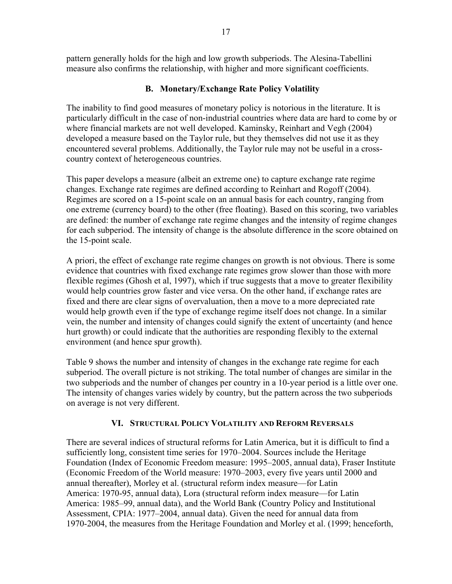pattern generally holds for the high and low growth subperiods. The Alesina-Tabellini measure also confirms the relationship, with higher and more significant coefficients.

# **B. Monetary/Exchange Rate Policy Volatility**

The inability to find good measures of monetary policy is notorious in the literature. It is particularly difficult in the case of non-industrial countries where data are hard to come by or where financial markets are not well developed. Kaminsky, Reinhart and Vegh (2004) developed a measure based on the Taylor rule, but they themselves did not use it as they encountered several problems. Additionally, the Taylor rule may not be useful in a crosscountry context of heterogeneous countries.

This paper develops a measure (albeit an extreme one) to capture exchange rate regime changes. Exchange rate regimes are defined according to Reinhart and Rogoff (2004). Regimes are scored on a 15-point scale on an annual basis for each country, ranging from one extreme (currency board) to the other (free floating). Based on this scoring, two variables are defined: the number of exchange rate regime changes and the intensity of regime changes for each subperiod. The intensity of change is the absolute difference in the score obtained on the 15-point scale.

A priori, the effect of exchange rate regime changes on growth is not obvious. There is some evidence that countries with fixed exchange rate regimes grow slower than those with more flexible regimes (Ghosh et al, 1997), which if true suggests that a move to greater flexibility would help countries grow faster and vice versa. On the other hand, if exchange rates are fixed and there are clear signs of overvaluation, then a move to a more depreciated rate would help growth even if the type of exchange regime itself does not change. In a similar vein, the number and intensity of changes could signify the extent of uncertainty (and hence hurt growth) or could indicate that the authorities are responding flexibly to the external environment (and hence spur growth).

Table 9 shows the number and intensity of changes in the exchange rate regime for each subperiod. The overall picture is not striking. The total number of changes are similar in the two subperiods and the number of changes per country in a 10-year period is a little over one. The intensity of changes varies widely by country, but the pattern across the two subperiods on average is not very different.

# **VI. STRUCTURAL POLICY VOLATILITY AND REFORM REVERSALS**

There are several indices of structural reforms for Latin America, but it is difficult to find a sufficiently long, consistent time series for 1970–2004. Sources include the Heritage Foundation (Index of Economic Freedom measure: 1995–2005, annual data), Fraser Institute (Economic Freedom of the World measure: 1970–2003, every five years until 2000 and annual thereafter), Morley et al. (structural reform index measure—for Latin America: 1970-95, annual data), Lora (structural reform index measure—for Latin America: 1985–99, annual data), and the World Bank (Country Policy and Institutional Assessment, CPIA: 1977–2004, annual data). Given the need for annual data from 1970-2004, the measures from the Heritage Foundation and Morley et al. (1999; henceforth,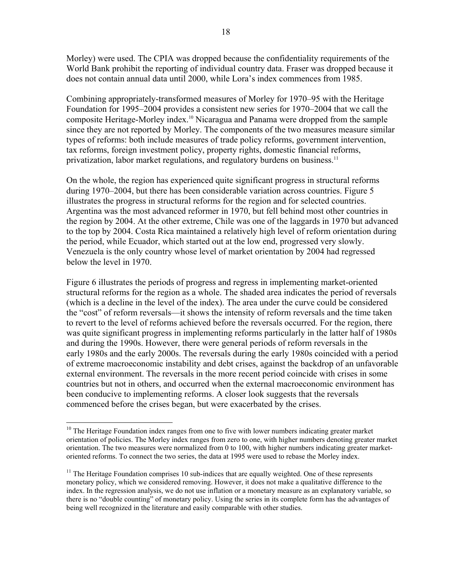Morley) were used. The CPIA was dropped because the confidentiality requirements of the World Bank prohibit the reporting of individual country data. Fraser was dropped because it does not contain annual data until 2000, while Lora's index commences from 1985.

Combining appropriately-transformed measures of Morley for 1970–95 with the Heritage Foundation for 1995–2004 provides a consistent new series for 1970–2004 that we call the composite Heritage-Morley index.10 Nicaragua and Panama were dropped from the sample since they are not reported by Morley. The components of the two measures measure similar types of reforms: both include measures of trade policy reforms, government intervention, tax reforms, foreign investment policy, property rights, domestic financial reforms, privatization, labor market regulations, and regulatory burdens on business.<sup>11</sup>

On the whole, the region has experienced quite significant progress in structural reforms during 1970–2004, but there has been considerable variation across countries. Figure 5 illustrates the progress in structural reforms for the region and for selected countries. Argentina was the most advanced reformer in 1970, but fell behind most other countries in the region by 2004. At the other extreme, Chile was one of the laggards in 1970 but advanced to the top by 2004. Costa Rica maintained a relatively high level of reform orientation during the period, while Ecuador, which started out at the low end, progressed very slowly. Venezuela is the only country whose level of market orientation by 2004 had regressed below the level in 1970.

Figure 6 illustrates the periods of progress and regress in implementing market-oriented structural reforms for the region as a whole. The shaded area indicates the period of reversals (which is a decline in the level of the index). The area under the curve could be considered the "cost" of reform reversals—it shows the intensity of reform reversals and the time taken to revert to the level of reforms achieved before the reversals occurred. For the region, there was quite significant progress in implementing reforms particularly in the latter half of 1980s and during the 1990s. However, there were general periods of reform reversals in the early 1980s and the early 2000s. The reversals during the early 1980s coincided with a period of extreme macroeconomic instability and debt crises, against the backdrop of an unfavorable external environment. The reversals in the more recent period coincide with crises in some countries but not in others, and occurred when the external macroeconomic environment has been conducive to implementing reforms. A closer look suggests that the reversals commenced before the crises began, but were exacerbated by the crises.

 $\overline{a}$  $10$  The Heritage Foundation index ranges from one to five with lower numbers indicating greater market orientation of policies. The Morley index ranges from zero to one, with higher numbers denoting greater market orientation. The two measures were normalized from 0 to 100, with higher numbers indicating greater marketoriented reforms. To connect the two series, the data at 1995 were used to rebase the Morley index.

 $<sup>11</sup>$  The Heritage Foundation comprises 10 sub-indices that are equally weighted. One of these represents</sup> monetary policy, which we considered removing. However, it does not make a qualitative difference to the index. In the regression analysis, we do not use inflation or a monetary measure as an explanatory variable, so there is no "double counting" of monetary policy. Using the series in its complete form has the advantages of being well recognized in the literature and easily comparable with other studies.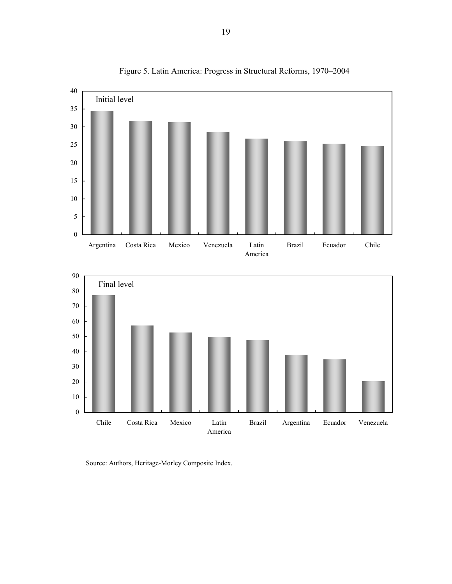

Figure 5. Latin America: Progress in Structural Reforms, 1970–2004

Source: Authors, Heritage-Morley Composite Index.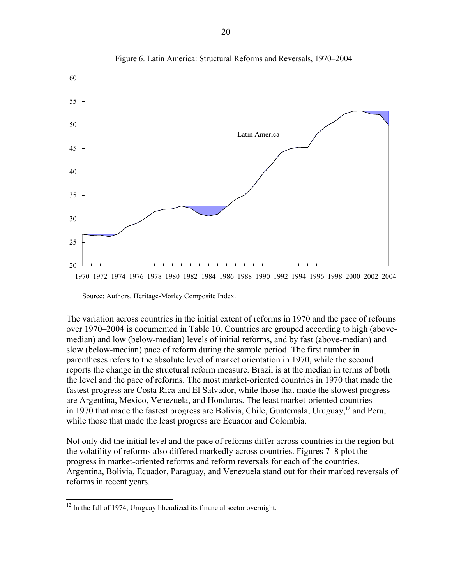

Figure 6. Latin America: Structural Reforms and Reversals, 1970–2004

Source: Authors, Heritage-Morley Composite Index.

The variation across countries in the initial extent of reforms in 1970 and the pace of reforms over 1970–2004 is documented in Table 10. Countries are grouped according to high (abovemedian) and low (below-median) levels of initial reforms, and by fast (above-median) and slow (below-median) pace of reform during the sample period. The first number in parentheses refers to the absolute level of market orientation in 1970, while the second reports the change in the structural reform measure. Brazil is at the median in terms of both the level and the pace of reforms. The most market-oriented countries in 1970 that made the fastest progress are Costa Rica and El Salvador, while those that made the slowest progress are Argentina, Mexico, Venezuela, and Honduras. The least market-oriented countries in 1970 that made the fastest progress are Bolivia, Chile, Guatemala, Uruguay,<sup>12</sup> and Peru, while those that made the least progress are Ecuador and Colombia.

Not only did the initial level and the pace of reforms differ across countries in the region but the volatility of reforms also differed markedly across countries. Figures 7–8 plot the progress in market-oriented reforms and reform reversals for each of the countries. Argentina, Bolivia, Ecuador, Paraguay, and Venezuela stand out for their marked reversals of reforms in recent years.

 $\overline{a}$ 

 $12$  In the fall of 1974, Uruguay liberalized its financial sector overnight.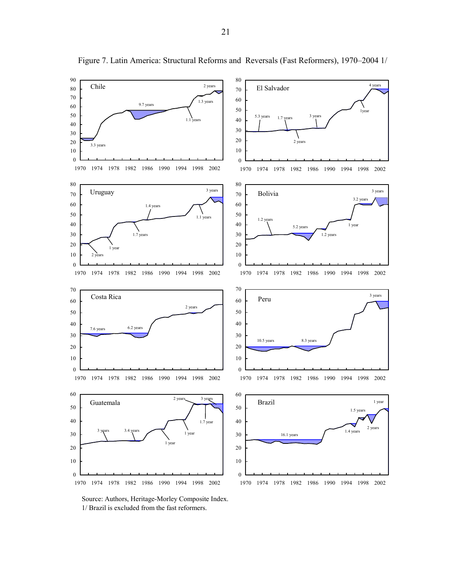

Figure 7. Latin America: Structural Reforms and Reversals (Fast Reformers), 1970–2004 1/

Source: Authors, Heritage-Morley Composite Index. 1/ Brazil is excluded from the fast reformers.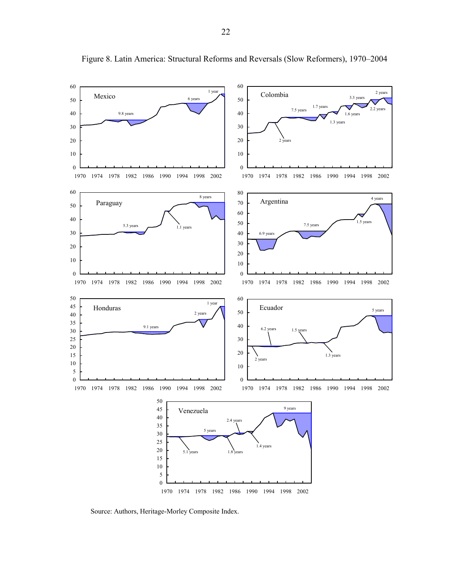

Figure 8. Latin America: Structural Reforms and Reversals (Slow Reformers), 1970–2004

Source: Authors, Heritage-Morley Composite Index.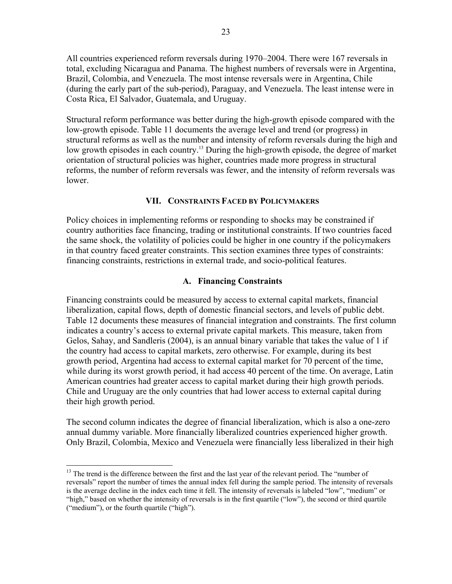All countries experienced reform reversals during 1970–2004. There were 167 reversals in total, excluding Nicaragua and Panama. The highest numbers of reversals were in Argentina, Brazil, Colombia, and Venezuela. The most intense reversals were in Argentina, Chile (during the early part of the sub-period), Paraguay, and Venezuela. The least intense were in Costa Rica, El Salvador, Guatemala, and Uruguay.

Structural reform performance was better during the high-growth episode compared with the low-growth episode. Table 11 documents the average level and trend (or progress) in structural reforms as well as the number and intensity of reform reversals during the high and low growth episodes in each country.<sup>13</sup> During the high-growth episode, the degree of market orientation of structural policies was higher, countries made more progress in structural reforms, the number of reform reversals was fewer, and the intensity of reform reversals was lower.

#### **VII. CONSTRAINTS FACED BY POLICYMAKERS**

Policy choices in implementing reforms or responding to shocks may be constrained if country authorities face financing, trading or institutional constraints. If two countries faced the same shock, the volatility of policies could be higher in one country if the policymakers in that country faced greater constraints. This section examines three types of constraints: financing constraints, restrictions in external trade, and socio-political features.

#### **A. Financing Constraints**

Financing constraints could be measured by access to external capital markets, financial liberalization, capital flows, depth of domestic financial sectors, and levels of public debt. Table 12 documents these measures of financial integration and constraints. The first column indicates a country's access to external private capital markets. This measure, taken from Gelos, Sahay, and Sandleris (2004), is an annual binary variable that takes the value of 1 if the country had access to capital markets, zero otherwise. For example, during its best growth period, Argentina had access to external capital market for 70 percent of the time, while during its worst growth period, it had access 40 percent of the time. On average, Latin American countries had greater access to capital market during their high growth periods. Chile and Uruguay are the only countries that had lower access to external capital during their high growth period.

The second column indicates the degree of financial liberalization, which is also a one-zero annual dummy variable. More financially liberalized countries experienced higher growth. Only Brazil, Colombia, Mexico and Venezuela were financially less liberalized in their high

1

<sup>&</sup>lt;sup>13</sup> The trend is the difference between the first and the last year of the relevant period. The "number of reversals" report the number of times the annual index fell during the sample period. The intensity of reversals is the average decline in the index each time it fell. The intensity of reversals is labeled "low", "medium" or "high," based on whether the intensity of reversals is in the first quartile ("low"), the second or third quartile ("medium"), or the fourth quartile ("high").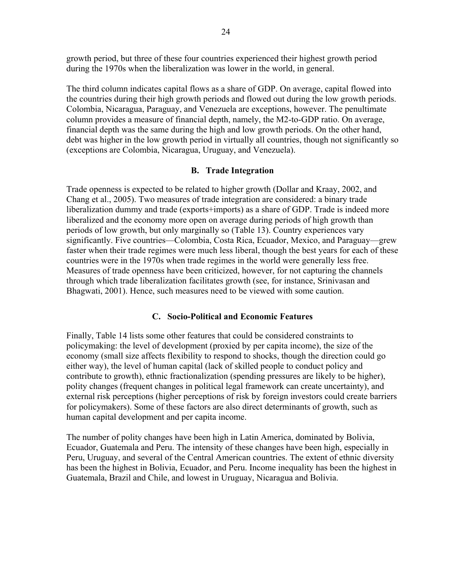growth period, but three of these four countries experienced their highest growth period during the 1970s when the liberalization was lower in the world, in general.

The third column indicates capital flows as a share of GDP. On average, capital flowed into the countries during their high growth periods and flowed out during the low growth periods. Colombia, Nicaragua, Paraguay, and Venezuela are exceptions, however. The penultimate column provides a measure of financial depth, namely, the M2-to-GDP ratio. On average, financial depth was the same during the high and low growth periods. On the other hand, debt was higher in the low growth period in virtually all countries, though not significantly so (exceptions are Colombia, Nicaragua, Uruguay, and Venezuela).

## **B. Trade Integration**

Trade openness is expected to be related to higher growth (Dollar and Kraay, 2002, and Chang et al., 2005). Two measures of trade integration are considered: a binary trade liberalization dummy and trade (exports+imports) as a share of GDP. Trade is indeed more liberalized and the economy more open on average during periods of high growth than periods of low growth, but only marginally so (Table 13). Country experiences vary significantly. Five countries—Colombia, Costa Rica, Ecuador, Mexico, and Paraguay—grew faster when their trade regimes were much less liberal, though the best years for each of these countries were in the 1970s when trade regimes in the world were generally less free. Measures of trade openness have been criticized, however, for not capturing the channels through which trade liberalization facilitates growth (see, for instance, Srinivasan and Bhagwati, 2001). Hence, such measures need to be viewed with some caution.

# **C. Socio-Political and Economic Features**

Finally, Table 14 lists some other features that could be considered constraints to policymaking: the level of development (proxied by per capita income), the size of the economy (small size affects flexibility to respond to shocks, though the direction could go either way), the level of human capital (lack of skilled people to conduct policy and contribute to growth), ethnic fractionalization (spending pressures are likely to be higher), polity changes (frequent changes in political legal framework can create uncertainty), and external risk perceptions (higher perceptions of risk by foreign investors could create barriers for policymakers). Some of these factors are also direct determinants of growth, such as human capital development and per capita income.

The number of polity changes have been high in Latin America, dominated by Bolivia, Ecuador, Guatemala and Peru. The intensity of these changes have been high, especially in Peru, Uruguay, and several of the Central American countries. The extent of ethnic diversity has been the highest in Bolivia, Ecuador, and Peru. Income inequality has been the highest in Guatemala, Brazil and Chile, and lowest in Uruguay, Nicaragua and Bolivia.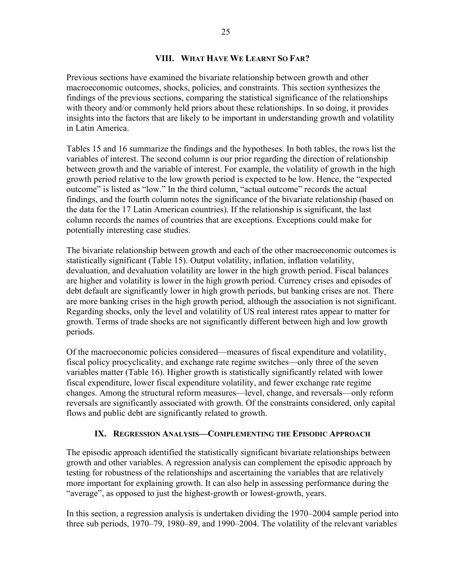#### **VIII. WHAT HAVE WE LEARNT SO FAR?**

Previous sections have examined the bivariate relationship between growth and other macroeconomic outcomes, shocks, policies, and constraints. This section synthesizes the findings of the previous sections, comparing the statistical significance of the relationships with theory and/or commonly held priors about these relationships. In so doing, it provides insights into the factors that are likely to be important in understanding growth and volatility in Latin America.

Tables 15 and 16 summarize the findings and the hypotheses. In both tables, the rows list the variables of interest. The second column is our prior regarding the direction of relationship between growth and the variable of interest. For example, the volatility of growth in the high growth period relative to the low growth period is expected to be low. Hence, the "expected outcome" is listed as "low." In the third column, "actual outcome" records the actual findings, and the fourth column notes the significance of the bivariate relationship (based on the data for the 17 Latin American countries). If the relationship is significant, the last column records the names of countries that are exceptions. Exceptions could make for potentially interesting case studies.

The bivariate relationship between growth and each of the other macroeconomic outcomes is statistically significant (Table 15). Output volatility, inflation, inflation volatility, devaluation, and devaluation volatility are lower in the high growth period. Fiscal balances are higher and volatility is lower in the high growth period. Currency crises and episodes of debt default are significantly lower in high growth periods, but banking crises are not. There are more banking crises in the high growth period, although the association is not significant. Regarding shocks, only the level and volatility of US real interest rates appear to matter for growth. Terms of trade shocks are not significantly different between high and low growth periods.

Of the macroeconomic policies considered—measures of fiscal expenditure and volatility, fiscal policy procyclicality, and exchange rate regime switches—only three of the seven variables matter (Table 16). Higher growth is statistically significantly related with lower fiscal expenditure, lower fiscal expenditure volatility, and fewer exchange rate regime changes. Among the structural reform measures—level, change, and reversals—only reform reversals are significantly associated with growth. Of the constraints considered, only capital flows and public debt are significantly related to growth.

# **IX. REGRESSION ANALYSIS—COMPLEMENTING THE EPISODIC APPROACH**

The episodic approach identified the statistically significant bivariate relationships between growth and other variables. A regression analysis can complement the episodic approach by testing for robustness of the relationships and ascertaining the variables that are relatively more important for explaining growth. It can also help in assessing performance during the "average", as opposed to just the highest-growth or lowest-growth, years.

In this section, a regression analysis is undertaken dividing the 1970–2004 sample period into three sub periods, 1970–79, 1980–89, and 1990–2004. The volatility of the relevant variables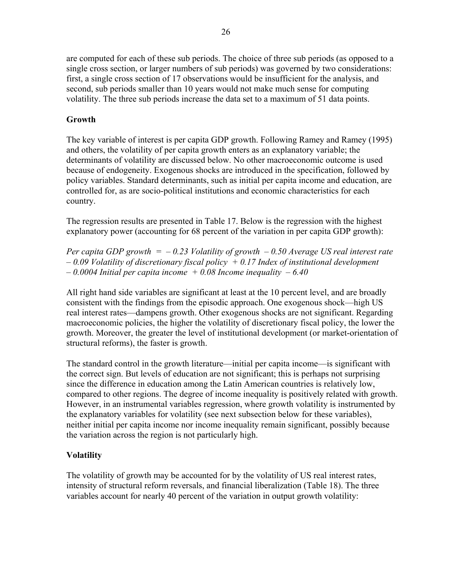are computed for each of these sub periods. The choice of three sub periods (as opposed to a single cross section, or larger numbers of sub periods) was governed by two considerations: first, a single cross section of 17 observations would be insufficient for the analysis, and second, sub periods smaller than 10 years would not make much sense for computing volatility. The three sub periods increase the data set to a maximum of 51 data points.

#### **Growth**

The key variable of interest is per capita GDP growth. Following Ramey and Ramey (1995) and others, the volatility of per capita growth enters as an explanatory variable; the determinants of volatility are discussed below. No other macroeconomic outcome is used because of endogeneity. Exogenous shocks are introduced in the specification, followed by policy variables. Standard determinants, such as initial per capita income and education, are controlled for, as are socio-political institutions and economic characteristics for each country.

The regression results are presented in Table 17. Below is the regression with the highest explanatory power (accounting for 68 percent of the variation in per capita GDP growth):

*Per capita GDP growth = – 0.23 Volatility of growth – 0.50 Average US real interest rate – 0.09 Volatility of discretionary fiscal policy + 0.17 Index of institutional development*   $-0.0004$  Initial per capita income  $+0.08$  Income inequality  $-6.40$ 

All right hand side variables are significant at least at the 10 percent level, and are broadly consistent with the findings from the episodic approach. One exogenous shock—high US real interest rates—dampens growth. Other exogenous shocks are not significant. Regarding macroeconomic policies, the higher the volatility of discretionary fiscal policy, the lower the growth. Moreover, the greater the level of institutional development (or market-orientation of structural reforms), the faster is growth.

The standard control in the growth literature—initial per capita income—is significant with the correct sign. But levels of education are not significant; this is perhaps not surprising since the difference in education among the Latin American countries is relatively low, compared to other regions. The degree of income inequality is positively related with growth. However, in an instrumental variables regression, where growth volatility is instrumented by the explanatory variables for volatility (see next subsection below for these variables), neither initial per capita income nor income inequality remain significant, possibly because the variation across the region is not particularly high.

#### **Volatility**

The volatility of growth may be accounted for by the volatility of US real interest rates, intensity of structural reform reversals, and financial liberalization (Table 18). The three variables account for nearly 40 percent of the variation in output growth volatility: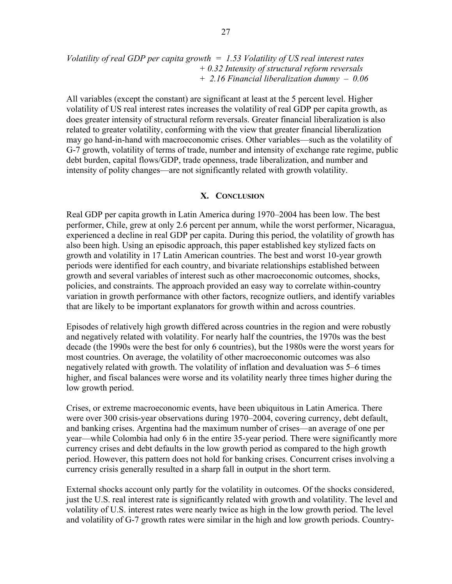*Volatility of real GDP per capita growth = 1.53 Volatility of US real interest rates + 0.32 Intensity of structural reform reversals + 2.16 Financial liberalization dummy – 0.06* 

All variables (except the constant) are significant at least at the 5 percent level. Higher volatility of US real interest rates increases the volatility of real GDP per capita growth, as does greater intensity of structural reform reversals. Greater financial liberalization is also related to greater volatility, conforming with the view that greater financial liberalization may go hand-in-hand with macroeconomic crises. Other variables—such as the volatility of G-7 growth, volatility of terms of trade, number and intensity of exchange rate regime, public debt burden, capital flows/GDP, trade openness, trade liberalization, and number and intensity of polity changes—are not significantly related with growth volatility.

#### **X. CONCLUSION**

Real GDP per capita growth in Latin America during 1970–2004 has been low. The best performer, Chile, grew at only 2.6 percent per annum, while the worst performer, Nicaragua, experienced a decline in real GDP per capita. During this period, the volatility of growth has also been high. Using an episodic approach, this paper established key stylized facts on growth and volatility in 17 Latin American countries. The best and worst 10-year growth periods were identified for each country, and bivariate relationships established between growth and several variables of interest such as other macroeconomic outcomes, shocks, policies, and constraints. The approach provided an easy way to correlate within-country variation in growth performance with other factors, recognize outliers, and identify variables that are likely to be important explanators for growth within and across countries.

Episodes of relatively high growth differed across countries in the region and were robustly and negatively related with volatility. For nearly half the countries, the 1970s was the best decade (the 1990s were the best for only 6 countries), but the 1980s were the worst years for most countries. On average, the volatility of other macroeconomic outcomes was also negatively related with growth. The volatility of inflation and devaluation was 5–6 times higher, and fiscal balances were worse and its volatility nearly three times higher during the low growth period.

Crises, or extreme macroeconomic events, have been ubiquitous in Latin America. There were over 300 crisis-year observations during 1970–2004, covering currency, debt default, and banking crises. Argentina had the maximum number of crises—an average of one per year—while Colombia had only 6 in the entire 35-year period. There were significantly more currency crises and debt defaults in the low growth period as compared to the high growth period. However, this pattern does not hold for banking crises. Concurrent crises involving a currency crisis generally resulted in a sharp fall in output in the short term.

External shocks account only partly for the volatility in outcomes. Of the shocks considered, just the U.S. real interest rate is significantly related with growth and volatility. The level and volatility of U.S. interest rates were nearly twice as high in the low growth period. The level and volatility of G-7 growth rates were similar in the high and low growth periods. Country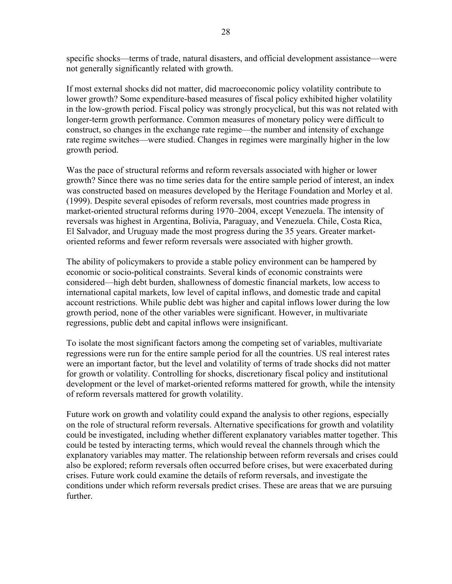specific shocks—terms of trade, natural disasters, and official development assistance—were not generally significantly related with growth.

If most external shocks did not matter, did macroeconomic policy volatility contribute to lower growth? Some expenditure-based measures of fiscal policy exhibited higher volatility in the low-growth period. Fiscal policy was strongly procyclical, but this was not related with longer-term growth performance. Common measures of monetary policy were difficult to construct, so changes in the exchange rate regime—the number and intensity of exchange rate regime switches—were studied. Changes in regimes were marginally higher in the low growth period.

Was the pace of structural reforms and reform reversals associated with higher or lower growth? Since there was no time series data for the entire sample period of interest, an index was constructed based on measures developed by the Heritage Foundation and Morley et al. (1999). Despite several episodes of reform reversals, most countries made progress in market-oriented structural reforms during 1970–2004, except Venezuela. The intensity of reversals was highest in Argentina, Bolivia, Paraguay, and Venezuela. Chile, Costa Rica, El Salvador, and Uruguay made the most progress during the 35 years. Greater marketoriented reforms and fewer reform reversals were associated with higher growth.

The ability of policymakers to provide a stable policy environment can be hampered by economic or socio-political constraints. Several kinds of economic constraints were considered—high debt burden, shallowness of domestic financial markets, low access to international capital markets, low level of capital inflows, and domestic trade and capital account restrictions. While public debt was higher and capital inflows lower during the low growth period, none of the other variables were significant. However, in multivariate regressions, public debt and capital inflows were insignificant.

To isolate the most significant factors among the competing set of variables, multivariate regressions were run for the entire sample period for all the countries. US real interest rates were an important factor, but the level and volatility of terms of trade shocks did not matter for growth or volatility. Controlling for shocks, discretionary fiscal policy and institutional development or the level of market-oriented reforms mattered for growth, while the intensity of reform reversals mattered for growth volatility.

Future work on growth and volatility could expand the analysis to other regions, especially on the role of structural reform reversals. Alternative specifications for growth and volatility could be investigated, including whether different explanatory variables matter together. This could be tested by interacting terms, which would reveal the channels through which the explanatory variables may matter. The relationship between reform reversals and crises could also be explored; reform reversals often occurred before crises, but were exacerbated during crises. Future work could examine the details of reform reversals, and investigate the conditions under which reform reversals predict crises. These are areas that we are pursuing further.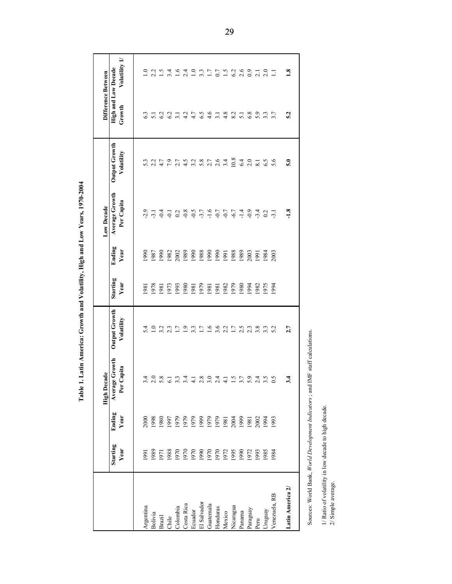|                                                                            |                         |                | <b>High Decade</b>                                                            |                             |                  |                | Low Decade                   |                             | Difference Between                   |                  |
|----------------------------------------------------------------------------|-------------------------|----------------|-------------------------------------------------------------------------------|-----------------------------|------------------|----------------|------------------------------|-----------------------------|--------------------------------------|------------------|
|                                                                            | <b>Starting</b><br>Year | Ending<br>Year | <b>Average Growth</b><br>Capita<br>Per                                        | Output Growth<br>Volatility | Starting<br>Year | Ending<br>Year | Average Growth<br>Per Capita | Output Growth<br>Volatility | <b>High and Low Decade</b><br>Growth | Volatility 1/    |
| Argentina                                                                  | 991                     | 2000           | 3.4                                                                           | 5.4                         | 1981             | 990            | $-2.9$                       | 5.3                         |                                      | $\overline{10}$  |
| Bolivia                                                                    | 1989                    | 1998           | 2.0                                                                           | $\overline{1.0}$            | 1978             | 1987           | $-3.1$                       | 2.2                         | $\overline{51}$                      | 2.2              |
| Brazil                                                                     | 1971                    | 1980           | 5.8                                                                           | 3.2                         | 1981             | 1990           | $-0.4$                       | 4.7                         | 6.2                                  | 1.5              |
| Chile                                                                      | 1988                    | 1997           | 6.1                                                                           | 2.3                         | 1973             | 1982           | $\overline{Q}$               | 7.9                         | 6.2                                  | 3.4              |
| Colombia                                                                   | 1970                    | 1979           | 3.3                                                                           | 1.7                         | 1993             | 2002           |                              | 2.7                         | 3.1                                  | 1.6              |
| Costa Rica                                                                 | 1970                    | 1979           | 3.4                                                                           | $\overline{1.9}$            | 1980             | 1989           | $0.2$<br>$-0.8$              | 4.5                         | 4.2                                  | 2.4              |
| Ecuador                                                                    | 1970                    | 1979           | $\overline{4.1}$                                                              | $3.\overline{3}$            | 1981             | 1990           |                              | Ņ<br>$\sim$                 | 4.7                                  | $\overline{1.0}$ |
| El Salvador                                                                | 1990                    | 1999           | 2.8                                                                           | 1.7                         | 1979             | 1988           | $3.7977$<br>$-2.7977$        | 5.8                         | 6.5                                  | $3.\overline{3}$ |
| Guatemala                                                                  | 1970                    | 1979           | 3.0                                                                           |                             | 1981             | 1990           |                              | 2.7                         | 4.6                                  | 1.7              |
| Honduras                                                                   | 1970                    | 1979           | 2.4                                                                           | $1.6$<br>3.6                | 1981             | 1990           |                              | 2.6                         | $\overline{3}$ .                     | 0.7              |
| Mexico                                                                     | 1972                    | 1981           | $\overline{4}$ .                                                              | 2.2                         | 1982             | 1991           |                              | 3.4                         | 4.8                                  | 1.5              |
| Nicaragua                                                                  | 1995                    | 2004           | 1.5                                                                           | 1.7                         | 1979             | 1988           | $-6.7$                       | 10.8                        | 8.2                                  | 6.2              |
| Panama                                                                     | 1990                    | 1999           | 3.7                                                                           | 2.5                         | 1980             | 1989           | $-1.4$                       | 6.4                         | 5.1                                  | 2.6              |
| Paraguay                                                                   | 1972                    | 1981           | 5.9                                                                           | 2.3                         | 1994             | 2003           | $-0.9$                       | 2.0                         | 6.8                                  | $_{0.9}$         |
| Peru                                                                       | 1993                    | 2002           | 2.4                                                                           | 3.8                         | 1982             | 1991           | $-3.4$                       | $\overline{\infty}$         | 5.9                                  | $\overline{2.1}$ |
| Uruguay                                                                    | 1985                    | 1994           | 3.5                                                                           | $3.\overline{3}$            | 1975             | 1984           | 0.2                          | 6.5                         | $3.\overline{3}$                     | 2.0              |
| Venezuela, RB                                                              | 1984                    | 1993           | 0.5                                                                           | 5.2                         | 1994             | 2003           | $-3.1$                       | 5.6                         | 3.7                                  | $\Box$           |
| Latin America 2/                                                           |                         |                | 3.4                                                                           | 2.7                         |                  |                | $-1.8$                       | $\overline{5.0}$            | 5.2                                  | $\frac{8}{16}$   |
|                                                                            |                         |                | Sources: World Bank, World Development Indicators; and IMF staff calculations |                             |                  |                |                              |                             |                                      |                  |
|                                                                            |                         |                |                                                                               |                             |                  |                |                              |                             |                                      |                  |
| 1/ Ratio of volatility in low decade to high decade.<br>2/ Simple average. |                         |                |                                                                               |                             |                  |                |                              |                             |                                      |                  |

Table 1. Latin America: Growth and Volatility, High and Low Years, 1970-2004 **Table 1. Latin America: Growth and Volatility, High and Low Years, 1970-2004**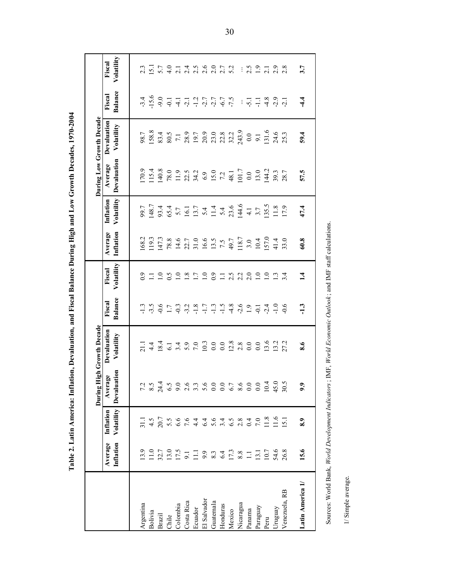|                                                   |                                           |                         | During                  | <b>High Growth Decade</b>                                 |                                                                                                                                                                                                                                                                                                                                                                                                                                                           |                      |                                                                                                                                                                                                                                                                                                     |                         |                        | During Low Growth Decade                                                                                                                                                                                                                                           |                                                                                     |                                                |
|---------------------------------------------------|-------------------------------------------|-------------------------|-------------------------|-----------------------------------------------------------|-----------------------------------------------------------------------------------------------------------------------------------------------------------------------------------------------------------------------------------------------------------------------------------------------------------------------------------------------------------------------------------------------------------------------------------------------------------|----------------------|-----------------------------------------------------------------------------------------------------------------------------------------------------------------------------------------------------------------------------------------------------------------------------------------------------|-------------------------|------------------------|--------------------------------------------------------------------------------------------------------------------------------------------------------------------------------------------------------------------------------------------------------------------|-------------------------------------------------------------------------------------|------------------------------------------------|
|                                                   | Average<br>Inflation                      | Volatility<br>Inflation | Devaluation<br>Average  | Devaluation<br>Volatility                                 | Balance<br>Fiscal                                                                                                                                                                                                                                                                                                                                                                                                                                         | Volatility<br>Fiscal | Inflation<br>Average                                                                                                                                                                                                                                                                                | Volatility<br>Inflation | Devaluation<br>Average | Devaluation<br>Volatility                                                                                                                                                                                                                                          | <b>Balance</b><br>Fiscal                                                            | Volatility<br>Fiscal                           |
| Argentina                                         | 13.9                                      | $\overline{31.1}$       |                         |                                                           |                                                                                                                                                                                                                                                                                                                                                                                                                                                           | 6.0                  |                                                                                                                                                                                                                                                                                                     |                         |                        | 98.7                                                                                                                                                                                                                                                               |                                                                                     | 2.3                                            |
| Bolivia                                           | 11.0                                      | 4.5                     | $7.\overline{3}$<br>8.5 | $\frac{1}{4}$                                             | $\begin{array}{l} \n  \  \, \alpha \  \  \, \alpha \  \  \, \alpha \  \  \, \alpha \  \  \, \alpha \  \  \, \alpha \  \  \, \alpha \  \  \, \alpha \  \  \, \alpha \  \  \, \alpha \  \  \, \alpha \  \  \, \alpha \  \  \, \alpha \  \  \, \alpha \  \  \, \alpha \  \  \, \alpha \  \  \, \alpha \  \  \, \alpha \  \  \, \alpha \  \  \, \alpha \  \  \, \alpha \  \  \, \alpha \  \  \, \alpha \  \  \, \alpha \  \  \, \alpha \  \  \, \alpha \  \ $ | $\Xi$                | $\begin{array}{l} 168.2 \\ 119.3 \\ 114.7 \\ 128.8 \\ 167.7 \\ 174.8 \\ 187.7 \\ 198.9 \\ 119.8 \\ 131.9 \\ 141.9 \\ 151.7 \\ 167.7 \\ 187.7 \\ 191.7 \\ 191.7 \\ 191.7 \\ 191.7 \\ 191.7 \\ 191.7 \\ 191.7 \\ 191.7 \\ 191.7 \\ 191.7 \\ 191.7 \\ 191.7 \\ 191.7 \\ 191.7 \\ 191.7 \\ 191.7 \\ 19$ | 99.7<br>148.7           |                        | 158.8                                                                                                                                                                                                                                                              |                                                                                     | $\overline{5}$ .                               |
| <b>Brazil</b>                                     | 32.7                                      | $20.7\,$                |                         |                                                           |                                                                                                                                                                                                                                                                                                                                                                                                                                                           |                      |                                                                                                                                                                                                                                                                                                     |                         |                        |                                                                                                                                                                                                                                                                    |                                                                                     |                                                |
| Chile                                             | 13.0<br>17.5                              | 5.5                     |                         |                                                           |                                                                                                                                                                                                                                                                                                                                                                                                                                                           |                      |                                                                                                                                                                                                                                                                                                     |                         |                        | $33.5 + 25.5 + 25.5 + 25.5 + 25.5 + 25.5 + 25.5 + 25.5 + 25.5 + 25.5 + 25.5 + 25.5 + 25.5 + 25.5 + 25.5 + 25.5 + 25.5 + 25.5 + 25.5 + 25.5 + 25.5 + 25.5 + 25.5 + 25.5 + 25.5 + 25.5 + 25.5 + 25.5 + 25.5 + 25.5 + 25.5 + 25.5 + 25.5 + 25.5 + 25.5 + 25.5 + 25.5$ |                                                                                     | 4.0                                            |
| Colombia                                          |                                           | 6.6                     |                         |                                                           |                                                                                                                                                                                                                                                                                                                                                                                                                                                           |                      |                                                                                                                                                                                                                                                                                                     |                         |                        |                                                                                                                                                                                                                                                                    |                                                                                     | $\overline{c}$                                 |
| Costa Rica                                        | $\frac{9.1}{11.1}$                        | 7.6                     |                         |                                                           |                                                                                                                                                                                                                                                                                                                                                                                                                                                           |                      |                                                                                                                                                                                                                                                                                                     |                         |                        |                                                                                                                                                                                                                                                                    |                                                                                     | 1<br>1<br>1<br>1<br>1<br>1<br>1<br>1<br>1<br>1 |
| Ecuador                                           |                                           | $4\overline{4}$         |                         |                                                           |                                                                                                                                                                                                                                                                                                                                                                                                                                                           |                      |                                                                                                                                                                                                                                                                                                     |                         |                        |                                                                                                                                                                                                                                                                    |                                                                                     |                                                |
| El Salvador                                       | 9.3                                       | 6.4                     |                         |                                                           |                                                                                                                                                                                                                                                                                                                                                                                                                                                           |                      |                                                                                                                                                                                                                                                                                                     |                         |                        |                                                                                                                                                                                                                                                                    |                                                                                     |                                                |
| Guatemala                                         |                                           | 5.6                     |                         |                                                           |                                                                                                                                                                                                                                                                                                                                                                                                                                                           |                      |                                                                                                                                                                                                                                                                                                     |                         |                        |                                                                                                                                                                                                                                                                    |                                                                                     |                                                |
| Honduras                                          | 6.4                                       | 3.4                     |                         |                                                           |                                                                                                                                                                                                                                                                                                                                                                                                                                                           |                      |                                                                                                                                                                                                                                                                                                     |                         |                        |                                                                                                                                                                                                                                                                    |                                                                                     |                                                |
| Mexico                                            | 17.3                                      | $6.5$<br>2.8            |                         |                                                           |                                                                                                                                                                                                                                                                                                                                                                                                                                                           |                      |                                                                                                                                                                                                                                                                                                     |                         |                        |                                                                                                                                                                                                                                                                    |                                                                                     | 5.2                                            |
| Nicaragua                                         | $\begin{array}{c} 8.8 \\ 1.1 \end{array}$ |                         |                         |                                                           |                                                                                                                                                                                                                                                                                                                                                                                                                                                           |                      |                                                                                                                                                                                                                                                                                                     |                         |                        |                                                                                                                                                                                                                                                                    |                                                                                     |                                                |
| Panama                                            |                                           | 0.4                     |                         |                                                           |                                                                                                                                                                                                                                                                                                                                                                                                                                                           |                      |                                                                                                                                                                                                                                                                                                     | $\frac{1}{4}$           |                        |                                                                                                                                                                                                                                                                    |                                                                                     |                                                |
| Paraguay                                          | 13.1                                      | $7.0\,$                 |                         |                                                           |                                                                                                                                                                                                                                                                                                                                                                                                                                                           | $\frac{0}{1}$ .0     |                                                                                                                                                                                                                                                                                                     |                         |                        |                                                                                                                                                                                                                                                                    |                                                                                     | $\frac{1}{2}$ .5 $\frac{5}{2}$ .1              |
| Peru                                              | 10.7                                      | 11.8                    | $0.04$<br>10.4          |                                                           |                                                                                                                                                                                                                                                                                                                                                                                                                                                           |                      |                                                                                                                                                                                                                                                                                                     | $3.7$<br>$1.8$<br>$1.8$ |                        |                                                                                                                                                                                                                                                                    | $\frac{1}{2}$ $\frac{1}{2}$ $\frac{1}{4}$ $\frac{3}{2}$ $\frac{9}{2}$ $\frac{1}{2}$ |                                                |
| Uruguay                                           | 54.6                                      | 11.6                    |                         |                                                           |                                                                                                                                                                                                                                                                                                                                                                                                                                                           | $\frac{1}{3}$        |                                                                                                                                                                                                                                                                                                     |                         |                        |                                                                                                                                                                                                                                                                    |                                                                                     | 2.9                                            |
| Venezuela, RB                                     | 26.8                                      | 15.1                    | 30.5                    |                                                           |                                                                                                                                                                                                                                                                                                                                                                                                                                                           | 3.4                  |                                                                                                                                                                                                                                                                                                     | 17.9                    |                        |                                                                                                                                                                                                                                                                    |                                                                                     |                                                |
| Latin America 1                                   | 15.6                                      | 8.9                     | $\mathbf{5}$            | 8.6                                                       | $-1.3$                                                                                                                                                                                                                                                                                                                                                                                                                                                    | $\vec{=}$            | 60.8                                                                                                                                                                                                                                                                                                | 47.4                    | 57.5                   | 59.4                                                                                                                                                                                                                                                               | $-4.4$                                                                              | 3.7                                            |
|                                                   |                                           |                         |                         |                                                           |                                                                                                                                                                                                                                                                                                                                                                                                                                                           |                      |                                                                                                                                                                                                                                                                                                     |                         |                        |                                                                                                                                                                                                                                                                    |                                                                                     |                                                |
| Sources: World Bank, World Development Indicators |                                           |                         |                         | ; IMF, World Economic Outlook; and IMF staff calculations |                                                                                                                                                                                                                                                                                                                                                                                                                                                           |                      |                                                                                                                                                                                                                                                                                                     |                         |                        |                                                                                                                                                                                                                                                                    |                                                                                     |                                                |
| 1/ Simple average.                                |                                           |                         |                         |                                                           |                                                                                                                                                                                                                                                                                                                                                                                                                                                           |                      |                                                                                                                                                                                                                                                                                                     |                         |                        |                                                                                                                                                                                                                                                                    |                                                                                     |                                                |

Table 2. Latin America: Inflation, Devaluation, and Fiscal Balance During High and Low Growth Decades, 1970-2004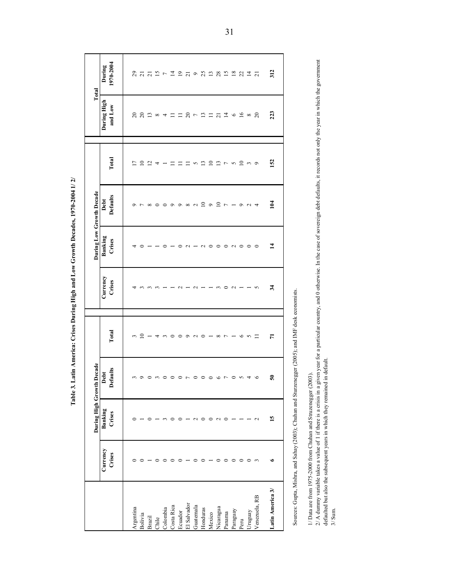Table 3. Latin America: Crises During High and Low Growth Decades, 1970-2004 1/2/

|                                                                                                    |                    | During High Growth | Decade                  |                      |                                                                                                                                                                                                                     | During Low Growth Decade |                          |                              | Total                                                                                                                                                                                                                                                                                                                                                                                                                                                                                                                                                                                                            |                                                                                                             |
|----------------------------------------------------------------------------------------------------|--------------------|--------------------|-------------------------|----------------------|---------------------------------------------------------------------------------------------------------------------------------------------------------------------------------------------------------------------|--------------------------|--------------------------|------------------------------|------------------------------------------------------------------------------------------------------------------------------------------------------------------------------------------------------------------------------------------------------------------------------------------------------------------------------------------------------------------------------------------------------------------------------------------------------------------------------------------------------------------------------------------------------------------------------------------------------------------|-------------------------------------------------------------------------------------------------------------|
|                                                                                                    | Currency<br>Crises | Banking<br>Crises  | <b>Defaults</b><br>Debt | Total                | Currency<br>Crises                                                                                                                                                                                                  | Banking<br>Crises        | <b>Defaults</b><br>Debt  | Total                        | During High<br>and Low                                                                                                                                                                                                                                                                                                                                                                                                                                                                                                                                                                                           | 1970-2004<br>During                                                                                         |
| Argentina                                                                                          | 0                  |                    | $\epsilon$              | 3                    | ↴                                                                                                                                                                                                                   | 4                        | $\circ$                  | Ξ                            | $\approx$                                                                                                                                                                                                                                                                                                                                                                                                                                                                                                                                                                                                        | 29                                                                                                          |
| Bolivia                                                                                            | $\circ$            |                    |                         |                      |                                                                                                                                                                                                                     | $\circ$                  |                          | $\overline{10}$              |                                                                                                                                                                                                                                                                                                                                                                                                                                                                                                                                                                                                                  |                                                                                                             |
| <b>Brazil</b>                                                                                      |                    | $\circ$            | 000000000000            | $2 - 4 - 0000000000$ | $\omega$ $\omega$ $\omega$                                                                                                                                                                                          |                          | r x 0 0 0 0 0 x 1 2 0    |                              | $22 \times 7 = 1$                                                                                                                                                                                                                                                                                                                                                                                                                                                                                                                                                                                                | $\begin{array}{l} 71 \\ 21 \\ 31 \end{array} \begin{array}{l} 2 \end{array} \begin{array}{l} 2 \end{array}$ |
| Chile                                                                                              | $\circ$            |                    |                         |                      |                                                                                                                                                                                                                     |                          |                          | $\Xi$ $\Rightarrow$ $ \Xi$   |                                                                                                                                                                                                                                                                                                                                                                                                                                                                                                                                                                                                                  |                                                                                                             |
| Colombia                                                                                           | $\circ$            | $\sim$             |                         |                      |                                                                                                                                                                                                                     | $\circ$                  |                          |                              |                                                                                                                                                                                                                                                                                                                                                                                                                                                                                                                                                                                                                  |                                                                                                             |
| Costa Rica                                                                                         | $\circ$            | ○                  |                         |                      |                                                                                                                                                                                                                     |                          |                          |                              |                                                                                                                                                                                                                                                                                                                                                                                                                                                                                                                                                                                                                  |                                                                                                             |
| Ecuador                                                                                            | $\circ$            | $\circ$            |                         |                      | $\sim$                                                                                                                                                                                                              | $\circ$                  |                          | $\equiv$                     |                                                                                                                                                                                                                                                                                                                                                                                                                                                                                                                                                                                                                  | $\mathbf{D}$                                                                                                |
| El Salvador                                                                                        |                    |                    |                         |                      |                                                                                                                                                                                                                     | $\sim$                   |                          |                              |                                                                                                                                                                                                                                                                                                                                                                                                                                                                                                                                                                                                                  |                                                                                                             |
| Guatemala                                                                                          | $\circ$            | $\sim$             |                         |                      |                                                                                                                                                                                                                     |                          |                          |                              |                                                                                                                                                                                                                                                                                                                                                                                                                                                                                                                                                                                                                  |                                                                                                             |
| Honduras                                                                                           | $\circ$            | $\circ$            |                         |                      | $\begin{array}{c}\n\alpha & - & - & \alpha \\ \alpha & - & - & \alpha\n\end{array}$                                                                                                                                 | $\sim$ 0                 |                          | <b>ロ 5 B D D 7 5 0 3 9 9</b> | $\begin{array}{c} 2 \rightarrow 0 \\ 0 \rightarrow 0 \\ 0 \rightarrow 0 \\ 0 \rightarrow 0 \\ 0 \rightarrow 0 \\ 0 \rightarrow 0 \\ 0 \rightarrow 0 \\ 0 \rightarrow 0 \\ 0 \rightarrow 0 \\ 0 \rightarrow 0 \\ 0 \rightarrow 0 \\ 0 \rightarrow 0 \\ 0 \rightarrow 0 \\ 0 \rightarrow 0 \\ 0 \rightarrow 0 \\ 0 \rightarrow 0 \\ 0 \rightarrow 0 \\ 0 \rightarrow 0 \\ 0 \rightarrow 0 \\ 0 \rightarrow 0 \\ 0 \rightarrow 0 \\ 0 \rightarrow 0 \\ 0 \rightarrow 0 \\ 0 \rightarrow 0 \\ 0 \rightarrow 0 \\ 0 \rightarrow 0 \\ 0 \rightarrow 0 \\ 0 \rightarrow 0 \\ 0 \rightarrow 0 \\ 0 \rightarrow 0 \\ 0 \$ | J 9 3 2 3 2 3 3 4 5                                                                                         |
| Mexico                                                                                             |                    | $\circ$            |                         |                      |                                                                                                                                                                                                                     |                          |                          |                              |                                                                                                                                                                                                                                                                                                                                                                                                                                                                                                                                                                                                                  |                                                                                                             |
| Nicaragua                                                                                          | $\circ$            | $\sim$             |                         |                      |                                                                                                                                                                                                                     | $\circ$                  | $\overline{10}$          |                              |                                                                                                                                                                                                                                                                                                                                                                                                                                                                                                                                                                                                                  |                                                                                                             |
| Panama                                                                                             | $\circ$            | $\circ$            |                         |                      |                                                                                                                                                                                                                     | $\circ$                  | $\overline{\phantom{a}}$ |                              |                                                                                                                                                                                                                                                                                                                                                                                                                                                                                                                                                                                                                  |                                                                                                             |
| Paraguay                                                                                           | $\circ$            |                    | 0.04                    |                      | $\sim$ $-$                                                                                                                                                                                                          | $\sim$                   |                          |                              | $\begin{array}{ccc} \Xi & \phi & \Xi & \infty \end{array}$                                                                                                                                                                                                                                                                                                                                                                                                                                                                                                                                                       |                                                                                                             |
| Peru                                                                                               | $\circ$            |                    |                         |                      |                                                                                                                                                                                                                     |                          |                          |                              |                                                                                                                                                                                                                                                                                                                                                                                                                                                                                                                                                                                                                  |                                                                                                             |
| Uruguay                                                                                            | $\circ$ $\circ$    |                    |                         | $    -$              | $-5$                                                                                                                                                                                                                | $\circ$                  | $ 0$ $0$ $4$             |                              |                                                                                                                                                                                                                                                                                                                                                                                                                                                                                                                                                                                                                  |                                                                                                             |
| Venezuela, RB                                                                                      |                    | $\sim$             | $\circ$                 |                      |                                                                                                                                                                                                                     | $\circ$                  |                          |                              | $\Omega$                                                                                                                                                                                                                                                                                                                                                                                                                                                                                                                                                                                                         |                                                                                                             |
| Latin America 3/                                                                                   | ء                  | 15                 | $50^{\circ}$            | $\overline{r}$       | 34                                                                                                                                                                                                                  | $\mathbf{1}$             | 104                      | 152                          | 223                                                                                                                                                                                                                                                                                                                                                                                                                                                                                                                                                                                                              | 312                                                                                                         |
| Sources: Gupta, Mishra, and Sahay (2003); Chuhan and Sturzenegger (2005); and IMF desk economists. |                    |                    |                         |                      |                                                                                                                                                                                                                     |                          |                          |                              |                                                                                                                                                                                                                                                                                                                                                                                                                                                                                                                                                                                                                  |                                                                                                             |
| 1/ Data are from 1975-2000 from Chuhan and Struzenegger (2003).                                    |                    |                    |                         |                      | 2/ A dummy variable takes a value of 1 if there is a crisis in a given year for a particular country, and 0 otherwise. In the case of sovereign debt defaults, it records not only the year in which the government |                          |                          |                              |                                                                                                                                                                                                                                                                                                                                                                                                                                                                                                                                                                                                                  |                                                                                                             |
| defaulted but also the subsequent years in which they remained<br>$3/$ Sum                         |                    |                    | in default              |                      |                                                                                                                                                                                                                     |                          |                          |                              |                                                                                                                                                                                                                                                                                                                                                                                                                                                                                                                                                                                                                  |                                                                                                             |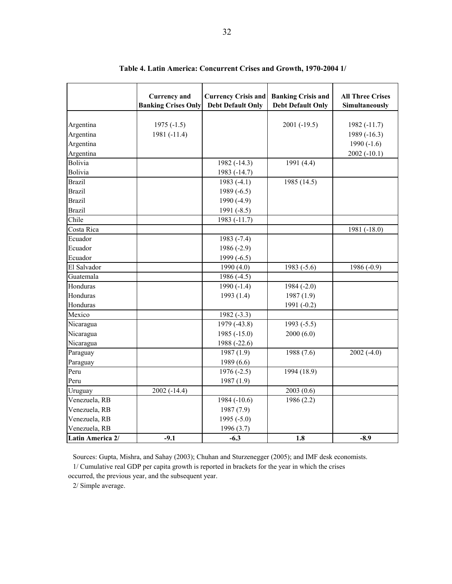|                  | <b>Currency</b> and<br><b>Banking Crises Only</b> | <b>Currency Crisis and</b><br><b>Debt Default Only</b> | <b>Banking Crisis and</b><br><b>Debt Default Only</b> | <b>All Three Crises</b><br>Simultaneously |
|------------------|---------------------------------------------------|--------------------------------------------------------|-------------------------------------------------------|-------------------------------------------|
| Argentina        | $1975(-1.5)$                                      |                                                        | $2001 (-19.5)$                                        | 1982 (-11.7)                              |
| Argentina        | 1981 (-11.4)                                      |                                                        |                                                       | 1989 (-16.3)                              |
| Argentina        |                                                   |                                                        |                                                       | 1990 $(-1.6)$                             |
| Argentina        |                                                   |                                                        |                                                       | $2002(-10.1)$                             |
| Bolivia          |                                                   | 1982 (-14.3)                                           | 1991 (4.4)                                            |                                           |
| Bolivia          |                                                   | 1983 (-14.7)                                           |                                                       |                                           |
| <b>Brazil</b>    |                                                   | 1983 $(-4.1)$                                          | 1985 (14.5)                                           |                                           |
| <b>Brazil</b>    |                                                   | 1989 $(-6.5)$                                          |                                                       |                                           |
| <b>Brazil</b>    |                                                   | 1990 $(-4.9)$                                          |                                                       |                                           |
| <b>Brazil</b>    |                                                   | 1991 $(-8.5)$                                          |                                                       |                                           |
| Chile            |                                                   | 1983 (-11.7)                                           |                                                       |                                           |
| Costa Rica       |                                                   |                                                        |                                                       | 1981 (-18.0)                              |
| Ecuador          |                                                   | 1983 $(-7.4)$                                          |                                                       |                                           |
| Ecuador          |                                                   | 1986 $(-2.9)$                                          |                                                       |                                           |
| Ecuador          |                                                   | 1999 $(-6.5)$                                          |                                                       |                                           |
| El Salvador      |                                                   | 1990 (4.0)                                             | 1983 $(-5.6)$                                         | 1986 $(-0.9)$                             |
| Guatemala        |                                                   | 1986 (-4.5)                                            |                                                       |                                           |
| Honduras         |                                                   | 1990 $(-1.4)$                                          | 1984 $(-2.0)$                                         |                                           |
| Honduras         |                                                   | 1993 (1.4)                                             | 1987(1.9)                                             |                                           |
| Honduras         |                                                   |                                                        | 1991 (-0.2)                                           |                                           |
| Mexico           |                                                   | $1982(-3.3)$                                           |                                                       |                                           |
| Nicaragua        |                                                   | 1979 (-43.8)                                           | 1993 $(-5.5)$                                         |                                           |
| Nicaragua        |                                                   | 1985 $(-15.0)$                                         | 2000(6.0)                                             |                                           |
| Nicaragua        |                                                   | 1988 (-22.6)                                           |                                                       |                                           |
| Paraguay         |                                                   | 1987(1.9)                                              | 1988 (7.6)                                            | $2002(-4.0)$                              |
| Paraguay         |                                                   | 1989 (6.6)                                             |                                                       |                                           |
| Peru             |                                                   | $1976(-2.5)$                                           | 1994 (18.9)                                           |                                           |
| Peru             |                                                   | 1987 (1.9)                                             |                                                       |                                           |
| Uruguay          | $2002(-14.4)$                                     |                                                        | 2003(0.6)                                             |                                           |
| Venezuela, RB    |                                                   | $1984(-10.6)$                                          | $\overline{1}986(2.2)$                                |                                           |
| Venezuela, RB    |                                                   | 1987 (7.9)                                             |                                                       |                                           |
| Venezuela, RB    |                                                   | 1995 $(-5.0)$                                          |                                                       |                                           |
| Venezuela, RB    |                                                   | 1996 (3.7)                                             |                                                       |                                           |
| Latin America 2/ | $-9.1$                                            | $-6.3$                                                 | 1.8                                                   | $-8.9$                                    |

**Table 4. Latin America: Concurrent Crises and Growth, 1970-2004 1/**

Sources: Gupta, Mishra, and Sahay (2003); Chuhan and Sturzenegger (2005); and IMF desk economists. 1/ Cumulative real GDP per capita growth is reported in brackets for the year in which the crises

occurred, the previous year, and the subsequent year.

2/ Simple average.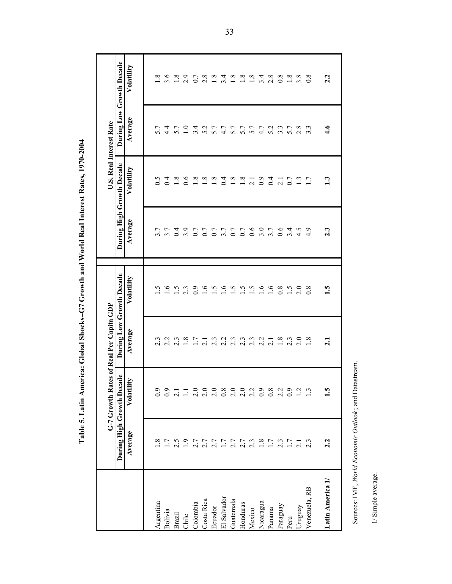|                                                      |                         | G-7 Growth Rates of Real Per Capita GDP |                                                          |                                                     |              |                           | U.S. Real Interest Rate |                           |
|------------------------------------------------------|-------------------------|-----------------------------------------|----------------------------------------------------------|-----------------------------------------------------|--------------|---------------------------|-------------------------|---------------------------|
|                                                      |                         | During High Growth Decade               |                                                          | During Low Growth Decade                            |              | During High Growth Decade |                         | During Low Growth Decade  |
|                                                      | Average                 | Volatility                              | Average                                                  | Volatility                                          | Average      | Volatility                | Average                 | Volatility                |
| Argentina                                            | $\infty$                | $\overline{0.9}$                        | ن<br>$\sim$                                              | v                                                   | 3.7          | 6.5                       | 5.7                     | $\infty$                  |
| Bolivia                                              | 1.7                     | 6.0                                     |                                                          | 1.6                                                 | 3.7          | 0.4                       | $\frac{4}{4}$           |                           |
| Brazil                                               | 2.5                     | $\overline{2.1}$                        | $2.\overline{3}$<br>$2.\overline{3}$<br>$1.\overline{7}$ | $1.5$<br>2.3                                        |              | 1.8                       |                         | 5 8 9 7 8 9 9 4 8 9 9 9 1 |
| Chile                                                | 1.9                     | $\Xi$                                   |                                                          |                                                     | 0.4          | 0.6                       | $5.7$<br>1.0            |                           |
| Colombia                                             | 2.7                     | 2.0                                     |                                                          | 0.9                                                 | 0.7          | 1.8                       | 3.4                     |                           |
| Costa Rica                                           | 2.7                     | $\frac{0}{2.0}$                         |                                                          | 1.6                                                 |              | 1.8                       |                         |                           |
| Ecuador                                              | 2.7                     |                                         | 1 3 3 3 3 4 5 6 7 6<br>1 8 9 9 9 9 9 9 0                 | $\begin{array}{c}\n 25 \\  25 \\  36\n \end{array}$ | $0.7$<br>0.7 | 1.8                       | 5.7                     |                           |
| El Salvador                                          | 1.7                     |                                         |                                                          |                                                     |              | 0.4                       |                         |                           |
| Guatemala                                            | $2.7$<br>2.7            | $0.8$<br>$2.0$<br>$2.0$                 |                                                          |                                                     | $3.7$<br>0.7 | $1.8\,$                   | $4.7$<br>5.7            |                           |
| Honduras                                             |                         |                                         |                                                          |                                                     | 0.7          | $1.8\,$                   | 5.7                     |                           |
| Mexico                                               |                         |                                         |                                                          | $\frac{15}{16}$                                     |              | $\overline{2.1}$          | 5.7                     |                           |
| Nicaragua                                            | $2.\overline{3}$<br>1.8 | $2.3$<br>$0.9$                          |                                                          |                                                     | $0.6$<br>3.0 | $_{0.9}$                  |                         |                           |
| Panama                                               | 1.7                     | 0.8                                     |                                                          | 1.6                                                 | 3.7          | 0.4                       | 5.2                     | 2.8                       |
| Paraguay                                             | 2.3                     | $2.\overline{2}$<br>0.9                 |                                                          | 0.8                                                 | 0.6          | $\overline{2.1}$          | 3.3                     |                           |
| Peru                                                 |                         |                                         | $1.8$<br>$2.3$<br>$2.0$                                  | $\ddot{5}$                                          | 3.4          | 0.7                       |                         | $0.\overline{8}$<br>1.8   |
| Uruguay                                              | 2.1                     | $\overline{c}$                          |                                                          | 2.0                                                 | 4.5          | 1.3                       | 2.8                     |                           |
| Venezuela, RB                                        | 2.3                     | 1.3                                     | 1.8                                                      | 0.8                                                 | 4.9          | 1.7                       | $3.\overline{3}$        | 0.8                       |
| Latin America 1/                                     | 2.2                     | $\ddot{5}$                              | 2.1                                                      | 1.5                                                 | 2.3          | 1.3                       | $\ddot{4.6}$            | 2.2                       |
| Sources: IMF, World Economic Outlook; and Datastream |                         |                                         |                                                          |                                                     |              |                           |                         |                           |
| 1/ Simple average.                                   |                         |                                         |                                                          |                                                     |              |                           |                         |                           |

Table 5. Latin America: Global Shocks-G7 Growth and World Real Interest Rates, 1970-2004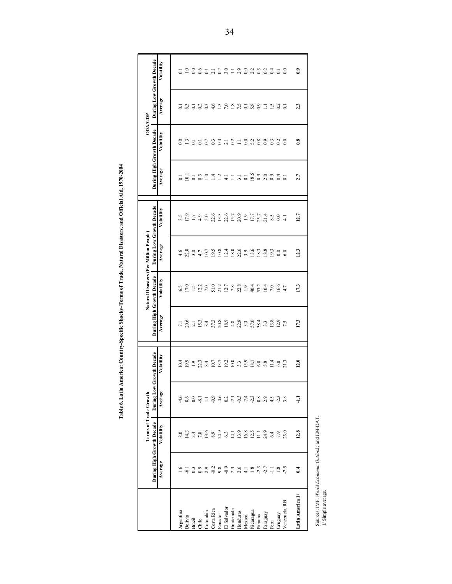Table 6. Latin America: Country-Specific Shocks-Terms of Trade, Natural Disasters, and Official Aid, 1970-2004 **Table 6. Latin America: Country-Specific Shocks–Terms of Trade, Natural Disasters, and Official Aid, 1970-2004**

|                                                   |                 | <b>Terms of Trade Growth</b> |               |                      |                           | Natural Disasters (Per Million People) |                          |                 |                           | ODA/GDP                 |                          |                                 |
|---------------------------------------------------|-----------------|------------------------------|---------------|----------------------|---------------------------|----------------------------------------|--------------------------|-----------------|---------------------------|-------------------------|--------------------------|---------------------------------|
|                                                   |                 | During High Growth Decade    | During Low    | <b>Growth Decade</b> | During High Growth Decade |                                        | During Low Growth Decade |                 | During High Growth Decade |                         | During Low Growth Decade |                                 |
|                                                   | Average         | Volatility                   | Average       | Volatility           | Average                   | Volatility                             | Average                  | Volatility      | Average                   | Volatility              | Average                  | Volatility                      |
|                                                   |                 |                              |               |                      |                           |                                        |                          |                 |                           |                         |                          |                                 |
| Argentina                                         |                 |                              |               | 10.4                 | $\overline{z}$            |                                        | 4.6                      | 3.5             |                           |                         |                          |                                 |
| Bolivia                                           | $-6.1$          | 14.3                         | 0.6           | 19.9                 | 20.6                      | 17.0                                   | 22.8                     | 17.9            | $\overline{10}$           | $\mathbf{r}$            | 63                       | 1.0                             |
| <b>Brazil</b>                                     | 0.3             | 3.4                          | $_{0.0}$      |                      | 2.1                       | 1.5                                    | 3.0                      | 17              | $\overline{\circ}$        | $\overline{c}$          | $\overline{\circ}$       | $_{0.0}$                        |
| Chile                                             | $_{0.9}$        | 7.8                          | $-8.1$        | $1.9$<br>22.3        | 15.3                      | 12.2                                   | 4.7                      | 4.9             | $0.\overline{3}$          | $\overline{0}$          | 0.2                      | 0.6                             |
| Colombia                                          | 2.9             | 13.6                         | $\Box$        | 8.4                  | 8.4                       | $7.0\,$                                | 10.7                     | 5.0             | $\overline{1.0}$          | 0.7                     | 0.3                      |                                 |
| Costa Rica                                        | $-0.2$          | 8.9                          | $-0.9$        | 10.7                 | 37.3                      | 51.0                                   | 19.5                     | 32.6            | $\overline{14}$           | 0.3                     | 4.6                      | $\overline{2}$ , $\overline{1}$ |
| Ecuador                                           | 9.8             | 24.9                         | $-4.6$        | 13.7                 | 20.8                      | 21.2                                   | 10.8                     | 13.3            | $\frac{1}{4}$             | $0.4$<br>$2.1$<br>$0.2$ | $\frac{3}{2}$            | 0.7                             |
| El Salvador                                       | $-0.9$          | 6.3                          | 0.2           | 19.2                 | 18.9                      | 12.7                                   | 12.4                     | 22.6            |                           |                         | 7.0                      |                                 |
| Guatemala                                         | 2.3             | $\Xi$                        |               | 10.0                 | 4.8                       | $7.8\,$                                | 18.0                     | 15.7            | $\Xi$                     |                         | 1.8                      | $3.1$ 0.0                       |
| Honduras                                          | 2.6             | 13.9                         |               | 3.3                  | 22.8                      | 22.8                                   | 22.6                     | 20.9            | $\overline{3}$ .          | Ξ                       | 7.5                      |                                 |
| Mexico                                            | $\overline{41}$ | 16.8                         | $-3, 4, 0, 8$ | 15.9                 | 3.3                       | 1.9                                    | 3.9                      | 1.9             | $\overline{0}$ .          | $_{0.0}$                | $\overline{0}$ .         |                                 |
| Nicaragua                                         | $1.8\,$         | 12.5                         |               | 18.1                 | 57.0                      | 40.4                                   | 13.6                     | 17.7            | 18.5                      | 5.2                     | 5.8                      | $2.2$<br>0.3                    |
| Panama                                            | $-2.3$          | Ξ                            |               | 6.0                  | 38.4                      | 53.2                                   | 18.3                     | 23.7            | $_{0.9}$                  | 0.8                     | $_{0.9}$                 |                                 |
| Paraguay                                          | $-2.7$          | 24.9                         | 2.9           | 5.8                  | 3.3                       | 10.4                                   | 18.8                     | 21.4            | 2.0                       | $_{0.9}$                | $\Xi$                    | $rac{2}{0.4}$                   |
| Peru                                              | 류               | 6.4                          | 4.5           | 11.4                 | 13.8                      | $7.0\,$                                | 19.3                     | 8.5             | $_{0.9}$                  | 0.3                     | 1.5                      |                                 |
| Uruguay                                           | 1.8             | 7.9                          | $-2.3$        | 6.0                  | 12.9                      | 16.6                                   | $_{0.0}$                 | $_{0.0}$        | 0.4                       | 0.2                     | 0.2                      | $\overline{c}$                  |
| Venezuela, RB                                     | $-7.5$          | 23.0                         | 3.8           | 21.3                 | 7.5                       | 4.7                                    | 6.0                      | $\overline{41}$ | $\overline{c}$            | $\overline{0}$ .        | $\overline{\circ}$       | $\overline{0.0}$                |
| Latin America 1/                                  | 6.4             | 12.8                         | Ę             | 12.0                 | 17.3                      | 17.3                                   | 12.3                     | 12.7            | 2.7                       | $\ddot{\textbf{0}}$ .8  | 2.3                      | $\ddot{\text{o}}$               |
|                                                   |                 |                              |               |                      |                           |                                        |                          |                 |                           |                         |                          |                                 |
| Sources: IMF, World Economic Outlook; and EM-DAT. |                 |                              |               |                      |                           |                                        |                          |                 |                           |                         |                          |                                 |
| 1/Simple average.                                 |                 |                              |               |                      |                           |                                        |                          |                 |                           |                         |                          |                                 |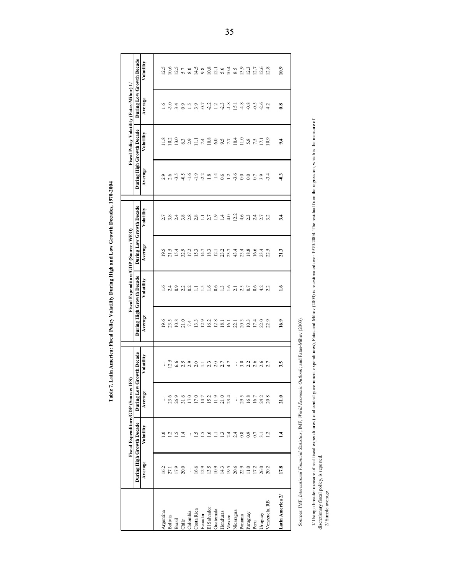|                                                                |          | Fiscal Expenditure/GDP (Source: IFS)                                      |            |                                                                                                                                         |         | Fiscal Expenditure/GDP (Source: WEO) |         |                          |                  | Fiscal Policy Volatility (Fatas-Mihov) 1/ |                     |                          |
|----------------------------------------------------------------|----------|---------------------------------------------------------------------------|------------|-----------------------------------------------------------------------------------------------------------------------------------------|---------|--------------------------------------|---------|--------------------------|------------------|-------------------------------------------|---------------------|--------------------------|
|                                                                |          | During High Growth Decade                                                 | During Low | <b>Growth Decade</b>                                                                                                                    |         | During High Growth Decade            |         | During Low Growth Decade |                  | During High Growth Decade                 |                     | During Low Growth Decade |
|                                                                | Average  | Volatility                                                                | Average    | Volatility                                                                                                                              | Average | Volatility                           | Average | Volatility               | Average          | Volatility                                | Average             | Volatility               |
|                                                                |          |                                                                           |            |                                                                                                                                         |         |                                      |         |                          |                  |                                           |                     |                          |
| Argentina                                                      | 16.2     | $\bar{c}$                                                                 | ŧ          | ŧ                                                                                                                                       | 19.6    | <u>ی</u>                             | 19.5    |                          | 2.9              |                                           | $\frac{6}{1}$       | 12.5                     |
| Bolivia                                                        | 27.1     | 25                                                                        | 23.6       | 12.5                                                                                                                                    | 23.5    | 2.4                                  | 21.5    | 3.8                      | 2.6              | 10.2                                      | $-3.0$              | 10.6                     |
| <b>Brazil</b>                                                  | 17.9     |                                                                           | 26.9       | 6.6                                                                                                                                     | 10.8    | $_{0.9}$                             | 15.4    | 2.4                      | $-3.5$           | 13.0                                      | 3.4                 | 12.5                     |
| Chile                                                          | 20.0     | $\overline{14}$                                                           | 31.6       | 2.5                                                                                                                                     | 21.0    |                                      | 32.9    | 3.8                      | $-0.5$           | 6.3                                       | $_{0.9}$            | 5.7                      |
| Colombia                                                       | ţ.       | ŧ                                                                         | $17.0\,$   | 2.9                                                                                                                                     | 7.4     | $2.2$<br>$0.2$                       | 17.2    | 2.8                      | $-1.6$           | 2.9                                       | $\ddot{1.5}$        | $8.0\,$                  |
| Costa Rica                                                     | 16.6     | 1.5                                                                       | 17.0       | 2.0                                                                                                                                     | 13.3    | Ξ                                    | 15.3    | 2.8                      | $-1.9$           | Ξ                                         | 3.9                 | 14.5                     |
| Ecuador                                                        | 12.9     | 1.5                                                                       | 14.7       | Ξ                                                                                                                                       | 12.9    |                                      | 14.7    | Ξ                        | $-2.2$           | 7.4                                       | $-0.7$              | 9.8                      |
| El Salvador                                                    | 13.5     |                                                                           | 15.2       | 2.3                                                                                                                                     | 16.2    | 1.5                                  | 18.3    | 2.7                      | $1.8\,$          | $10.8\,$                                  | $-2.2$              | $10.8\,$                 |
| Guatemala                                                      | 10.9     | Ξ                                                                         | 11.9       | 2.0                                                                                                                                     | 12.8    | 0.6                                  | 12.1    | $\overline{1.9}$         | $-1.4$           | $6.0\,$                                   | 1.2                 | $\overline{21}$          |
| Honduras                                                       | 14.3     | 1.3                                                                       | 21.0       | 2.7                                                                                                                                     | 18.1    | 1.3                                  | 23.2    | 1.4                      | 0.6              | 9.5                                       | 2.3                 | 5.6                      |
| Mexico                                                         | 19.5     | $2, 4$<br>$2, 4$<br>$0, 8$                                                | 23.4       | 4.7                                                                                                                                     | 16.1    | $1.6$<br>$2.1$<br>$2.5$              | 23.7    | 4.0                      |                  | 7.7                                       | $-1.8$              | 10.4                     |
| Nicaragua                                                      | 20.6     |                                                                           | ŧ          | ÷                                                                                                                                       | 22.1    |                                      | 43.4    | 12.2                     | $1.2$<br>$-3.6$  | 10.4                                      | $\overline{51}$     | 8.5                      |
| Panama                                                         | 22.9     |                                                                           | 29.5       | 3.0                                                                                                                                     | 20.3    |                                      | 23.4    | 4.6                      | $\overline{0.0}$ | 11.0                                      | 4.8                 | 13.9                     |
| Paraguay                                                       | $11.0\,$ | $_{0.9}$                                                                  | 16.8       | 2.2                                                                                                                                     | 10.3    | 0.7                                  | 18.8    | 2.3                      | $_{0.0}$         | 5.8                                       | $-0.8$              | 12.3                     |
| Peru                                                           | 17.2     | 0.7                                                                       | 16.7       | 2.6                                                                                                                                     | 17.4    | 0.6                                  | 16.6    | 2.4                      | 0.7              | 7.5                                       | $-0.5$              | 12.7                     |
| Uruguay                                                        | 26.0     | $\overline{3.1}$                                                          | 24.2       | 2.6                                                                                                                                     | 22.0    | 4.2                                  | 23.4    | 2.7                      | 3.9              | $\overline{171}$                          | $-2.6$              | 12.6                     |
| Venezuela, RB                                                  | 20.2     | $\overline{12}$                                                           | 20.8       | 2.7                                                                                                                                     | 22.9    | 2.2                                  | 22.5    | 3.2                      | $-3.4$           | 10.9                                      | 4.2                 | 12.8                     |
| Latin America 2/                                               | 17.8     | $\overline{14}$                                                           | 21.0       | 3.5                                                                                                                                     | 16.9    | ؽ                                    | 21.3    | 3.4                      | $-1.3$           | 9.4                                       | $\ddot{\textbf{8}}$ | 10.9                     |
|                                                                |          |                                                                           |            | Sources: IMF, International Financial Statistics; IMF, World Economic Outlook; and Fatas-Mihov (2003)                                   |         |                                      |         |                          |                  |                                           |                     |                          |
|                                                                |          | 1/ Using a broader measure of real fiscal expenditures (total central gov |            | ernment expenditures), Fatas and Mihov (2003) is re-estimated over 1970-2004. The residual from the regression, which is the measure of |         |                                      |         |                          |                  |                                           |                     |                          |
| discretionary fiscal policy, is reported<br>2/ Simple average. |          |                                                                           |            |                                                                                                                                         |         |                                      |         |                          |                  |                                           |                     |                          |

Table 7. Latin America: Fiscal Policy Volatility During High and Low Growth Decades, 1970-2004 **Table 7. Latin America: Fiscal Policy Volatility During High and Low Growth Decades, 1970-2004**

35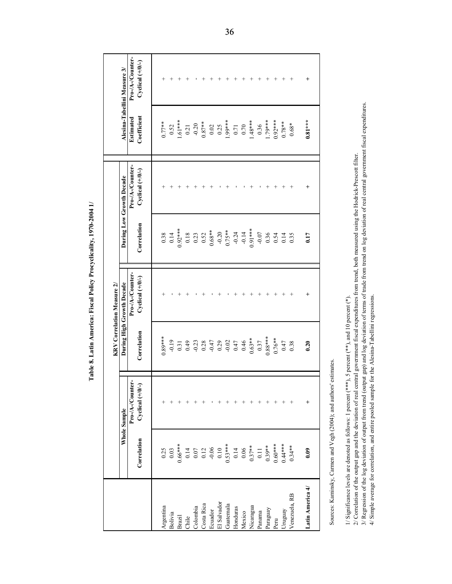|                  |                                                            |                                                                                                                                                                                                                                                                                            |             | <b>KRV</b> Correlation Measure 2/ |             |                                                                                                     |             |                              |
|------------------|------------------------------------------------------------|--------------------------------------------------------------------------------------------------------------------------------------------------------------------------------------------------------------------------------------------------------------------------------------------|-------------|-----------------------------------|-------------|-----------------------------------------------------------------------------------------------------|-------------|------------------------------|
|                  |                                                            | Whole Sample                                                                                                                                                                                                                                                                               |             | During High Growth Decade         |             | During Low Growth Decade                                                                            |             | Alesina-Tabellini Measure 3/ |
|                  |                                                            | Pro-/A-/Counter-                                                                                                                                                                                                                                                                           |             | Pro-/A-/Counter-                  |             | Pro-/A-/Counter-                                                                                    | Estimated   | Pro-/A-/Counter-             |
|                  | Correlation                                                | Cyclical (+/0/-)                                                                                                                                                                                                                                                                           | Correlation | Cyclical $(+/0/-)$                | Correlation | Cyclical $(+/0/-)$                                                                                  | Coefficient | Cyclical $(+/0/-)$           |
| Argentina        | 0.25                                                       |                                                                                                                                                                                                                                                                                            | $0.89***$   |                                   | 0.38        | $^+$                                                                                                | $0.77***$   | $^+$                         |
| Bolivia          | 0.03                                                       |                                                                                                                                                                                                                                                                                            | $-0.19$     |                                   | 0.14        | $^+$                                                                                                | 0.52        | $^{+}$                       |
| Brazil           | $0.66***$                                                  | $^+$                                                                                                                                                                                                                                                                                       | 0.31        | $^+$                              | $0.92***$   | $^{+}$                                                                                              | $1.61***$   | $^{+}$                       |
| Chile            | 0.14                                                       | $^+$                                                                                                                                                                                                                                                                                       | 64.0        | $^+$                              | 0.18        | $^{+}$                                                                                              | 0.21        | $^{+}$                       |
| Colombia         | 0.07                                                       | $^+$                                                                                                                                                                                                                                                                                       | $-0.23$     |                                   | 0.23        | $^+$                                                                                                | $-0.20$     |                              |
| Costa Rica       | 0.12                                                       |                                                                                                                                                                                                                                                                                            | 0.28        | $^+$                              | 0.52        | $^{+}$                                                                                              | $0.87**$    | $^{+}$                       |
| Ecuador          | $-0.06$                                                    |                                                                                                                                                                                                                                                                                            | $-0.47$     |                                   | $0.68**$    | $^{+}$                                                                                              | 0.02        | $^{+}$                       |
| El Salvador      | 0.10                                                       | $^+$                                                                                                                                                                                                                                                                                       | 0.29        | $^{+}$                            | $-0.20$     |                                                                                                     | 0.25        | $^{+}$                       |
| Guatemala        | $0.53***$                                                  | $^{+}$                                                                                                                                                                                                                                                                                     | $-0.02$     |                                   | $0.75***$   | $^+$                                                                                                | 1.99***     | $^{+}$                       |
| Honduras         | 0.14                                                       | $^{+}$                                                                                                                                                                                                                                                                                     | 0.47        | $\hspace{0.1mm} +$                | $-0.24$     |                                                                                                     | 0.71        | $^{+}$                       |
| Mexico           | $0.06\,$                                                   | $^{+}$                                                                                                                                                                                                                                                                                     | 0.46        | $^{+}$                            | $-0.14$     |                                                                                                     | 0.70        | $^{+}$                       |
| Nicaragua        | $0.37***$                                                  | $^{+}$                                                                                                                                                                                                                                                                                     | $0.63***$   | $\,{}^{+}\,$                      | $0.91***$   | $\, +$                                                                                              | 1.48***     | $^{+}$                       |
| Panama           | 0.11                                                       | $^+$                                                                                                                                                                                                                                                                                       | 0.37        | $\,{}^{+}\,$                      | $-0.07$     |                                                                                                     | 0.36        | $^{+}$                       |
| Paraguay         | $0.39**$                                                   | $\hspace{0.1mm} +$                                                                                                                                                                                                                                                                         | $0.88***$   | $^{+}$                            | 0.36        | $^{+}$                                                                                              | 1.79***     | $^{+}$                       |
| Peru             | $0.60***$                                                  | $\hspace{0.1mm} +$                                                                                                                                                                                                                                                                         | $0.76**$    | $^{+}$                            | 0.54        | $^{+}$                                                                                              | $0.92***$   | $^{+}$                       |
| Uruguay          | $0.44***$                                                  |                                                                                                                                                                                                                                                                                            | 0.47        | $^+$                              | 0.14        | $^{+}$                                                                                              | $0.78**$    | $^{+}$                       |
| Venezuela, RB    | $0.34***$                                                  |                                                                                                                                                                                                                                                                                            | 0.38        | $^{+}$                            | 0.35        | $^{+}$                                                                                              | $0.68*$     | $^{+}$                       |
| Latin America 4/ | 0.09                                                       | $\,{}^{+}\,$                                                                                                                                                                                                                                                                               | 0.20        | $\,{}^+$                          | 0.17        | $\,{}^+$                                                                                            | $0.81***$   | $\overline{+}$               |
|                  |                                                            | Sources: Kaminsky, Carmen and Vegh (2004); and authors' estimates.                                                                                                                                                                                                                         |             |                                   |             |                                                                                                     |             |                              |
|                  |                                                            | 1/ Significance levels are denoted as follows: 1 percent $(***)$ , 5 percent $(**)$ , and 10 percent $(*)$                                                                                                                                                                                 |             |                                   |             |                                                                                                     |             |                              |
|                  | 2/ Correlation of the output gap and the deviation of real | 3/ Regression of the log deviation of output from trend (output gap) and log deviation of terms of trade from trend on log deviation of real central government fiscal expenditures.<br>4/ Simple average for correlation, and entire pooled sample for the Alesina-Tabellini regressions. |             |                                   |             | central government fiscal expenditures from trend, both measured using the Hodrick-Prescott filter. |             |                              |

Table 8. Latin America: Fiscal Policy Procyclicality, 1970-2004 1/

т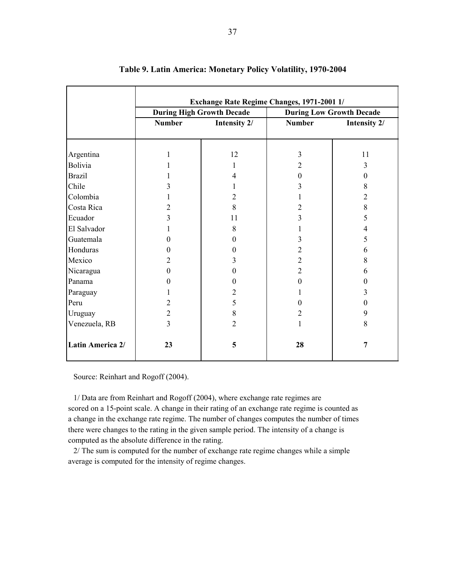|                  |                | Exchange Rate Regime Changes, 1971-2001 1/ |                |                                 |
|------------------|----------------|--------------------------------------------|----------------|---------------------------------|
|                  |                | <b>During High Growth Decade</b>           |                | <b>During Low Growth Decade</b> |
|                  | <b>Number</b>  | Intensity 2/                               | <b>Number</b>  | Intensity 2/                    |
|                  |                |                                            |                |                                 |
| Argentina        |                | 12                                         | 3              | 11                              |
| Bolivia          |                |                                            | 2              | 3                               |
| <b>Brazil</b>    |                | 4                                          | $\theta$       |                                 |
|                  |                |                                            |                | $\boldsymbol{0}$                |
| Chile            | 3              |                                            | 3              | 8                               |
| Colombia         |                | $\overline{c}$                             |                | $\overline{2}$                  |
| Costa Rica       | 2              | 8                                          | 2              | 8                               |
| Ecuador          | 3              | 11                                         | 3              | 5                               |
| El Salvador      |                | 8                                          |                | 4                               |
| Guatemala        | 0              | 0                                          | 3              | 5                               |
| Honduras         | 0              | 0                                          | $\overline{c}$ | 6                               |
| Mexico           | 2              | 3                                          | $\overline{2}$ | 8                               |
| Nicaragua        | 0              | 0                                          | $\overline{2}$ | 6                               |
| Panama           | 0              | 0                                          | $\theta$       | $\theta$                        |
| Paraguay         |                | $\overline{c}$                             |                | 3                               |
| Peru             | 2              | 5                                          | $\theta$       | $\boldsymbol{0}$                |
| Uruguay          | $\overline{c}$ | 8                                          | $\overline{2}$ | 9                               |
| Venezuela, RB    | $\overline{3}$ | $\overline{2}$                             | $\mathbf{1}$   | 8                               |
| Latin America 2/ | 23             | 5                                          | 28             | $\overline{7}$                  |

#### **Table 9. Latin America: Monetary Policy Volatility, 1970-2004**

Source: Reinhart and Rogoff (2004).

1/ Data are from Reinhart and Rogoff (2004), where exchange rate regimes are scored on a 15-point scale. A change in their rating of an exchange rate regime is counted as a change in the exchange rate regime. The number of changes computes the number of times there were changes to the rating in the given sample period. The intensity of a change is computed as the absolute difference in the rating.

2/ The sum is computed for the number of exchange rate regime changes while a simple average is computed for the intensity of regime changes.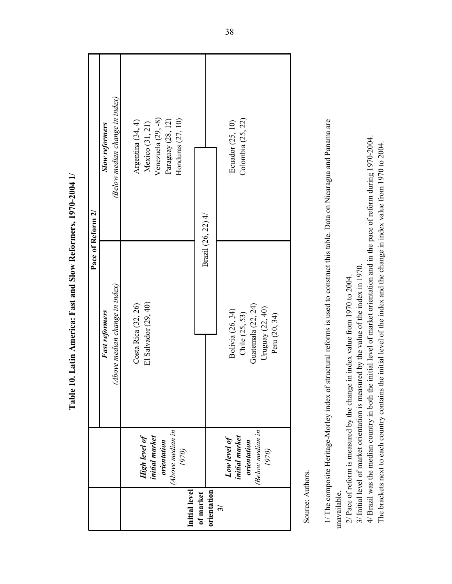|                          |                                                                                    | Pace of Reform 2/                                                                                                                                                                                                                                          |                                                                                                          |
|--------------------------|------------------------------------------------------------------------------------|------------------------------------------------------------------------------------------------------------------------------------------------------------------------------------------------------------------------------------------------------------|----------------------------------------------------------------------------------------------------------|
|                          |                                                                                    | Fast reformers                                                                                                                                                                                                                                             | <b>Slow reformers</b>                                                                                    |
|                          |                                                                                    | (Above median change in index)                                                                                                                                                                                                                             | (Below median change in index)                                                                           |
| Initial level            | (Above median in<br><b>High level of</b><br>initial market<br>orientation<br>1970) | El Salvador (29, 40)<br>Costa Rica (32, 26)                                                                                                                                                                                                                | Venezuela $(29, -8)$<br>Honduras $(27, 10)$<br>Argentina (34, 4)<br>Paraguay (28, 12)<br>Mexico (31, 21) |
| orientation<br>of market |                                                                                    | Brazil (26, 22) 4/                                                                                                                                                                                                                                         |                                                                                                          |
| $\widetilde{\bm{c}}$     | (Below median in<br>initial market<br>Low level of<br>orientation<br>1970)         | Guatemala (22, 24)<br>Uruguay (22, 40)<br>Bolivia (26, 34)<br>Chile (25, 53)<br>Peru (20, 34)                                                                                                                                                              | Colombia (25, 22)<br>Ecuador (25, 10)                                                                    |
| Source: Authors.         |                                                                                    |                                                                                                                                                                                                                                                            |                                                                                                          |
| unavailable.             |                                                                                    | 1/ The composite Heritage-Morley index of structural reforms is used to construct this table. Data on Nicaragua and Panama are                                                                                                                             |                                                                                                          |
|                          |                                                                                    | 3/ Initial level of market orientation is measured by the value of the index in 1970.<br>2/ Pace of reform is measured by the change in index value from 1970 to 2004.                                                                                     |                                                                                                          |
|                          |                                                                                    | 4/ Brazil was the median country in both the initial level of market orientation and in the pace of reform during 1970-2004.<br>The brackets next to each country contains the initial level of the index and the change in index value from 1970 to 2004. |                                                                                                          |

Table 10. Latin America: Fast and Slow Reformers, 1970-2004 1/ **Table 10. Latin America: Fast and Slow Reformers, 1970-2004 1/**

38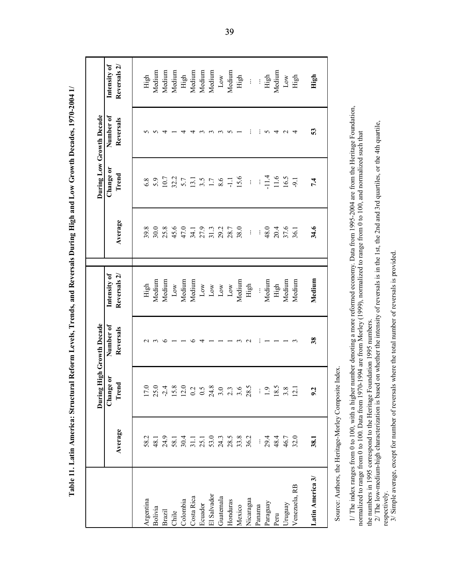|                                                                                                                                                                                                                                                                                               |          | Durin                                      | g High Growth Decade   |                              |          |                    | During Low Growth Decade |                              |
|-----------------------------------------------------------------------------------------------------------------------------------------------------------------------------------------------------------------------------------------------------------------------------------------------|----------|--------------------------------------------|------------------------|------------------------------|----------|--------------------|--------------------------|------------------------------|
|                                                                                                                                                                                                                                                                                               | Average  | Change or<br>Trend                         | Number of<br>Reversals | Intensity of<br>Reversals 2/ | Average  | Change or<br>Trend | Number of<br>Reversals   | Intensity of<br>Reversals 2/ |
| Argentina                                                                                                                                                                                                                                                                                     | 582      | 17.0                                       |                        | High                         | 39.8     | 6.8                | 5                        | High                         |
| Bolivia                                                                                                                                                                                                                                                                                       | 48.1     | 25.0                                       | $\epsilon$             | Medium                       | 30.0     | 5.9                | S                        | Medium                       |
| <b>Brazil</b>                                                                                                                                                                                                                                                                                 | 24.9     | $-2.4$                                     | $\circ$                | Medium                       | 25.8     | 10.7               | 4                        | Medium                       |
| Chile                                                                                                                                                                                                                                                                                         | 58.1     |                                            |                        | Low                          | 45.6     | 32.2               |                          | Medium                       |
| Colombia                                                                                                                                                                                                                                                                                      | 30.4     | $\frac{15.8}{12.0}$                        |                        | Medium                       | 47.0     | 5.7                | 4                        | High                         |
| Costa Rica                                                                                                                                                                                                                                                                                    | 31.1     |                                            | ৩                      | Medium                       | 34.1     | 13.1               | 4                        | Medium                       |
| Ecuador                                                                                                                                                                                                                                                                                       | 25.1     | $\dot{\bm{\cdot}}$<br>$\circ$              | 4                      | Low                          | 27.9     | 3.5                | $\tilde{\phantom{0}}$    | Medium                       |
| El Salvador                                                                                                                                                                                                                                                                                   | 53.0     | 24.8                                       |                        | $_{\rm Low}$                 | 31.3     | $\overline{1.7}$   | $\epsilon$               | Medium                       |
| Guatemala                                                                                                                                                                                                                                                                                     | 24.3     | $\ddot{\circ}$                             |                        | $_{\rm Low}$                 | 29.2     | 8.6                | $\sim$                   | Low                          |
| Honduras                                                                                                                                                                                                                                                                                      | 28.5     | $\tilde{\mathcal{L}}$<br>$\omega$ $\omega$ |                        | $_{\text{Low}}$              | 28.7     | $\Xi$              | $\sim$                   | Medium                       |
| Mexico                                                                                                                                                                                                                                                                                        | 33.8     | 3.6                                        | $\epsilon$             | Medium                       | 38.0     | 15.6               |                          | High                         |
| Nicaragua                                                                                                                                                                                                                                                                                     | 36.2     | 28.5                                       | $\sim$                 | High                         | $\vdots$ | $\vdots$           | ÷                        | $\vdots$                     |
| Panama                                                                                                                                                                                                                                                                                        | $\vdots$ |                                            |                        |                              |          | $\vdots$           | ÷                        |                              |
| Paraguay                                                                                                                                                                                                                                                                                      | 29.4     | C.                                         |                        | Medium                       | 48.0     | $-11.4$            |                          | High                         |
| Peru                                                                                                                                                                                                                                                                                          | 48.4     | $18.5$<br>3.8                              |                        | High                         | 20.4     | $11.6\,$           | 240                      | Medium                       |
| Uruguay                                                                                                                                                                                                                                                                                       | 46.7     |                                            |                        | Medium                       | 37.6     | 16.5               |                          | $_{\rm Low}$                 |
| Venezuela, RB                                                                                                                                                                                                                                                                                 | 32.0     | 12.1                                       | $\epsilon$             | Medium                       | 36.1     | $-9.1$             | $\overline{4}$           | High                         |
| Latin America 3/                                                                                                                                                                                                                                                                              | 38.1     | ù                                          | 38                     | Medium                       | 34.6     | 7.4                | 53                       | High                         |
| Source: Authors, the Heritage-Morley Composite Index.                                                                                                                                                                                                                                         |          |                                            |                        |                              |          |                    |                          |                              |
| 1/ The index ranges from 0 to 100, with a higher number denoting a more reformed economy. Data from 1995-2004 are from the Heritage Foundation,<br>normalized to range from 0 to 100. Data from 1970-1994 are from Morley (1999), normalized to range from 0 to 100, and normalized such that |          |                                            |                        |                              |          |                    |                          |                              |
| 2/ The low-medium-high characterization is based on whether the intensity of reversals is in the 1st, the 2nd and 3rd quartiles, or the 4th quartile,<br>the numbers in 1995 correspond to the Heritage Foundation 1995 numbers                                                               |          |                                            |                        |                              |          |                    |                          |                              |
| 3/ Simple average, except for number of reversals where the total number of reversals is provided<br>respectively.                                                                                                                                                                            |          |                                            |                        |                              |          |                    |                          |                              |

Table 11. Latin America: Structural Reform Levels, Trends, and Reversals During High and Low Growth Decades, 1970-2004 1/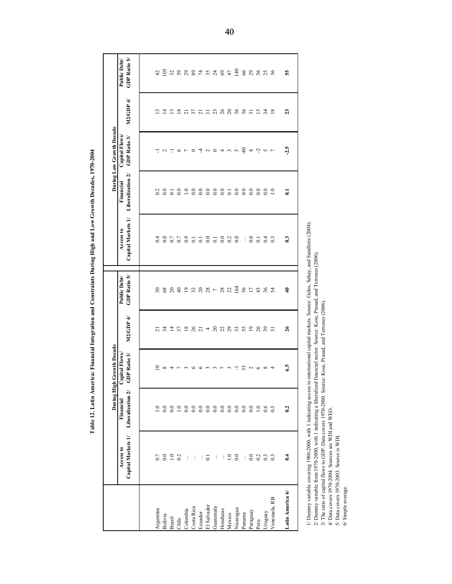|                  |                                 |                                | During High Growth Decade     |                   |                                  |                                 |                                | During Low Growth Decade      |                  |                                                                                                                                                                                                                                                                                                                                                                    |
|------------------|---------------------------------|--------------------------------|-------------------------------|-------------------|----------------------------------|---------------------------------|--------------------------------|-------------------------------|------------------|--------------------------------------------------------------------------------------------------------------------------------------------------------------------------------------------------------------------------------------------------------------------------------------------------------------------------------------------------------------------|
|                  | Capital Markets 1/<br>Access to | Liberalization 2/<br>Financial | Capital Flows<br>GDP Ratio 3/ | M2/GDP 4/         | GDP Ratio 5/<br>Public Debt/     | Capital Markets 1/<br>Access to | Liberalization 2/<br>Financial | Capital Flows<br>GDP Ratio 3/ | M2/GDP 4/        | GDP Ratio 5/<br>Public Debt/                                                                                                                                                                                                                                                                                                                                       |
|                  |                                 |                                |                               |                   |                                  |                                 |                                |                               |                  |                                                                                                                                                                                                                                                                                                                                                                    |
| Argentina        | 0.7                             | $\frac{0}{1}$                  | ≘                             |                   |                                  | 0.4                             | 0.2                            | ᅮ                             | $\mathbf{r}$     |                                                                                                                                                                                                                                                                                                                                                                    |
| Bolivia          |                                 | $_{0.0}$                       | $\infty$                      |                   |                                  |                                 | $_{0.0}$                       | $\sim$ $\sim$                 |                  | $42$ is                                                                                                                                                                                                                                                                                                                                                            |
| <b>Brazil</b>    | 0.020                           | $_{0.0}$                       | 4                             |                   | 78877227287782                   | 85585585888                     | $\overline{0}$                 |                               |                  | $\begin{array}{c} \hbox{H} \\\hbox{H} \\\hbox{H} \\\hbox{H} \\\hbox{H} \\\hbox{H} \\\hbox{H} \\\hbox{H} \\\hbox{H} \\\hbox{H} \\\hbox{H} \\\hbox{H} \\\hbox{H} \\\hbox{H} \\\hbox{H} \\\hbox{H} \\\hbox{H} \\\hbox{H} \\\hbox{H} \\\hbox{H} \\\hbox{H} \\\hbox{H} \\\hbox{H} \\\hbox{H} \\\hbox{H} \\\hbox{H} \\\hbox{H} \\\hbox{H} \\\hbox{H} \\\hbox{H} \\\hbox$ |
| Chile            |                                 | $1.0\,$                        | $\overline{ }$                |                   |                                  |                                 | $_{0.0}$                       | $\circ$                       |                  |                                                                                                                                                                                                                                                                                                                                                                    |
| Colombia         | $\vdots$                        |                                |                               |                   |                                  |                                 | $\frac{0}{0.0}$                | $\overline{r}$                |                  |                                                                                                                                                                                                                                                                                                                                                                    |
| Costa Rica       | $\vdots$                        |                                | $\circ$                       |                   |                                  |                                 |                                | $\circ$                       |                  |                                                                                                                                                                                                                                                                                                                                                                    |
| Ecuador          |                                 |                                |                               |                   |                                  |                                 |                                | 4                             |                  |                                                                                                                                                                                                                                                                                                                                                                    |
| El Salvador      | $\overline{\circ}$              |                                | 6.5.5                         |                   |                                  |                                 | 88885                          |                               |                  |                                                                                                                                                                                                                                                                                                                                                                    |
| Guatemala        | $\vdots$                        |                                |                               |                   |                                  |                                 |                                |                               |                  |                                                                                                                                                                                                                                                                                                                                                                    |
| Honduras         | $\vdots$                        |                                |                               |                   |                                  |                                 |                                |                               |                  |                                                                                                                                                                                                                                                                                                                                                                    |
| Mexico           | $\Xi$                           |                                | $\mathfrak{g}$                |                   |                                  |                                 |                                |                               |                  |                                                                                                                                                                                                                                                                                                                                                                    |
| Nicaragua        | $_{0.0}$                        |                                | $\overline{1}$                | 13152814282852825 | $\frac{6}{3}$ % $\frac{1}{2}$ 43 |                                 | $rac{0}{0}$ .0                 | a o 4 w w 8 4 4 w r           |                  | 2888888                                                                                                                                                                                                                                                                                                                                                            |
| Panama           | $\vdots$                        |                                |                               |                   |                                  | $\vdots$                        |                                |                               |                  |                                                                                                                                                                                                                                                                                                                                                                    |
| Paraguay         | $0.0\,$                         | $_{\rm 0.0}$                   |                               |                   |                                  | $rac{0}{0}$                     | $_{0.0}$                       |                               |                  |                                                                                                                                                                                                                                                                                                                                                                    |
| Peru             | 0.2                             | $\overline{1.0}$               | 37000                         |                   |                                  |                                 | $_{0.0}$                       |                               |                  |                                                                                                                                                                                                                                                                                                                                                                    |
| Uruguay          | 0.3                             | $0.6$                          |                               |                   | 254                              | 0.4                             | $_{0.0}$                       |                               |                  |                                                                                                                                                                                                                                                                                                                                                                    |
| Venezuela, RB    | 0.3                             | 0.5                            | 4                             |                   |                                  | $\overline{0}$                  | $\overline{1.0}$               |                               |                  |                                                                                                                                                                                                                                                                                                                                                                    |
| Latin America 6/ | $\vec{c}$                       | 0.2                            | 65                            | $\overline{26}$   | ₹                                | $\mathbf{C}$                    | $\mathbf{C}$                   | $-2.5$                        | $\boldsymbol{z}$ | S5                                                                                                                                                                                                                                                                                                                                                                 |
|                  |                                 |                                |                               |                   |                                  |                                 |                                |                               |                  |                                                                                                                                                                                                                                                                                                                                                                    |

Table 12. Latin America: Financial Integration and Constraints During High and Low Growth Decades, 1970-2004

1/ Dummy variable covering 1980-2000, with 1 indicating access to international capital markets. Source: Gelos, Sahay, and Sandleris (2004).<br>2/ Dummy variable from 1970-2000, with 1 indicating a liberalized financial secto

40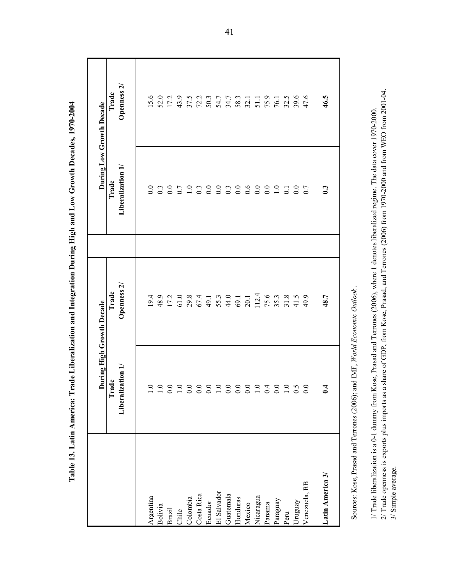|                                                                                             | During High Growth Decade                 |                                 |                                                                                                                                                                                                     | During Low Growth Decade         |
|---------------------------------------------------------------------------------------------|-------------------------------------------|---------------------------------|-----------------------------------------------------------------------------------------------------------------------------------------------------------------------------------------------------|----------------------------------|
|                                                                                             | Liberalization 1/<br>Trade                | Openness 2<br>Trade             | Liberalization 1/<br>Trade                                                                                                                                                                          | Openness <sub>2</sub> /<br>Trade |
|                                                                                             |                                           |                                 |                                                                                                                                                                                                     |                                  |
| Argentina                                                                                   | $1.0\,$                                   | 19.4                            | 0.0                                                                                                                                                                                                 | 15.6                             |
| Bolivia                                                                                     | $1.0\,$                                   | 48.9                            | 0.3                                                                                                                                                                                                 | 52.0                             |
| Brazil                                                                                      | 0.0                                       | 17.2                            | 0.0                                                                                                                                                                                                 | 17.2                             |
| Chile                                                                                       | 1.0                                       | 61.0                            | 0.7                                                                                                                                                                                                 | 43.9                             |
| Colombia                                                                                    | 0.0                                       | 29.8                            |                                                                                                                                                                                                     | 37.5                             |
| Costa Rica                                                                                  |                                           | 67.4                            | $1.0$<br>0.3                                                                                                                                                                                        | 72.2                             |
| Ecuador                                                                                     | $0.0\,$                                   | 49.1                            | $0.0\,$                                                                                                                                                                                             | 50.3                             |
| El Salvador                                                                                 | 1.0                                       | 55.3                            | 0.0                                                                                                                                                                                                 | 54.7                             |
| Guatemala                                                                                   | $\begin{array}{c} 0.0 \\ 0.0 \end{array}$ | 44.0                            | 0.3                                                                                                                                                                                                 | 34.7                             |
| Honduras                                                                                    |                                           | 69.1                            | 0.0                                                                                                                                                                                                 | 58.3                             |
| Mexico                                                                                      | 0.0                                       | 20.1                            | 0.6                                                                                                                                                                                                 | 32.1                             |
| Nicaragua                                                                                   |                                           | 112.4                           | $0.0\,$                                                                                                                                                                                             | 51.1                             |
| Panama                                                                                      | 0.4                                       | 75.6                            | $0.0\,$                                                                                                                                                                                             | 75.9                             |
| Paraguay                                                                                    | $rac{0}{0}$ .0                            | 35.3                            | 1.0                                                                                                                                                                                                 | 76.1                             |
| Peru                                                                                        |                                           | 31.8                            | $\overline{0}$                                                                                                                                                                                      | 32.5                             |
| Uruguay                                                                                     | 0.5                                       | 41.5                            | 0.0                                                                                                                                                                                                 | 39.6                             |
| Venezuela, RB                                                                               |                                           | 49.9                            | 0.7                                                                                                                                                                                                 | 47.6                             |
| Latin America 3/                                                                            | 0.4                                       | 48.7                            | $\mathbf{C}$                                                                                                                                                                                        | 46.5                             |
| Sources: Kose, Prasad and Terrones (2006);                                                  |                                           | and IMF, World Economic Outlook |                                                                                                                                                                                                     |                                  |
|                                                                                             |                                           |                                 |                                                                                                                                                                                                     |                                  |
| 1/ Trade liberalization is a 0-1 dummy from<br>2/ Trade openness is exports plus imports as |                                           |                                 | a share of GDP, from Kose, Prasad, and Terrones (2006) from 1970-2000 and from WEO from 2001-04.<br>Kose, Prasad and Terrones (2006), where 1 denotes liberalized regime. The data cover 1970-2000. |                                  |
| 3/ Simple average.                                                                          |                                           |                                 |                                                                                                                                                                                                     |                                  |

Table 13. Latin America: Trade Liberalization and Integration During High and Low Growth Decades, 1970-2004

41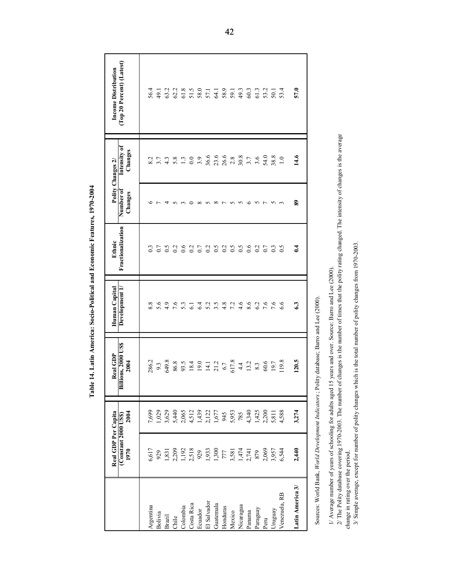|                                                    | Real GDP Per Capita<br>(Constant 2000 US\$)<br>1970 | 2004                          | <b>Billions, 2000 US\$</b><br>Real GDP<br>2004                                                                                                                                                                                                                               | Human Capital<br>Development 1 | Fractionalization<br>Ethnic | Polity<br>Number of<br>Changes     | Intensity of<br>Changes<br>Changes 2/      | (Top 20 Percent) (Latest)<br><b>Income Distribution</b> |
|----------------------------------------------------|-----------------------------------------------------|-------------------------------|------------------------------------------------------------------------------------------------------------------------------------------------------------------------------------------------------------------------------------------------------------------------------|--------------------------------|-----------------------------|------------------------------------|--------------------------------------------|---------------------------------------------------------|
| Argentina                                          | 6,617                                               | 7,699                         | 286.2                                                                                                                                                                                                                                                                        | $\infty$<br>∞ं                 |                             |                                    | ų<br>∞ं                                    | 56.4                                                    |
| Bolivia                                            | 929                                                 | 1,029                         | 9.3                                                                                                                                                                                                                                                                          | 5.6                            | 0.7                         | $\overline{ }$                     | 3.7                                        | 49.1                                                    |
| Brazil                                             | 1,831                                               | 3,629                         | 649.8                                                                                                                                                                                                                                                                        | 4.9                            | 6.5                         | $\overline{4}$                     | 4.3                                        | 63.2                                                    |
| Chile                                              | 2,209                                               | 5,440                         | 86.8                                                                                                                                                                                                                                                                         | 7.6                            | 0.2                         | $\sim$                             | 5.8                                        | 62.2                                                    |
| Colombia                                           | 1,192                                               | 2,065                         | 93.5                                                                                                                                                                                                                                                                         | 53                             | 0.6                         | $\epsilon$                         | 1.3                                        | 61.8                                                    |
| Costa Rica                                         | 2,518<br>929                                        | 4,512                         | 18.4                                                                                                                                                                                                                                                                         | $\overline{61}$                | 0.2                         | $\circ$                            | 0.0                                        | 51.5                                                    |
| Ecuador                                            |                                                     |                               | 19.0                                                                                                                                                                                                                                                                         | 6.4                            | 0.7                         |                                    | 3.9                                        | 58.0                                                    |
| El Salvador                                        | 1,933<br>1,300                                      | $1,439$<br>$2,122$<br>$1,677$ | $14.1$<br>21.2                                                                                                                                                                                                                                                               | 5.2                            | 0.2                         | $\infty$ n $\infty$ r n n $\infty$ | 36.6                                       | 57.1                                                    |
| Guatemala                                          |                                                     |                               |                                                                                                                                                                                                                                                                              | 3.5                            | $\tilde{c}$ .0              |                                    | 23.6                                       | 64.1                                                    |
| Honduras                                           | 777                                                 | 945                           | $6.7$ $617.8$                                                                                                                                                                                                                                                                | 4.8                            | $\frac{0.2}{0.5}$           |                                    | $\begin{array}{c} 26.6 \\ 2.8 \end{array}$ | 58.9                                                    |
| Mexico                                             | 3,581                                               | 5,953                         |                                                                                                                                                                                                                                                                              | 7.2                            |                             |                                    |                                            | 59.1                                                    |
| Nicaragua                                          | $1,474$<br>2,741                                    | 785                           | 4.4                                                                                                                                                                                                                                                                          | 4.6                            | $\widetilde{c}$ :0          |                                    | 30.8                                       | 49.3                                                    |
| Panama                                             |                                                     | 4,340                         | 13.2                                                                                                                                                                                                                                                                         | 8.6                            | 0.6                         |                                    | 3.7                                        | 60.3                                                    |
| Paraguay                                           | 879                                                 | 1,425                         | 8.3                                                                                                                                                                                                                                                                          | 6.2                            | 0.2                         | $\sim$ $\sim$                      | 3.6                                        | 61.3                                                    |
| Peru                                               | 2,069                                               |                               | 60.6                                                                                                                                                                                                                                                                         | 7.6                            | 0.7                         |                                    | 54.0                                       | 53.2                                                    |
| Uruguay                                            | 3,957                                               | 5,811                         | 19.7                                                                                                                                                                                                                                                                         | 7.6                            | 0.3                         | <u>ს</u> ო                         | 38.8                                       | 50.1                                                    |
| Venezuela, RB                                      | 6,544                                               | 4,588                         | 119.8                                                                                                                                                                                                                                                                        | 6.6                            | 6.5                         |                                    | 1.0                                        | 53.4                                                    |
| Latin America 3/                                   | 2,440                                               | 3,274                         | 120.5                                                                                                                                                                                                                                                                        | 63                             | 0.4                         | 89                                 | 14.6                                       | 57.0                                                    |
| Sources: World Bank, World Development Indicators; |                                                     |                               | Polity database; Barro and Lee (2000)                                                                                                                                                                                                                                        |                                |                             |                                    |                                            |                                                         |
|                                                    |                                                     |                               | $2/$ The Polity database covering 1970-2003. The number of changes is the number of times that the polity rating changed. The intensity of changes is the average<br>1/ Average number of years of schooling for adults aged 15 years and over. Source: Barro and Lee (2000) |                                |                             |                                    |                                            |                                                         |
| change in rating over the period                   |                                                     |                               | 3/ Simple average, except for number of polity changes which is the total number of polity changes from 1970-2003                                                                                                                                                            |                                |                             |                                    |                                            |                                                         |

Table 14. Latin America: Socio-Political and Economic Features, 1970-2004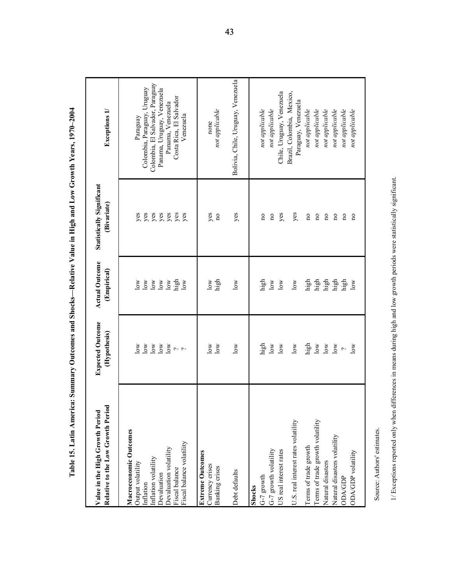| ਦ<br>Relative to the Low Growth Perio<br>Value in the High Growth Period | <b>Expected Outcome</b><br>(Hypothesis)  | <b>Actual Outcome</b><br>(Empirical) | <b>Statistically Significant</b><br>(Bivariate) | Exceptions 1/                                |
|--------------------------------------------------------------------------|------------------------------------------|--------------------------------------|-------------------------------------------------|----------------------------------------------|
| Macroeconomic Outcomes                                                   |                                          |                                      |                                                 |                                              |
| Output volatility<br>Inflation                                           | $\overline{\text{low}}$<br>$_{low}$      | $\log$<br>$\log$                     | yes<br>yes                                      | Colombia, Paraguay, Uruguay<br>Paraguay      |
| Inflation volatility                                                     | $\overline{\text{low}}$                  | $\overline{\mathsf{low}}$            | yes                                             | Colombia, El Salvador, Paraguay              |
| Devaluation                                                              | $\overline{\text{low}}$                  | $\log$                               | yes                                             | Panama, Uruguay, Venezuela                   |
| Devaluation volatility<br>Fiscal balance                                 | $\overline{\text{low}}$<br>$\sim$ $\sim$ | high<br>$\log$                       | yes<br>yes                                      | Costa Rica, El Salvador<br>Panama, Venezuela |
| Fiscal balance volatility                                                |                                          | $\log$                               | yes                                             | Venezuela                                    |
| <b>Extreme Outcomes</b>                                                  |                                          |                                      |                                                 |                                              |
| Currency crises<br>Banking crises                                        | $\overline{\text{low}}$<br>$_{\rm low}$  | high<br>$\overline{\text{low}}$      | yes<br>$\mathbf{n}$                             | not applicable<br>none                       |
|                                                                          |                                          |                                      |                                                 |                                              |
| Debt defaults                                                            | $\log$                                   | $\overline{\text{low}}$              | yes                                             | Bolivia, Chile, Uruguay, Venezuela           |
| Shocks                                                                   |                                          |                                      |                                                 |                                              |
| G-7 growth                                                               | high                                     | high                                 | $\overline{\mathbf{n}}$                         | not applicable                               |
| G-7 growth volatility                                                    | $\log$                                   | $\overline{\text{low}}$              | $\overline{\mathbf{n}}$                         | not applicable                               |
| US real interest rates                                                   | $\log$                                   | $\log$                               | yes                                             | Chile, Uruguay, Venezuela                    |
| U.S. real interest rates volatility                                      | $\log$                                   | $\log$                               |                                                 | Brazil, Colombia, Mexico,                    |
|                                                                          |                                          |                                      | yes                                             | Paraguay, Venezuela                          |
| Terms of trade growth                                                    | high                                     | high                                 | $\mathbf{u}$                                    | not applicable                               |
| Terms of trade growth volatility                                         | $\log$                                   | high                                 | $\mathbf{a}$                                    | not applicable                               |
| Natural disasters                                                        | $_{\rm low}$                             | high                                 | $\mathbf{u}$                                    | not applicable                               |
| Natural disasters volatility                                             | $_{\rm low}$                             | high                                 | $\mathbf{p}$                                    | not applicable                               |
| ODA/GDP                                                                  | $\sim$                                   | high                                 | $\mathbf{n}$                                    | not applicable                               |
| ODA/GDP volatility                                                       | $\overline{\text{low}}$                  | $\log$                               | $\overline{n}$                                  | not applicable                               |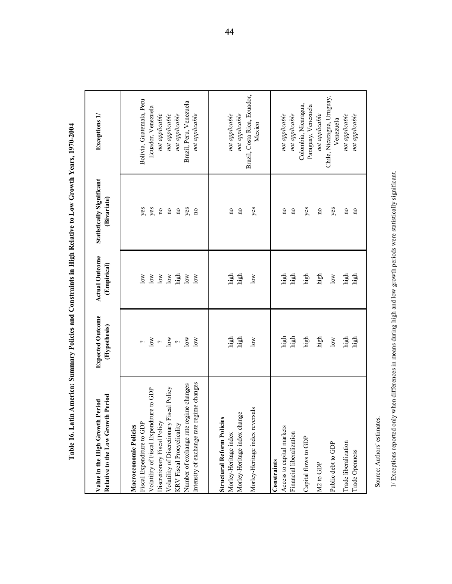| th Period<br>Period<br>Value in the High Growth<br>Relative to the Low Growt                                                                                                                                                                                                                          | <b>Expected Outcome</b><br>(Hypothesis)                                                                           | <b>Actual Outcome</b><br>(Empirical)                                                 | <b>Statistically Significant</b><br>(Bivariate)                                                                                      | Exceptions 1/                                                                                                                                                                    |
|-------------------------------------------------------------------------------------------------------------------------------------------------------------------------------------------------------------------------------------------------------------------------------------------------------|-------------------------------------------------------------------------------------------------------------------|--------------------------------------------------------------------------------------|--------------------------------------------------------------------------------------------------------------------------------------|----------------------------------------------------------------------------------------------------------------------------------------------------------------------------------|
| gime changes<br>Number of exchange rate regime changes<br>Volatility of Fiscal Expenditure to GDP<br>Fiscal Policy<br>Intensity of exchange rate re<br>Discretionary Fiscal Policy<br>Fiscal Expenditure to GDP<br>Volatility of Discretionary<br>KRV Fiscal Procyclicality<br>Macroeconomic Policies | $\frac{1}{\gamma}$ over<br>10W<br>$\overline{\text{low}}$<br>$\overline{\phantom{0}}$<br>$\overline{\phantom{a}}$ | high<br>$\log$<br>$\log$<br>$\overline{\text{low}}$<br>10W<br>$_{\rm low}$<br>$\log$ | yes<br>yes<br>yes<br>$\mathbf{n}\mathbf{o}$<br>$\mathbf{n}\mathbf{o}$<br>$\mathbf{n}\mathbf{o}$<br>$\overline{\mathbf{n}}$           | Bolivia, Guatemala, Peru<br>Brazil, Peru, Venezuela<br>Ecuador, Venezuela<br>not applicable<br>not applicable<br>not applicable<br>not applicable                                |
| Morley-Heritage index reversals<br>Morley-Heritage index change<br><b>Structural Reform Policies</b><br>Morley-Heritage index                                                                                                                                                                         | high<br>high<br>10W                                                                                               | high<br>high<br>10W                                                                  | yes<br>$\overline{\mathbf{n}}$<br>$\overline{\mathbf{n}}$                                                                            | Brazil, Costa Rica, Ecuador,<br>not applicable<br>not applicable<br>Mexico                                                                                                       |
| Access to capital markets<br>Financial liberalization<br>Capital flows to GDP<br>Trade liberalization<br>Public debt to GDP<br>Trade Openness<br>Constraints<br>M <sub>2</sub> to GDP                                                                                                                 | high<br>high<br>high<br>high<br>high<br>$\operatorname{high}$<br>10W                                              | high<br>high<br>high<br>high<br>high<br>high<br>$_{\rm low}$                         | yes<br>yes<br>$\mathbf{n}\mathbf{o}$<br>$\mathbf{n}\mathbf{o}$<br>$\overline{\mathbf{n}}$<br>$\mathbf{n}$<br>$\overline{\mathbf{n}}$ | Chile, Nicaragua, Uruguay,<br>Colombia, Nicaragua,<br>Paraguay, Venezuela<br>not applicable<br>not applicable<br>not applicable<br>not applicable<br>not applicable<br>Venezuela |
| I/ Exceptions reported only when differences in means during high and low growth periods were statistically significant.<br>Source: Authors' estimates.                                                                                                                                               |                                                                                                                   |                                                                                      |                                                                                                                                      |                                                                                                                                                                                  |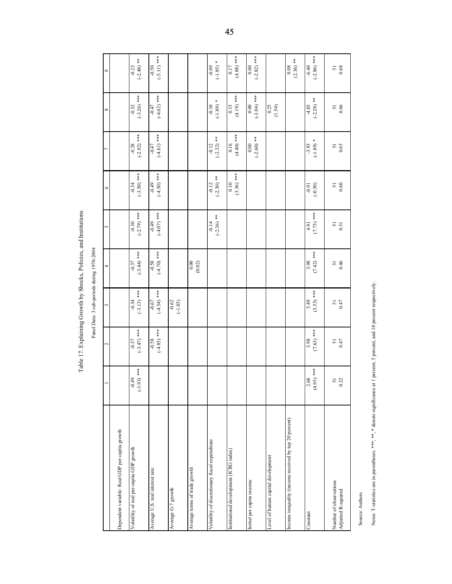Table 17. Explaining Growth by Shocks, Policies, and Institutions

|                                                                                                                                               |                                           | Table 17. Explaining Growth by Shocks, Policies, and Institutions |                                            |                          |                          |                                           |                                           |                          |                                           |
|-----------------------------------------------------------------------------------------------------------------------------------------------|-------------------------------------------|-------------------------------------------------------------------|--------------------------------------------|--------------------------|--------------------------|-------------------------------------------|-------------------------------------------|--------------------------|-------------------------------------------|
|                                                                                                                                               |                                           |                                                                   | Panel Data: 3 sub-periods during 1970-2004 |                          |                          |                                           |                                           |                          |                                           |
|                                                                                                                                               |                                           | $\sim$                                                            | 3                                          | 4                        | 5                        | 6                                         |                                           | $^{\circ}$               | ٩                                         |
| Dependent variable: Real GDP per capita growth                                                                                                |                                           |                                                                   |                                            |                          |                          |                                           |                                           |                          |                                           |
| Volatility of real per-capita GDP growth                                                                                                      | $(-3.93)$ ***<br>$-0.49$                  | $(-3.47)$ ***<br>$-0.37$                                          | $(-3.13)$ ***<br>$-0.34$                   | $(-3.44)$ ***<br>$-0.37$ | $(-2.79)$ ***<br>$-0.30$ | $(-3.50)$ ***<br>$-0.34$                  | $(-2.92)$ ***<br>$-0.28$                  | $(-3.26)$ ***<br>$-0.32$ | $(-2.48)$ **<br>$-0.23$                   |
| Average U.S. real interest rate                                                                                                               |                                           | $(-4.85)$ ***<br>$-0.58$                                          | $(-4.54)$ ***<br>$-0.67$                   | $(+4.70)$ ***<br>$-0.58$ | $(-4.07)$ ***<br>$-0.49$ | $(-4.50)$ ***<br>$-0.49$                  | $(-4.61)$ ***<br>$-0.47$                  | $(-4.62)$ ***<br>$-0.47$ | $-0.50$<br>$(-5.11)$ ***                  |
| Average G-7 growth                                                                                                                            |                                           |                                                                   | $-0.62$<br>$(-1.03)$                       |                          |                          |                                           |                                           |                          |                                           |
| Average terms of trade growth                                                                                                                 |                                           |                                                                   |                                            | 0.00<br>(0.02)           |                          |                                           |                                           |                          |                                           |
| Volatility of discretionary fiscal expenditure                                                                                                |                                           |                                                                   |                                            |                          | $(-2.36)$ **<br>$-0.14$  | $(-2.30)$ **<br>$-0.12$                   | $(-2.32)$ **<br>$-0.12$                   | $(-1.89)$ *<br>$-0.10$   | $(-1.85)$ *<br>$-0.09$                    |
| Institutional development (ICRG index)                                                                                                        |                                           |                                                                   |                                            |                          |                          | $(3.36)$ ***<br>0.10                      | $(4.40)$ ***<br>0.16                      | $(4.19)$ ***<br>0.15     | $(4.88)$ ***<br>0.17                      |
| Initial per capita income                                                                                                                     |                                           |                                                                   |                                            |                          |                          |                                           | $(-2.60)$ **<br>0.00                      | $(-3.04)$ ***<br>0.00    | $(-2.82)$ ***<br>0.00                     |
| Level of human capital development                                                                                                            |                                           |                                                                   |                                            |                          |                          |                                           |                                           | 0.25<br>(1.54)           |                                           |
| Income inequality (income received by top 20 percent)                                                                                         |                                           |                                                                   |                                            |                          |                          |                                           |                                           |                          | $(2.36)$ **<br>0.08                       |
| Constant                                                                                                                                      | $(4.95)$ ***<br>2.68                      | $(7.63)$ ***<br>3.98                                              | $(3.53)$ ***<br>5.49                       | $(7.42)$ ***<br>3.98     | $(7.73)$ ***<br>4.91     | $16.0 -$<br>$(-0.50)$                     | ¥<br>$(-1.89)$<br>$-3.93$                 | $(-2.28)$ **<br>$-4.85$  | $(-2.86)$ ***<br>$-6.40$                  |
| Number of observations<br>Adjusted R-squared                                                                                                  | $\begin{array}{c} 51 \\ 0.22 \end{array}$ | $\frac{51}{10}$                                                   | $\frac{51}{16}$                            | $\frac{51}{6}$           | $\frac{51}{0.51}$        | $\begin{array}{c} 51 \\ 0.60 \end{array}$ | $\begin{array}{c} 51 \\ 0.65 \end{array}$ | $\frac{51}{0.66}$        | $\begin{array}{c} 51 \\ 0.68 \end{array}$ |
| Notes: T-statistics are in parentheses. ***, ** denote significance at 1 percent, 5 percent, and 10 percent respectively.<br>Source: Authors. |                                           |                                                                   |                                            |                          |                          |                                           |                                           |                          |                                           |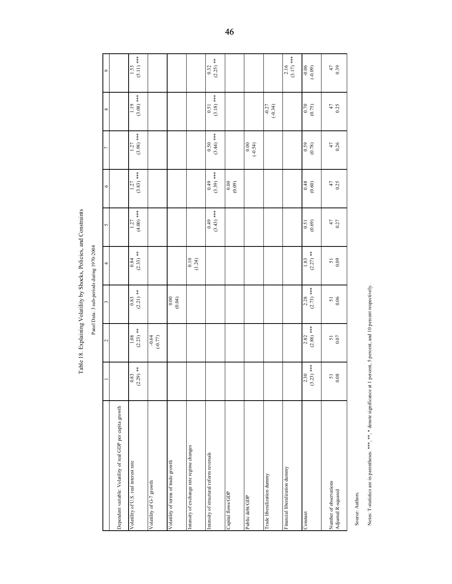Table 18. Explaining Volatility by Shocks, Policies, and Constraints Panel Data: 3 sub-periods during 1970-2004

|                                                                                               |                                           | Table 18. Explaining Volatility by Shocks, Policies, and Constraints |                                           | Panel Data: 3 sub-periods during 1970-2004 |                                           |                      |                      |                      |                      |
|-----------------------------------------------------------------------------------------------|-------------------------------------------|----------------------------------------------------------------------|-------------------------------------------|--------------------------------------------|-------------------------------------------|----------------------|----------------------|----------------------|----------------------|
|                                                                                               |                                           |                                                                      |                                           |                                            |                                           |                      |                      |                      |                      |
|                                                                                               |                                           | $\mathbf{\mathcal{L}}$                                               | 3                                         | 4                                          | 5                                         | $\circ$              |                      | ${}^{\circ}$         | $\circ$              |
| Dependent variable: Volatility of real GDP per capita growth                                  |                                           |                                                                      |                                           |                                            |                                           |                      |                      |                      |                      |
| Volatility of U.S. real interest rate                                                         | $2.29)$ **<br>0.83<br>$\sigma$            | $(2.23)$ **<br>1.08                                                  | $(2.21)$ **<br>0.83                       | $(2.33)$ **<br>0.84                        | $(4.00)***$<br>1.27                       | $(3.83)$ ***<br>1.27 | $(3.98)$ ***<br>1.27 | $(3.08)$ ***<br>119  | $(5.11)$ ***<br>1.53 |
| Volatility of G-7 growth                                                                      |                                           | $-0.64$<br>$(-0.77)$                                                 |                                           |                                            |                                           |                      |                      |                      |                      |
| Volatility of terms of trade growth                                                           |                                           |                                                                      | 0.00<br>(0.04)                            |                                            |                                           |                      |                      |                      |                      |
| Intensity of exchange rate regime changes                                                     |                                           |                                                                      |                                           | 0.10<br>(1.24)                             |                                           |                      |                      |                      |                      |
| Intensity of structural reform reversals                                                      |                                           |                                                                      |                                           |                                            | $(3.43)$ ***<br>64.0                      | $(3.3)$ ***          | $(3.44)$ ***<br>0.50 | $(3.18)$ ***<br>0.51 | $(2.25)$ **<br>0.32  |
| Capital flows/GDP                                                                             |                                           |                                                                      |                                           |                                            |                                           | 0.00<br>(0.09)       |                      |                      |                      |
| Public debt/GDP                                                                               |                                           |                                                                      |                                           |                                            |                                           |                      | 0.00<br>$(-0.54)$    |                      |                      |
| Trade liberalization dummy                                                                    |                                           |                                                                      |                                           |                                            |                                           |                      |                      | $(-0.34)$<br>$-0.27$ |                      |
| Financial liberalization dummy                                                                |                                           |                                                                      |                                           |                                            |                                           |                      |                      |                      | $(3.17)$ ***<br>2.16 |
| Constant                                                                                      | $(0.23)$ ***<br>2.30<br>ొ                 | $(2.88)$ ***<br>2.82                                                 | $(2.73)$ ***<br>2.28                      | $(2.27)$ **<br>1.83                        | (0.69)<br>0.51                            | $0.48\,$<br>(0.60)   | (82.0)               | 0.70<br>(0.75)       | $-0.06$<br>(-0.09)   |
| Number of observations<br>Adjusted R-squared                                                  | $\begin{array}{c} 51 \\ 0.08 \end{array}$ | $\begin{array}{c} 51 \\ 0.07 \end{array}$                            | $\begin{array}{c} 51 \\ 0.06 \end{array}$ | $\begin{array}{c} 51 \\ 0.09 \end{array}$  | $\begin{array}{c} 47 \\ 0.27 \end{array}$ | $47$<br>0.25         | $47$<br>0.26         | $47$<br>0.25         | $^{47}_{0.39}$       |
| Notes: T-statistics are in parentheses. ***, **, * denote significance at<br>Source: Authors. |                                           | percent, 5 percent, and 10 percent respectively.                     |                                           |                                            |                                           |                      |                      |                      |                      |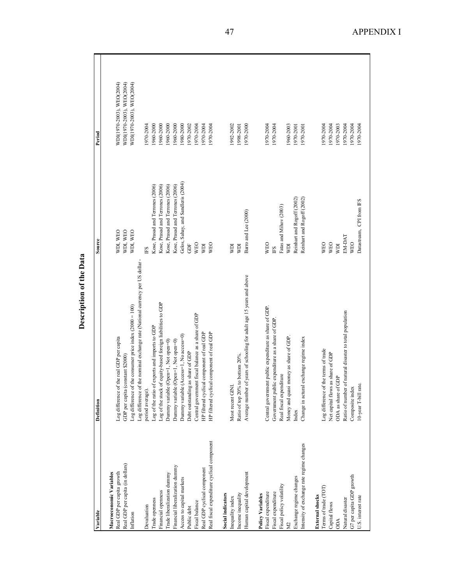| WDI(1970-2003), WEO(2004)<br>WDI(1970-2003), WEO(2004)<br>WDI(1970-2003), WEO(2004)<br>1960-2000<br>1960-2000<br>1960-2000<br>1960-2000<br>1992-2002<br>1970-2004<br>1980-2000<br>970-2002<br>1970-2004<br>1970-2000<br>1970-2004<br>1960-2003<br>1970-2004<br>1970-2004<br>1970-2003<br>1970-2004<br>1970-2004<br>1970-2004<br>1970-2004<br>1998-2001<br>1970-2004<br>1970-2004<br>1970-2001<br>1970-2001<br>Gelos, Sahay, and Sandleris (2004)<br>Kose, Prasad and Terrones (2006)<br>Kose, Prasad and Terrones (2006)<br>Kose, Prasad and Terrones (2006)<br>Kose, Prasad and Terrones (2006)<br>Reinhart and Rogoff (2002)<br>Reinhart and Rogoff (2002)<br>Datastream, CPI from FS<br>Fatas and Mihov (2003)<br>Barro and Lee (2000)<br>WDI, WEO<br>WDI, WEO<br>WDI, WEO<br>EM-DAT<br><b>WEO</b><br><b>WEO</b><br><b>WEO</b><br><b>WEO</b><br><b>WEO</b><br><b>WEO</b><br>Ë<br>ΙŒΜ<br>KI<br><b>KIN</b><br><b>KEM</b><br>ΓQ<br>ES<br>ES<br>Log difference of the nominal exchange rate (National currency per US dollar<br>Average number of years of schooling for adult age 15 years and above<br>Log of the stock of equity-based foreign liabilities to GDP<br>Log difference of the consumer price index $(2000 = 100)$<br>Central government public expenditure as share of GDP.<br>Ratio of number of natural disaster to total population<br>Central government fiscal balance as a share of GDP<br>Government public expenditure as a share of GDP<br>Log of the ratio of exports and imports to GDP<br>HP filtered cyclical component of real GDP<br>HP filtered cyclical component of real GDP<br>Dummy variable (Access=1, No access=0)<br>Money and quasi money as share of GDP.<br>Log difference of the real GDP per capita<br>exchange regime index<br>Dummy variable (Open=1, Not open=0)<br>Dummy variable (Open=1, Not open=0)<br>Log difference of the terms of trade<br>Debt outstanding as share of GDP<br>Net capital flows as share of GDP<br>Ratio of top 20% to bottom 20%.<br>GDP per capita (constant \$2000)<br>Real fiscal expenditure<br>ODA as share of GDP<br>10-year T-bill rate.<br>Most recent GINL<br>Change in actural<br>Composite index<br>period average).<br>Index<br>Real fiscal expenditure cyclical component<br>Intensity of exchange rate regime changes<br>Real GDP per capita (in dollars)<br>Financial liberalization dummy<br>Real GDP cyclical component<br>Real GDP per capita growth<br>Human capital development<br>Macroeconomic Variables<br>Trade liberalization dumny<br>G7 per capita GDP growth<br>Exchange regime changes<br>Access to capital markets<br>Fiscal policy volatility<br>Terms of trade (TOT)<br>Financial openness<br>Fiscal expenditure<br>Fiscal expenditure<br>Income inequality<br><b>Social indicators</b><br>Policy Variables<br><b>External</b> shocks<br>J.S. interest rate<br>Inequality index<br>Natural disaster<br>Trade openness<br>Fiscal balance<br>Capital flows<br>Devaluation<br>Public debt<br>Inflation<br><b>ACO</b><br>$\overline{X}$ | Variable | Definition | Source | Period |  |
|---------------------------------------------------------------------------------------------------------------------------------------------------------------------------------------------------------------------------------------------------------------------------------------------------------------------------------------------------------------------------------------------------------------------------------------------------------------------------------------------------------------------------------------------------------------------------------------------------------------------------------------------------------------------------------------------------------------------------------------------------------------------------------------------------------------------------------------------------------------------------------------------------------------------------------------------------------------------------------------------------------------------------------------------------------------------------------------------------------------------------------------------------------------------------------------------------------------------------------------------------------------------------------------------------------------------------------------------------------------------------------------------------------------------------------------------------------------------------------------------------------------------------------------------------------------------------------------------------------------------------------------------------------------------------------------------------------------------------------------------------------------------------------------------------------------------------------------------------------------------------------------------------------------------------------------------------------------------------------------------------------------------------------------------------------------------------------------------------------------------------------------------------------------------------------------------------------------------------------------------------------------------------------------------------------------------------------------------------------------------------------------------------------------------------------------------------------------------------------------------------------------------------------------------------------------------------------------------------------------------------------------------------------------------------------------------------------------------------------------------------------------------------------------------------------------------------------------------------------------------------------------------------------------------------------------------------------------------------------------------------------------------------------------------|----------|------------|--------|--------|--|
|                                                                                                                                                                                                                                                                                                                                                                                                                                                                                                                                                                                                                                                                                                                                                                                                                                                                                                                                                                                                                                                                                                                                                                                                                                                                                                                                                                                                                                                                                                                                                                                                                                                                                                                                                                                                                                                                                                                                                                                                                                                                                                                                                                                                                                                                                                                                                                                                                                                                                                                                                                                                                                                                                                                                                                                                                                                                                                                                                                                                                                             |          |            |        |        |  |
|                                                                                                                                                                                                                                                                                                                                                                                                                                                                                                                                                                                                                                                                                                                                                                                                                                                                                                                                                                                                                                                                                                                                                                                                                                                                                                                                                                                                                                                                                                                                                                                                                                                                                                                                                                                                                                                                                                                                                                                                                                                                                                                                                                                                                                                                                                                                                                                                                                                                                                                                                                                                                                                                                                                                                                                                                                                                                                                                                                                                                                             |          |            |        |        |  |
|                                                                                                                                                                                                                                                                                                                                                                                                                                                                                                                                                                                                                                                                                                                                                                                                                                                                                                                                                                                                                                                                                                                                                                                                                                                                                                                                                                                                                                                                                                                                                                                                                                                                                                                                                                                                                                                                                                                                                                                                                                                                                                                                                                                                                                                                                                                                                                                                                                                                                                                                                                                                                                                                                                                                                                                                                                                                                                                                                                                                                                             |          |            |        |        |  |
|                                                                                                                                                                                                                                                                                                                                                                                                                                                                                                                                                                                                                                                                                                                                                                                                                                                                                                                                                                                                                                                                                                                                                                                                                                                                                                                                                                                                                                                                                                                                                                                                                                                                                                                                                                                                                                                                                                                                                                                                                                                                                                                                                                                                                                                                                                                                                                                                                                                                                                                                                                                                                                                                                                                                                                                                                                                                                                                                                                                                                                             |          |            |        |        |  |
|                                                                                                                                                                                                                                                                                                                                                                                                                                                                                                                                                                                                                                                                                                                                                                                                                                                                                                                                                                                                                                                                                                                                                                                                                                                                                                                                                                                                                                                                                                                                                                                                                                                                                                                                                                                                                                                                                                                                                                                                                                                                                                                                                                                                                                                                                                                                                                                                                                                                                                                                                                                                                                                                                                                                                                                                                                                                                                                                                                                                                                             |          |            |        |        |  |
|                                                                                                                                                                                                                                                                                                                                                                                                                                                                                                                                                                                                                                                                                                                                                                                                                                                                                                                                                                                                                                                                                                                                                                                                                                                                                                                                                                                                                                                                                                                                                                                                                                                                                                                                                                                                                                                                                                                                                                                                                                                                                                                                                                                                                                                                                                                                                                                                                                                                                                                                                                                                                                                                                                                                                                                                                                                                                                                                                                                                                                             |          |            |        |        |  |
|                                                                                                                                                                                                                                                                                                                                                                                                                                                                                                                                                                                                                                                                                                                                                                                                                                                                                                                                                                                                                                                                                                                                                                                                                                                                                                                                                                                                                                                                                                                                                                                                                                                                                                                                                                                                                                                                                                                                                                                                                                                                                                                                                                                                                                                                                                                                                                                                                                                                                                                                                                                                                                                                                                                                                                                                                                                                                                                                                                                                                                             |          |            |        |        |  |
|                                                                                                                                                                                                                                                                                                                                                                                                                                                                                                                                                                                                                                                                                                                                                                                                                                                                                                                                                                                                                                                                                                                                                                                                                                                                                                                                                                                                                                                                                                                                                                                                                                                                                                                                                                                                                                                                                                                                                                                                                                                                                                                                                                                                                                                                                                                                                                                                                                                                                                                                                                                                                                                                                                                                                                                                                                                                                                                                                                                                                                             |          |            |        |        |  |
|                                                                                                                                                                                                                                                                                                                                                                                                                                                                                                                                                                                                                                                                                                                                                                                                                                                                                                                                                                                                                                                                                                                                                                                                                                                                                                                                                                                                                                                                                                                                                                                                                                                                                                                                                                                                                                                                                                                                                                                                                                                                                                                                                                                                                                                                                                                                                                                                                                                                                                                                                                                                                                                                                                                                                                                                                                                                                                                                                                                                                                             |          |            |        |        |  |
|                                                                                                                                                                                                                                                                                                                                                                                                                                                                                                                                                                                                                                                                                                                                                                                                                                                                                                                                                                                                                                                                                                                                                                                                                                                                                                                                                                                                                                                                                                                                                                                                                                                                                                                                                                                                                                                                                                                                                                                                                                                                                                                                                                                                                                                                                                                                                                                                                                                                                                                                                                                                                                                                                                                                                                                                                                                                                                                                                                                                                                             |          |            |        |        |  |
|                                                                                                                                                                                                                                                                                                                                                                                                                                                                                                                                                                                                                                                                                                                                                                                                                                                                                                                                                                                                                                                                                                                                                                                                                                                                                                                                                                                                                                                                                                                                                                                                                                                                                                                                                                                                                                                                                                                                                                                                                                                                                                                                                                                                                                                                                                                                                                                                                                                                                                                                                                                                                                                                                                                                                                                                                                                                                                                                                                                                                                             |          |            |        |        |  |
|                                                                                                                                                                                                                                                                                                                                                                                                                                                                                                                                                                                                                                                                                                                                                                                                                                                                                                                                                                                                                                                                                                                                                                                                                                                                                                                                                                                                                                                                                                                                                                                                                                                                                                                                                                                                                                                                                                                                                                                                                                                                                                                                                                                                                                                                                                                                                                                                                                                                                                                                                                                                                                                                                                                                                                                                                                                                                                                                                                                                                                             |          |            |        |        |  |
|                                                                                                                                                                                                                                                                                                                                                                                                                                                                                                                                                                                                                                                                                                                                                                                                                                                                                                                                                                                                                                                                                                                                                                                                                                                                                                                                                                                                                                                                                                                                                                                                                                                                                                                                                                                                                                                                                                                                                                                                                                                                                                                                                                                                                                                                                                                                                                                                                                                                                                                                                                                                                                                                                                                                                                                                                                                                                                                                                                                                                                             |          |            |        |        |  |
|                                                                                                                                                                                                                                                                                                                                                                                                                                                                                                                                                                                                                                                                                                                                                                                                                                                                                                                                                                                                                                                                                                                                                                                                                                                                                                                                                                                                                                                                                                                                                                                                                                                                                                                                                                                                                                                                                                                                                                                                                                                                                                                                                                                                                                                                                                                                                                                                                                                                                                                                                                                                                                                                                                                                                                                                                                                                                                                                                                                                                                             |          |            |        |        |  |
|                                                                                                                                                                                                                                                                                                                                                                                                                                                                                                                                                                                                                                                                                                                                                                                                                                                                                                                                                                                                                                                                                                                                                                                                                                                                                                                                                                                                                                                                                                                                                                                                                                                                                                                                                                                                                                                                                                                                                                                                                                                                                                                                                                                                                                                                                                                                                                                                                                                                                                                                                                                                                                                                                                                                                                                                                                                                                                                                                                                                                                             |          |            |        |        |  |
|                                                                                                                                                                                                                                                                                                                                                                                                                                                                                                                                                                                                                                                                                                                                                                                                                                                                                                                                                                                                                                                                                                                                                                                                                                                                                                                                                                                                                                                                                                                                                                                                                                                                                                                                                                                                                                                                                                                                                                                                                                                                                                                                                                                                                                                                                                                                                                                                                                                                                                                                                                                                                                                                                                                                                                                                                                                                                                                                                                                                                                             |          |            |        |        |  |
|                                                                                                                                                                                                                                                                                                                                                                                                                                                                                                                                                                                                                                                                                                                                                                                                                                                                                                                                                                                                                                                                                                                                                                                                                                                                                                                                                                                                                                                                                                                                                                                                                                                                                                                                                                                                                                                                                                                                                                                                                                                                                                                                                                                                                                                                                                                                                                                                                                                                                                                                                                                                                                                                                                                                                                                                                                                                                                                                                                                                                                             |          |            |        |        |  |
|                                                                                                                                                                                                                                                                                                                                                                                                                                                                                                                                                                                                                                                                                                                                                                                                                                                                                                                                                                                                                                                                                                                                                                                                                                                                                                                                                                                                                                                                                                                                                                                                                                                                                                                                                                                                                                                                                                                                                                                                                                                                                                                                                                                                                                                                                                                                                                                                                                                                                                                                                                                                                                                                                                                                                                                                                                                                                                                                                                                                                                             |          |            |        |        |  |
|                                                                                                                                                                                                                                                                                                                                                                                                                                                                                                                                                                                                                                                                                                                                                                                                                                                                                                                                                                                                                                                                                                                                                                                                                                                                                                                                                                                                                                                                                                                                                                                                                                                                                                                                                                                                                                                                                                                                                                                                                                                                                                                                                                                                                                                                                                                                                                                                                                                                                                                                                                                                                                                                                                                                                                                                                                                                                                                                                                                                                                             |          |            |        |        |  |
|                                                                                                                                                                                                                                                                                                                                                                                                                                                                                                                                                                                                                                                                                                                                                                                                                                                                                                                                                                                                                                                                                                                                                                                                                                                                                                                                                                                                                                                                                                                                                                                                                                                                                                                                                                                                                                                                                                                                                                                                                                                                                                                                                                                                                                                                                                                                                                                                                                                                                                                                                                                                                                                                                                                                                                                                                                                                                                                                                                                                                                             |          |            |        |        |  |
|                                                                                                                                                                                                                                                                                                                                                                                                                                                                                                                                                                                                                                                                                                                                                                                                                                                                                                                                                                                                                                                                                                                                                                                                                                                                                                                                                                                                                                                                                                                                                                                                                                                                                                                                                                                                                                                                                                                                                                                                                                                                                                                                                                                                                                                                                                                                                                                                                                                                                                                                                                                                                                                                                                                                                                                                                                                                                                                                                                                                                                             |          |            |        |        |  |
|                                                                                                                                                                                                                                                                                                                                                                                                                                                                                                                                                                                                                                                                                                                                                                                                                                                                                                                                                                                                                                                                                                                                                                                                                                                                                                                                                                                                                                                                                                                                                                                                                                                                                                                                                                                                                                                                                                                                                                                                                                                                                                                                                                                                                                                                                                                                                                                                                                                                                                                                                                                                                                                                                                                                                                                                                                                                                                                                                                                                                                             |          |            |        |        |  |
|                                                                                                                                                                                                                                                                                                                                                                                                                                                                                                                                                                                                                                                                                                                                                                                                                                                                                                                                                                                                                                                                                                                                                                                                                                                                                                                                                                                                                                                                                                                                                                                                                                                                                                                                                                                                                                                                                                                                                                                                                                                                                                                                                                                                                                                                                                                                                                                                                                                                                                                                                                                                                                                                                                                                                                                                                                                                                                                                                                                                                                             |          |            |        |        |  |
|                                                                                                                                                                                                                                                                                                                                                                                                                                                                                                                                                                                                                                                                                                                                                                                                                                                                                                                                                                                                                                                                                                                                                                                                                                                                                                                                                                                                                                                                                                                                                                                                                                                                                                                                                                                                                                                                                                                                                                                                                                                                                                                                                                                                                                                                                                                                                                                                                                                                                                                                                                                                                                                                                                                                                                                                                                                                                                                                                                                                                                             |          |            |        |        |  |
|                                                                                                                                                                                                                                                                                                                                                                                                                                                                                                                                                                                                                                                                                                                                                                                                                                                                                                                                                                                                                                                                                                                                                                                                                                                                                                                                                                                                                                                                                                                                                                                                                                                                                                                                                                                                                                                                                                                                                                                                                                                                                                                                                                                                                                                                                                                                                                                                                                                                                                                                                                                                                                                                                                                                                                                                                                                                                                                                                                                                                                             |          |            |        |        |  |
|                                                                                                                                                                                                                                                                                                                                                                                                                                                                                                                                                                                                                                                                                                                                                                                                                                                                                                                                                                                                                                                                                                                                                                                                                                                                                                                                                                                                                                                                                                                                                                                                                                                                                                                                                                                                                                                                                                                                                                                                                                                                                                                                                                                                                                                                                                                                                                                                                                                                                                                                                                                                                                                                                                                                                                                                                                                                                                                                                                                                                                             |          |            |        |        |  |
|                                                                                                                                                                                                                                                                                                                                                                                                                                                                                                                                                                                                                                                                                                                                                                                                                                                                                                                                                                                                                                                                                                                                                                                                                                                                                                                                                                                                                                                                                                                                                                                                                                                                                                                                                                                                                                                                                                                                                                                                                                                                                                                                                                                                                                                                                                                                                                                                                                                                                                                                                                                                                                                                                                                                                                                                                                                                                                                                                                                                                                             |          |            |        |        |  |
|                                                                                                                                                                                                                                                                                                                                                                                                                                                                                                                                                                                                                                                                                                                                                                                                                                                                                                                                                                                                                                                                                                                                                                                                                                                                                                                                                                                                                                                                                                                                                                                                                                                                                                                                                                                                                                                                                                                                                                                                                                                                                                                                                                                                                                                                                                                                                                                                                                                                                                                                                                                                                                                                                                                                                                                                                                                                                                                                                                                                                                             |          |            |        |        |  |
|                                                                                                                                                                                                                                                                                                                                                                                                                                                                                                                                                                                                                                                                                                                                                                                                                                                                                                                                                                                                                                                                                                                                                                                                                                                                                                                                                                                                                                                                                                                                                                                                                                                                                                                                                                                                                                                                                                                                                                                                                                                                                                                                                                                                                                                                                                                                                                                                                                                                                                                                                                                                                                                                                                                                                                                                                                                                                                                                                                                                                                             |          |            |        |        |  |
|                                                                                                                                                                                                                                                                                                                                                                                                                                                                                                                                                                                                                                                                                                                                                                                                                                                                                                                                                                                                                                                                                                                                                                                                                                                                                                                                                                                                                                                                                                                                                                                                                                                                                                                                                                                                                                                                                                                                                                                                                                                                                                                                                                                                                                                                                                                                                                                                                                                                                                                                                                                                                                                                                                                                                                                                                                                                                                                                                                                                                                             |          |            |        |        |  |
|                                                                                                                                                                                                                                                                                                                                                                                                                                                                                                                                                                                                                                                                                                                                                                                                                                                                                                                                                                                                                                                                                                                                                                                                                                                                                                                                                                                                                                                                                                                                                                                                                                                                                                                                                                                                                                                                                                                                                                                                                                                                                                                                                                                                                                                                                                                                                                                                                                                                                                                                                                                                                                                                                                                                                                                                                                                                                                                                                                                                                                             |          |            |        |        |  |
|                                                                                                                                                                                                                                                                                                                                                                                                                                                                                                                                                                                                                                                                                                                                                                                                                                                                                                                                                                                                                                                                                                                                                                                                                                                                                                                                                                                                                                                                                                                                                                                                                                                                                                                                                                                                                                                                                                                                                                                                                                                                                                                                                                                                                                                                                                                                                                                                                                                                                                                                                                                                                                                                                                                                                                                                                                                                                                                                                                                                                                             |          |            |        |        |  |
|                                                                                                                                                                                                                                                                                                                                                                                                                                                                                                                                                                                                                                                                                                                                                                                                                                                                                                                                                                                                                                                                                                                                                                                                                                                                                                                                                                                                                                                                                                                                                                                                                                                                                                                                                                                                                                                                                                                                                                                                                                                                                                                                                                                                                                                                                                                                                                                                                                                                                                                                                                                                                                                                                                                                                                                                                                                                                                                                                                                                                                             |          |            |        |        |  |
|                                                                                                                                                                                                                                                                                                                                                                                                                                                                                                                                                                                                                                                                                                                                                                                                                                                                                                                                                                                                                                                                                                                                                                                                                                                                                                                                                                                                                                                                                                                                                                                                                                                                                                                                                                                                                                                                                                                                                                                                                                                                                                                                                                                                                                                                                                                                                                                                                                                                                                                                                                                                                                                                                                                                                                                                                                                                                                                                                                                                                                             |          |            |        |        |  |

47 APPENDIX I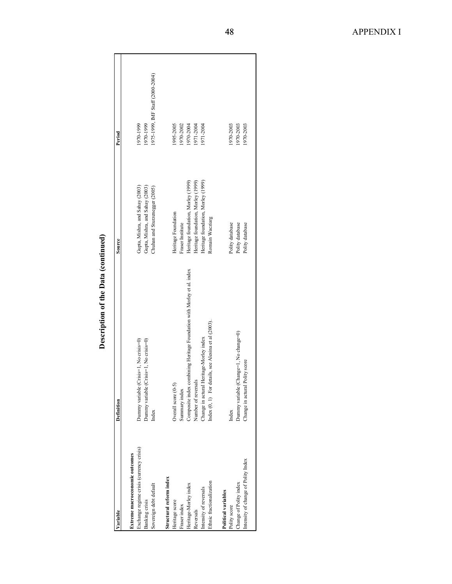| ariable                                  | Definition                                                             | Source                             | Period                           |
|------------------------------------------|------------------------------------------------------------------------|------------------------------------|----------------------------------|
| Extreme macroeconomic outcomes           |                                                                        |                                    |                                  |
| Exchange regime crisis (currency crisis) | Dummy variable (Crisis=1, No crisis=0)                                 | Gupta, Mishra, and Sahay (2003)    | 1970-1999                        |
| Banking crisis                           | Dummy variable (Crisis=1, No crisis=0)                                 | Gupta, Mishra, and Sahay (2003)    | 1970-1999                        |
| Sovereign debt default                   | Index                                                                  | Chuhan and Sturzenegger (2005)     | 1975-1999, IMF Staff (2000-2004) |
| Structural reform index                  |                                                                        |                                    |                                  |
| Heritage score                           | Overall score (0-5)                                                    | Heritage Foundation                | 1995-2005                        |
| Fraser index                             | Summary index                                                          | Fraser Institute                   | 1970-2002                        |
| Heritage-Morley index                    | Composite index combining Heritage Foundation with Morley et al. index | Heritage foundation, Morley (1999) | 1970-2004                        |
| Reversals                                | Number of reversals                                                    | Heritage foundation, Morley (1999) | 1971-2004                        |
| Intensity of reversals                   | Change in actural Heritage-Morley index                                | Heritage foundation, Morley (1999) | 1971-2004                        |
| Ethnic fractionalization                 | Index $(0, 1)$ For details, see Alesina et al $(2003)$ .               | Romain Wacziarg                    |                                  |
| Political variables                      |                                                                        |                                    |                                  |
| Polity score                             | Index                                                                  | Polity database                    | 1970-2003                        |
| Change of Polity index                   | Dummy variable (Change=1, No change=0)                                 | Polity database                    | 1970-2003                        |
| Intensity of change of Polity Index      | Polity score<br>Change in actural                                      | Polity database                    | 1970-2003                        |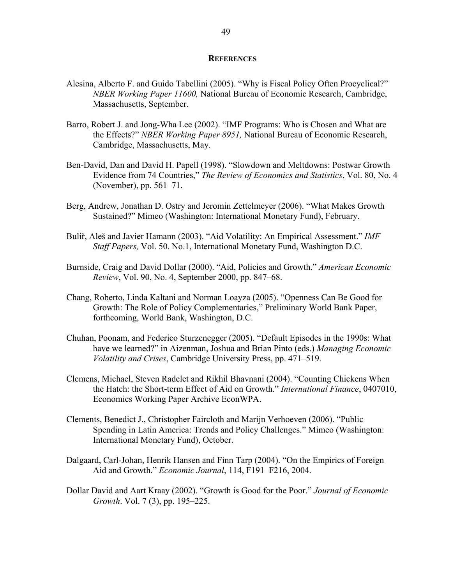#### **REFERENCES**

- Alesina, Alberto F. and Guido Tabellini (2005). "Why is Fiscal Policy Often Procyclical?" *NBER Working Paper 11600,* National Bureau of Economic Research, Cambridge, Massachusetts, September.
- Barro, Robert J. and Jong-Wha Lee (2002). "IMF Programs: Who is Chosen and What are the Effects?" *NBER Working Paper 8951,* National Bureau of Economic Research, Cambridge, Massachusetts, May.
- Ben-David, Dan and David H. Papell (1998). "Slowdown and Meltdowns: Postwar Growth Evidence from 74 Countries," *The Review of Economics and Statistics*, Vol. 80, No. 4 (November), pp. 561–71.
- Berg, Andrew, Jonathan D. Ostry and Jeromin Zettelmeyer (2006). "What Makes Growth Sustained?" Mimeo (Washington: International Monetary Fund), February.
- Bulíř, Aleš and Javier Hamann (2003). "Aid Volatility: An Empirical Assessment." *IMF Staff Papers,* Vol. 50. No.1, International Monetary Fund, Washington D.C.
- Burnside, Craig and David Dollar (2000). "Aid, Policies and Growth." *American Economic Review*, Vol. 90, No. 4, September 2000, pp. 847–68.
- Chang, Roberto, Linda Kaltani and Norman Loayza (2005). "Openness Can Be Good for Growth: The Role of Policy Complementaries," Preliminary World Bank Paper, forthcoming, World Bank, Washington, D.C.
- Chuhan, Poonam, and Federico Sturzenegger (2005). "Default Episodes in the 1990s: What have we learned?" in Aizenman, Joshua and Brian Pinto (eds.) *Managing Economic Volatility and Crises*, Cambridge University Press, pp. 471–519.
- Clemens, Michael, Steven Radelet and Rikhil Bhavnani (2004). "Counting Chickens When the Hatch: the Short-term Effect of Aid on Growth." *International Finance*, 0407010, Economics Working Paper Archive EconWPA.
- Clements, Benedict J., Christopher Faircloth and Marijn Verhoeven (2006). "Public Spending in Latin America: Trends and Policy Challenges." Mimeo (Washington: International Monetary Fund), October.
- Dalgaard, Carl-Johan, Henrik Hansen and Finn Tarp (2004). "On the Empirics of Foreign Aid and Growth." *Economic Journal*, 114, F191–F216, 2004.
- Dollar David and Aart Kraay (2002). "Growth is Good for the Poor." *Journal of Economic Growth*. Vol. 7 (3), pp. 195–225.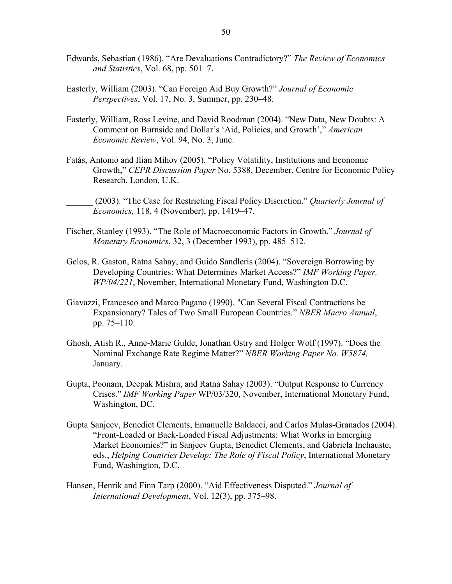- Edwards, Sebastian (1986). "Are Devaluations Contradictory?" *The Review of Economics and Statistics*, Vol. 68, pp. 501–7.
- Easterly, William (2003). "Can Foreign Aid Buy Growth?" *Journal of Economic Perspectives*, Vol. 17, No. 3, Summer, pp. 230–48.
- Easterly, William, Ross Levine, and David Roodman (2004). "New Data, New Doubts: A Comment on Burnside and Dollar's 'Aid, Policies, and Growth'," *American Economic Review*, Vol. 94, No. 3, June.
- Fatás, Antonio and Ilian Mihov (2005). "Policy Volatility, Institutions and Economic Growth," *CEPR Discussion Paper* No. 5388, December, Centre for Economic Policy Research, London, U.K.
- \_\_\_\_\_\_ (2003). "The Case for Restricting Fiscal Policy Discretion." *Quarterly Journal of Economics,* 118, 4 (November), pp. 1419–47.
- Fischer, Stanley (1993). "The Role of Macroeconomic Factors in Growth." *Journal of Monetary Economics*, 32, 3 (December 1993), pp. 485–512.
- Gelos, R. Gaston, Ratna Sahay, and Guido Sandleris (2004). "Sovereign Borrowing by Developing Countries: What Determines Market Access?" *IMF Working Paper, WP/04/221*, November, International Monetary Fund, Washington D.C.
- Giavazzi, Francesco and Marco Pagano (1990). "Can Several Fiscal Contractions be Expansionary? Tales of Two Small European Countries." *NBER Macro Annual*, pp. 75–110.
- Ghosh, Atish R., Anne-Marie Gulde, Jonathan Ostry and Holger Wolf (1997). "Does the Nominal Exchange Rate Regime Matter?" *NBER Working Paper No. W5874,* January.
- Gupta, Poonam, Deepak Mishra, and Ratna Sahay (2003). "Output Response to Currency Crises." *IMF Working Paper* WP/03/320, November, International Monetary Fund, Washington, DC.
- Gupta Sanjeev, Benedict Clements, Emanuelle Baldacci, and Carlos Mulas-Granados (2004). "Front-Loaded or Back-Loaded Fiscal Adjustments: What Works in Emerging Market Economies?" in Sanjeev Gupta, Benedict Clements, and Gabriela Inchauste, eds., *Helping Countries Develop: The Role of Fiscal Policy*, International Monetary Fund, Washington, D.C.
- Hansen, Henrik and Finn Tarp (2000). "Aid Effectiveness Disputed." *Journal of International Development*, Vol. 12(3), pp. 375–98.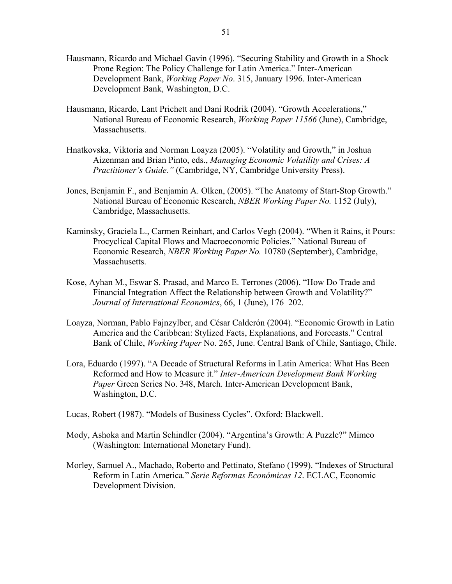- Hausmann, Ricardo and Michael Gavin (1996). "Securing Stability and Growth in a Shock Prone Region: The Policy Challenge for Latin America." Inter-American Development Bank, *Working Paper No*. 315, January 1996. Inter-American Development Bank, Washington, D.C.
- Hausmann, Ricardo, Lant Prichett and Dani Rodrik (2004). "Growth Accelerations," National Bureau of Economic Research, *Working Paper 11566* (June), Cambridge, Massachusetts.
- Hnatkovska, Viktoria and Norman Loayza (2005). "Volatility and Growth," in Joshua Aizenman and Brian Pinto, eds., *Managing Economic Volatility and Crises: A Practitioner's Guide."* (Cambridge, NY, Cambridge University Press).
- Jones, Benjamin F., and Benjamin A. Olken, (2005). "The Anatomy of Start-Stop Growth." National Bureau of Economic Research, *NBER Working Paper No.* 1152 (July), Cambridge, Massachusetts.
- Kaminsky, Graciela L., Carmen Reinhart, and Carlos Vegh (2004). "When it Rains, it Pours: Procyclical Capital Flows and Macroeconomic Policies." National Bureau of Economic Research, *NBER Working Paper No.* 10780 (September), Cambridge, Massachusetts.
- Kose, Ayhan M., Eswar S. Prasad, and Marco E. Terrones (2006). "How Do Trade and Financial Integration Affect the Relationship between Growth and Volatility?" *Journal of International Economics*, 66, 1 (June), 176–202.
- Loayza, Norman, Pablo Fajnzylber, and César Calderón (2004). "Economic Growth in Latin America and the Caribbean: Stylized Facts, Explanations, and Forecasts." Central Bank of Chile, *Working Paper* No. 265, June. Central Bank of Chile, Santiago, Chile.
- Lora, Eduardo (1997). "A Decade of Structural Reforms in Latin America: What Has Been Reformed and How to Measure it." *Inter-American Development Bank Working Paper* Green Series No. 348, March. Inter-American Development Bank, Washington, D.C.
- Lucas, Robert (1987). "Models of Business Cycles". Oxford: Blackwell.
- Mody, Ashoka and Martin Schindler (2004). "Argentina's Growth: A Puzzle?" Mimeo (Washington: International Monetary Fund).
- Morley, Samuel A., Machado, Roberto and Pettinato, Stefano (1999). "Indexes of Structural Reform in Latin America." *Serie Reformas Económicas 12*. ECLAC, Economic Development Division.